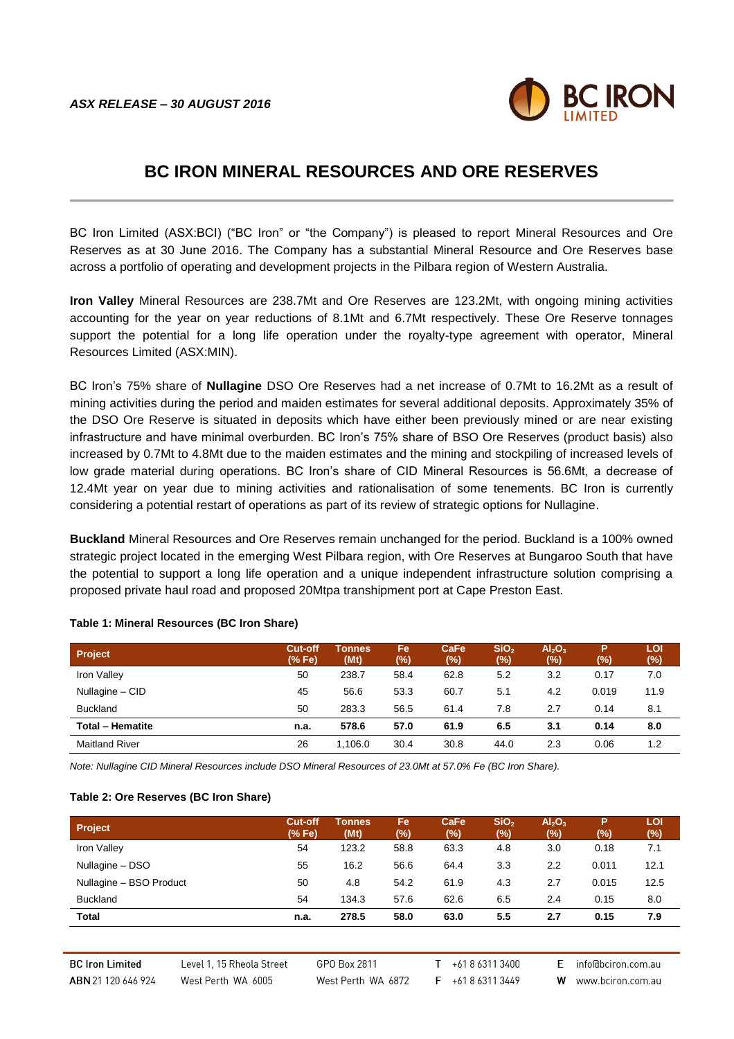

# **BC IRON MINERAL RESOURCES AND ORE RESERVES**

BC Iron Limited (ASX:BCI) ("BC Iron" or "the Company") is pleased to report Mineral Resources and Ore Reserves as at 30 June 2016. The Company has a substantial Mineral Resource and Ore Reserves base across a portfolio of operating and development projects in the Pilbara region of Western Australia.

**Iron Valley** Mineral Resources are 238.7Mt and Ore Reserves are 123.2Mt, with ongoing mining activities accounting for the year on year reductions of 8.1Mt and 6.7Mt respectively. These Ore Reserve tonnages support the potential for a long life operation under the royalty-type agreement with operator, Mineral Resources Limited (ASX:MIN).

BC Iron's 75% share of **Nullagine** DSO Ore Reserves had a net increase of 0.7Mt to 16.2Mt as a result of mining activities during the period and maiden estimates for several additional deposits. Approximately 35% of the DSO Ore Reserve is situated in deposits which have either been previously mined or are near existing infrastructure and have minimal overburden. BC Iron's 75% share of BSO Ore Reserves (product basis) also increased by 0.7Mt to 4.8Mt due to the maiden estimates and the mining and stockpiling of increased levels of low grade material during operations. BC Iron's share of CID Mineral Resources is 56.6Mt, a decrease of 12.4Mt year on year due to mining activities and rationalisation of some tenements. BC Iron is currently considering a potential restart of operations as part of its review of strategic options for Nullagine.

**Buckland** Mineral Resources and Ore Reserves remain unchanged for the period. Buckland is a 100% owned strategic project located in the emerging West Pilbara region, with Ore Reserves at Bungaroo South that have the potential to support a long life operation and a unique independent infrastructure solution comprising a proposed private haul road and proposed 20Mtpa transhipment port at Cape Preston East.

| <b>Project</b>          | <b>Cut-off</b><br>(% Fe) | Tonnes<br>(Mt) | Fe<br>(%) | CaFe<br>(%) | SiO <sub>2</sub><br>(9) | $\mathsf{Al}_2\mathsf{O}_3$<br>(%) | Р<br>(%) | LOI<br>$(\%)$ |
|-------------------------|--------------------------|----------------|-----------|-------------|-------------------------|------------------------------------|----------|---------------|
| Iron Valley             | 50                       | 238.7          | 58.4      | 62.8        | 5.2                     | 3.2                                | 0.17     | 7.0           |
| Nullagine - CID         | 45                       | 56.6           | 53.3      | 60.7        | 5.1                     | 4.2                                | 0.019    | 11.9          |
| <b>Buckland</b>         | 50                       | 283.3          | 56.5      | 61.4        | 7.8                     | 2.7                                | 0.14     | 8.1           |
| <b>Total - Hematite</b> | n.a.                     | 578.6          | 57.0      | 61.9        | 6.5                     | 3.1                                | 0.14     | 8.0           |
| <b>Maitland River</b>   | 26                       | 1.106.0        | 30.4      | 30.8        | 44.0                    | 2.3                                | 0.06     | 1.2           |

#### **Table 1: Mineral Resources (BC Iron Share)**

*Note: Nullagine CID Mineral Resources include DSO Mineral Resources of 23.0Mt at 57.0% Fe (BC Iron Share).*

#### **Table 2: Ore Reserves (BC Iron Share)**

| Project                 | <b>Cut-off</b><br>(% Fe) | Tonnes<br>(Mt) | Fe<br>(%) | CaFe<br>(%) | SIO <sub>2</sub><br>(%) | Al <sub>2</sub> O <sub>3</sub><br>(%) | P<br>(%) | LOI<br>(%) |
|-------------------------|--------------------------|----------------|-----------|-------------|-------------------------|---------------------------------------|----------|------------|
| Iron Valley             | 54                       | 123.2          | 58.8      | 63.3        | 4.8                     | 3.0                                   | 0.18     | 7.1        |
| Nullagine - DSO         | 55                       | 16.2           | 56.6      | 64.4        | 3.3                     | 2.2                                   | 0.011    | 12.1       |
| Nullagine - BSO Product | 50                       | 4.8            | 54.2      | 61.9        | 4.3                     | 2.7                                   | 0.015    | 12.5       |
| <b>Buckland</b>         | 54                       | 134.3          | 57.6      | 62.6        | 6.5                     | 2.4                                   | 0.15     | 8.0        |
| <b>Total</b>            | n.a.                     | 278.5          | 58.0      | 63.0        | 5.5                     | 2.7                                   | 0.15     | 7.9        |

**BC Iron Limited** ABN 21 120 646 924

Level 1, 15 Rheola Street West Perth WA 6005

GPO Box 2811 West Perth WA 6872

 $T + 61863113400$ F +61863113449

E info@bciron.com.au

W www.bciron.com.au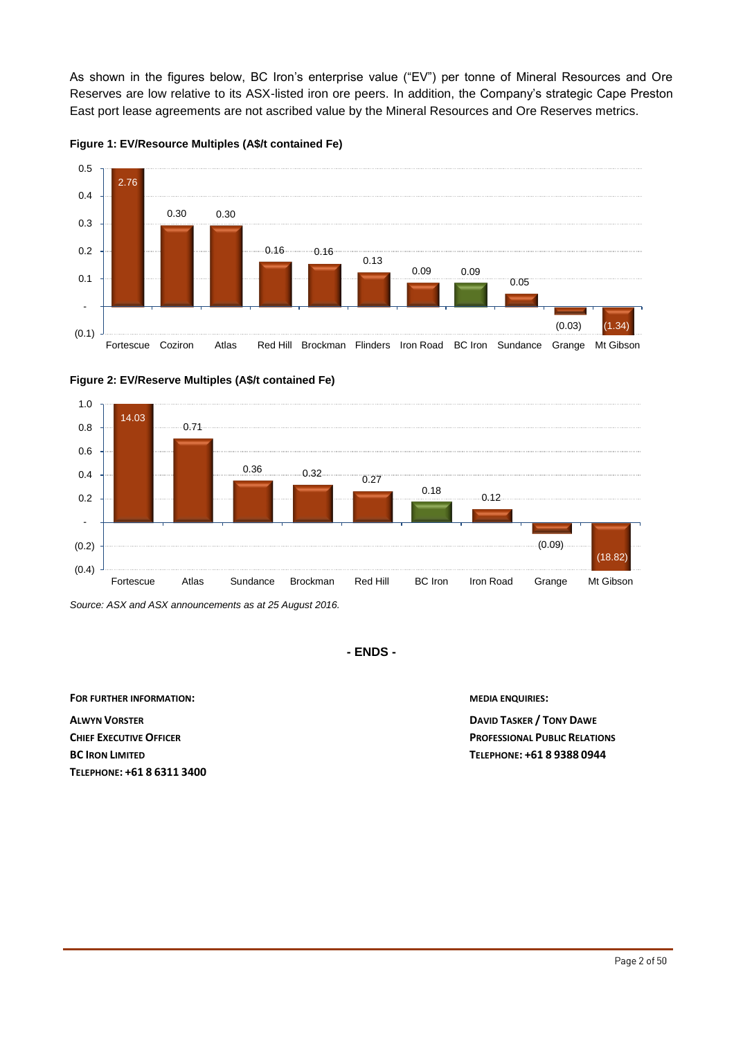As shown in the figures below, BC Iron's enterprise value ("EV") per tonne of Mineral Resources and Ore Reserves are low relative to its ASX-listed iron ore peers. In addition, the Company's strategic Cape Preston East port lease agreements are not ascribed value by the Mineral Resources and Ore Reserves metrics.









*Source: ASX and ASX announcements as at 25 August 2016.*

**- ENDS -**

**FOR FURTHER INFORMATION: MEDIA ENQUIRIES:**

**ALWYN VORSTER DAVID TASKER / TONY DAWE TELEPHONE: +61 8 6311 3400**

**CHIEF EXECUTIVE OFFICER ACCOUNT 2 PROFESSIONAL PUBLIC RELATIONS BC IRON LIMITED TELEPHONE: +61 8 9388 0944**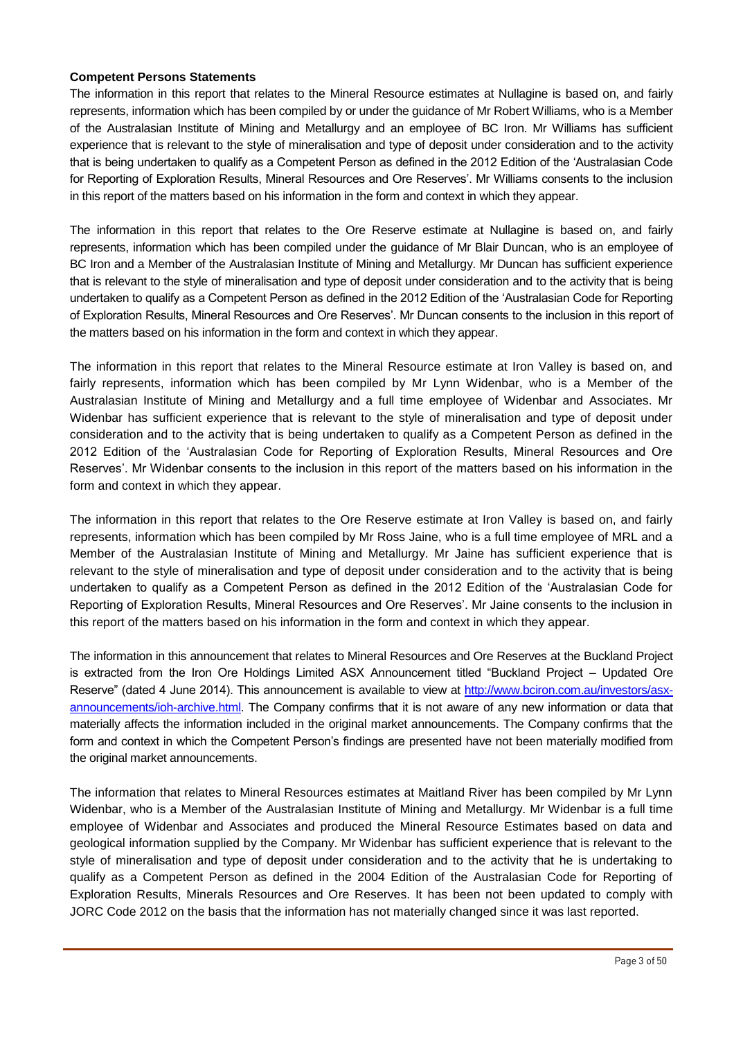### **Competent Persons Statements**

The information in this report that relates to the Mineral Resource estimates at Nullagine is based on, and fairly represents, information which has been compiled by or under the guidance of Mr Robert Williams, who is a Member of the Australasian Institute of Mining and Metallurgy and an employee of BC Iron. Mr Williams has sufficient experience that is relevant to the style of mineralisation and type of deposit under consideration and to the activity that is being undertaken to qualify as a Competent Person as defined in the 2012 Edition of the 'Australasian Code for Reporting of Exploration Results, Mineral Resources and Ore Reserves'. Mr Williams consents to the inclusion in this report of the matters based on his information in the form and context in which they appear.

The information in this report that relates to the Ore Reserve estimate at Nullagine is based on, and fairly represents, information which has been compiled under the guidance of Mr Blair Duncan, who is an employee of BC Iron and a Member of the Australasian Institute of Mining and Metallurgy. Mr Duncan has sufficient experience that is relevant to the style of mineralisation and type of deposit under consideration and to the activity that is being undertaken to qualify as a Competent Person as defined in the 2012 Edition of the 'Australasian Code for Reporting of Exploration Results, Mineral Resources and Ore Reserves'. Mr Duncan consents to the inclusion in this report of the matters based on his information in the form and context in which they appear.

The information in this report that relates to the Mineral Resource estimate at Iron Valley is based on, and fairly represents, information which has been compiled by Mr Lynn Widenbar, who is a Member of the Australasian Institute of Mining and Metallurgy and a full time employee of Widenbar and Associates. Mr Widenbar has sufficient experience that is relevant to the style of mineralisation and type of deposit under consideration and to the activity that is being undertaken to qualify as a Competent Person as defined in the 2012 Edition of the 'Australasian Code for Reporting of Exploration Results, Mineral Resources and Ore Reserves'. Mr Widenbar consents to the inclusion in this report of the matters based on his information in the form and context in which they appear.

The information in this report that relates to the Ore Reserve estimate at Iron Valley is based on, and fairly represents, information which has been compiled by Mr Ross Jaine, who is a full time employee of MRL and a Member of the Australasian Institute of Mining and Metallurgy. Mr Jaine has sufficient experience that is relevant to the style of mineralisation and type of deposit under consideration and to the activity that is being undertaken to qualify as a Competent Person as defined in the 2012 Edition of the 'Australasian Code for Reporting of Exploration Results, Mineral Resources and Ore Reserves'. Mr Jaine consents to the inclusion in this report of the matters based on his information in the form and context in which they appear.

The information in this announcement that relates to Mineral Resources and Ore Reserves at the Buckland Project is extracted from the Iron Ore Holdings Limited ASX Announcement titled "Buckland Project – Updated Ore Reserve" (dated 4 June 2014). This announcement is available to view at [http://www.bciron.com.au/investors/asx](http://www.bciron.com.au/investors/asx-announcements/2014.html)[announcements/ioh-archive.html.](http://www.bciron.com.au/investors/asx-announcements/2014.html) The Company confirms that it is not aware of any new information or data that materially affects the information included in the original market announcements. The Company confirms that the form and context in which the Competent Person's findings are presented have not been materially modified from the original market announcements.

The information that relates to Mineral Resources estimates at Maitland River has been compiled by Mr Lynn Widenbar, who is a Member of the Australasian Institute of Mining and Metallurgy. Mr Widenbar is a full time employee of Widenbar and Associates and produced the Mineral Resource Estimates based on data and geological information supplied by the Company. Mr Widenbar has sufficient experience that is relevant to the style of mineralisation and type of deposit under consideration and to the activity that he is undertaking to qualify as a Competent Person as defined in the 2004 Edition of the Australasian Code for Reporting of Exploration Results, Minerals Resources and Ore Reserves. It has been not been updated to comply with JORC Code 2012 on the basis that the information has not materially changed since it was last reported.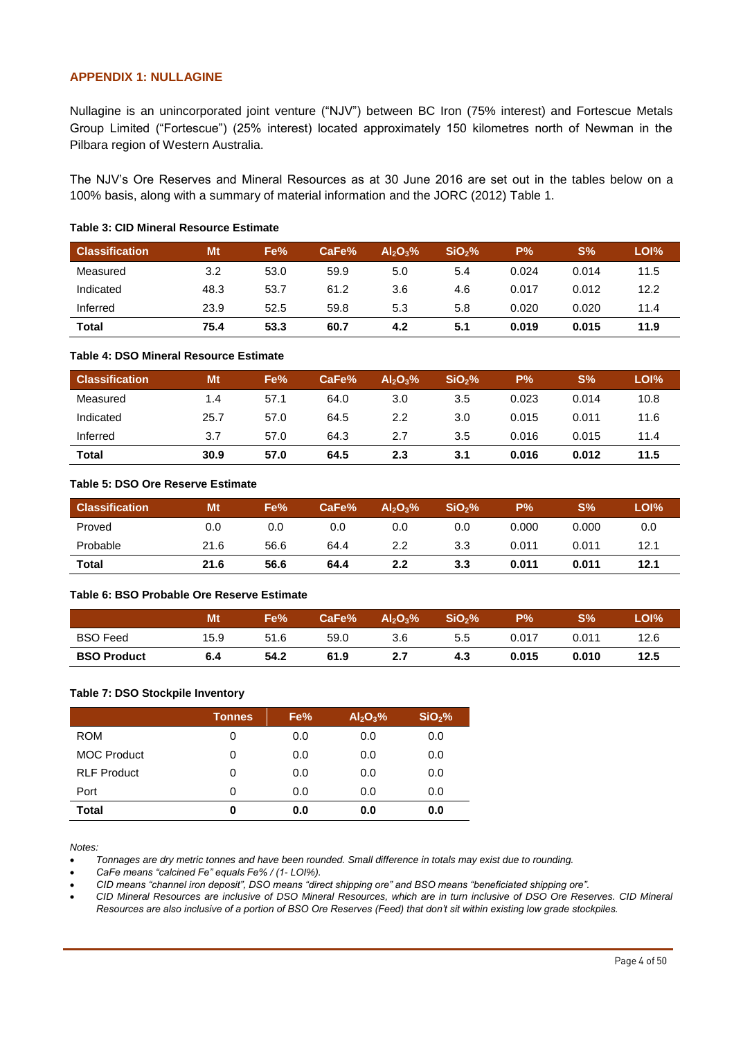### **APPENDIX 1: NULLAGINE**

Nullagine is an unincorporated joint venture ("NJV") between BC Iron (75% interest) and Fortescue Metals Group Limited ("Fortescue") (25% interest) located approximately 150 kilometres north of Newman in the Pilbara region of Western Australia.

The NJV's Ore Reserves and Mineral Resources as at 30 June 2016 are set out in the tables below on a 100% basis, along with a summary of material information and the JORC (2012) Table 1.

| <b>Classification</b> | Mt   | Fe%  | CaFe% | $Al_2O_3\%$ | SiO <sub>2</sub> % | P%    | $S\%$ | LOI% |
|-----------------------|------|------|-------|-------------|--------------------|-------|-------|------|
| Measured              | 3.2  | 53.0 | 59.9  | 5.0         | 5.4                | 0.024 | 0.014 | 11.5 |
| Indicated             | 48.3 | 53.7 | 61.2  | 3.6         | 4.6                | 0.017 | 0.012 | 12.2 |
| Inferred              | 23.9 | 52.5 | 59.8  | 5.3         | 5.8                | 0.020 | 0.020 | 11.4 |
| <b>Total</b>          | 75.4 | 53.3 | 60.7  | 4.2         | 5.1                | 0.019 | 0.015 | 11.9 |

#### **Table 3: CID Mineral Resource Estimate**

#### **Table 4: DSO Mineral Resource Estimate**

| <b>Classification</b> | Mt   | Fe%  | CaFe% | $Al_2O_3\%$ | SiO <sub>2</sub> % | P%    | $S\%$ | LOI% |
|-----------------------|------|------|-------|-------------|--------------------|-------|-------|------|
| Measured              | 1.4  | 57.1 | 64.0  | 3.0         | 3.5                | 0.023 | 0.014 | 10.8 |
| Indicated             | 25.7 | 57.0 | 64.5  | 2.2         | 3.0                | 0.015 | 0.011 | 11.6 |
| Inferred              | 3.7  | 57.0 | 64.3  | 2.7         | 3.5                | 0.016 | 0.015 | 11.4 |
| <b>Total</b>          | 30.9 | 57.0 | 64.5  | 2.3         | 3.1                | 0.016 | 0.012 | 11.5 |

### **Table 5: DSO Ore Reserve Estimate**

| <b>Classification</b> | <b>Mt</b> | Fe%  | CaFe% | $Al_2O_3\%$ | SiO <sub>2</sub> % | <b>P%</b> | S%    | LOI% |
|-----------------------|-----------|------|-------|-------------|--------------------|-----------|-------|------|
| Proved                | 0.0       | 0.0  | 0.0   | 0.0         | 0.0                | 0.000     | 0.000 | 0.0  |
| Probable              | 21.6      | 56.6 | 64.4  | 2.2         | 3.3                | 0.011     | 0.011 | 12.1 |
| <b>Total</b>          | 21.6      | 56.6 | 64.4  | 2.2         | 3.3                | 0.011     | 0.011 | 12.1 |

#### **Table 6: BSO Probable Ore Reserve Estimate**

|                    | Mt   | Fe%  | CaFe% | $Al_2O_3\%$ | SiO <sub>2</sub> % | <b>P%</b> | S%    | LOI% <sup>1</sup> |
|--------------------|------|------|-------|-------------|--------------------|-----------|-------|-------------------|
| <b>BSO</b> Feed    | 15.9 | 51.6 | 59.0  | 3.6         | 5.5                | 0.017     | 0.011 | 12.6              |
| <b>BSO Product</b> | 6.4  | 54.2 | 61.9  | 2.7         | 4.3                | 0.015     | 0.010 | 12.5              |

#### **Table 7: DSO Stockpile Inventory**

|                    | <b>Tonnes</b> | Fe% | Al <sub>2</sub> O <sub>3</sub> % | SiO <sub>2</sub> % |
|--------------------|---------------|-----|----------------------------------|--------------------|
| <b>ROM</b>         | 0             | 0.0 | 0.0                              | 0.0                |
| <b>MOC Product</b> | 0             | 0.0 | 0.0                              | 0.0                |
| <b>RLF Product</b> | 0             | 0.0 | 0.0                              | 0.0                |
| Port               | 0             | 0.0 | 0.0                              | 0.0                |
| <b>Total</b>       | 0             | 0.0 | 0.0                              | 0.0                |

*Notes:* 

*Tonnages are dry metric tonnes and have been rounded. Small difference in totals may exist due to rounding.*

*CaFe means "calcined Fe" equals Fe% / (1- LOI%).* 

*CID means "channel iron deposit", DSO means "direct shipping ore" and BSO means "beneficiated shipping ore".* 

 *CID Mineral Resources are inclusive of DSO Mineral Resources, which are in turn inclusive of DSO Ore Reserves. CID Mineral Resources are also inclusive of a portion of BSO Ore Reserves (Feed) that don't sit within existing low grade stockpiles.*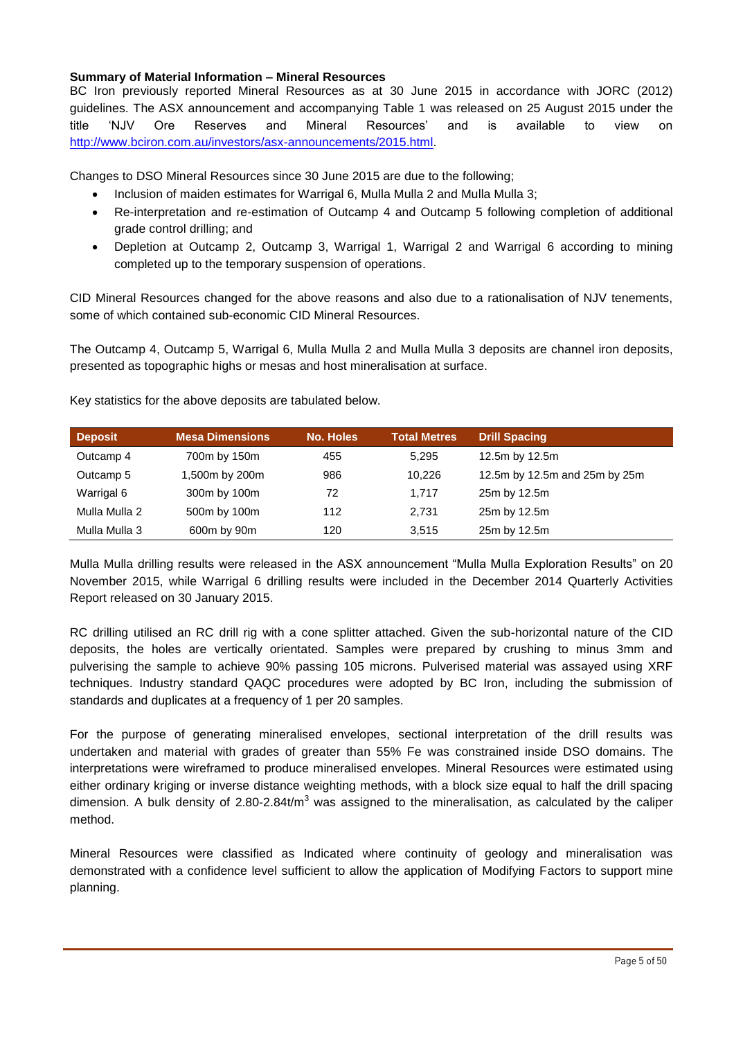### **Summary of Material Information – Mineral Resources**

BC Iron previously reported Mineral Resources as at 30 June 2015 in accordance with JORC (2012) guidelines. The ASX announcement and accompanying Table 1 was released on 25 August 2015 under the title 'NJV Ore Reserves and Mineral Resources' and is available to view on [http://www.bciron.com.au/investors/asx-announcements/2015.html.](http://www.bciron.com.au/investors/asx-announcements/2015.html)

Changes to DSO Mineral Resources since 30 June 2015 are due to the following;

- Inclusion of maiden estimates for Warrigal 6, Mulla Mulla 2 and Mulla Mulla 3;
- Re-interpretation and re-estimation of Outcamp 4 and Outcamp 5 following completion of additional grade control drilling; and
- Depletion at Outcamp 2, Outcamp 3, Warrigal 1, Warrigal 2 and Warrigal 6 according to mining completed up to the temporary suspension of operations.

CID Mineral Resources changed for the above reasons and also due to a rationalisation of NJV tenements, some of which contained sub-economic CID Mineral Resources.

The Outcamp 4, Outcamp 5, Warrigal 6, Mulla Mulla 2 and Mulla Mulla 3 deposits are channel iron deposits, presented as topographic highs or mesas and host mineralisation at surface.

| <b>Deposit</b> | <b>Mesa Dimensions</b> | <b>No. Holes</b> | <b>Total Metres</b> | <b>Drill Spacing</b>          |
|----------------|------------------------|------------------|---------------------|-------------------------------|
| Outcamp 4      | 700m by 150m           | 455              | 5,295               | 12.5m by 12.5m                |
| Outcamp 5      | 1,500m by 200m         | 986              | 10.226              | 12.5m by 12.5m and 25m by 25m |
| Warrigal 6     | 300m by 100m           | 72               | 1.717               | 25m by 12.5m                  |
| Mulla Mulla 2  | 500m by 100m           | 112              | 2,731               | 25m by 12.5m                  |
| Mulla Mulla 3  | 600m by 90m            | 120              | 3.515               | 25m by 12.5m                  |

Key statistics for the above deposits are tabulated below.

Mulla Mulla drilling results were released in the ASX announcement "Mulla Mulla Exploration Results" on 20 November 2015, while Warrigal 6 drilling results were included in the December 2014 Quarterly Activities Report released on 30 January 2015.

RC drilling utilised an RC drill rig with a cone splitter attached. Given the sub-horizontal nature of the CID deposits, the holes are vertically orientated. Samples were prepared by crushing to minus 3mm and pulverising the sample to achieve 90% passing 105 microns. Pulverised material was assayed using XRF techniques. Industry standard QAQC procedures were adopted by BC Iron, including the submission of standards and duplicates at a frequency of 1 per 20 samples.

For the purpose of generating mineralised envelopes, sectional interpretation of the drill results was undertaken and material with grades of greater than 55% Fe was constrained inside DSO domains. The interpretations were wireframed to produce mineralised envelopes. Mineral Resources were estimated using either ordinary kriging or inverse distance weighting methods, with a block size equal to half the drill spacing dimension. A bulk density of  $2.80$ -2.84t/m<sup>3</sup> was assigned to the mineralisation, as calculated by the caliper method.

Mineral Resources were classified as Indicated where continuity of geology and mineralisation was demonstrated with a confidence level sufficient to allow the application of Modifying Factors to support mine planning.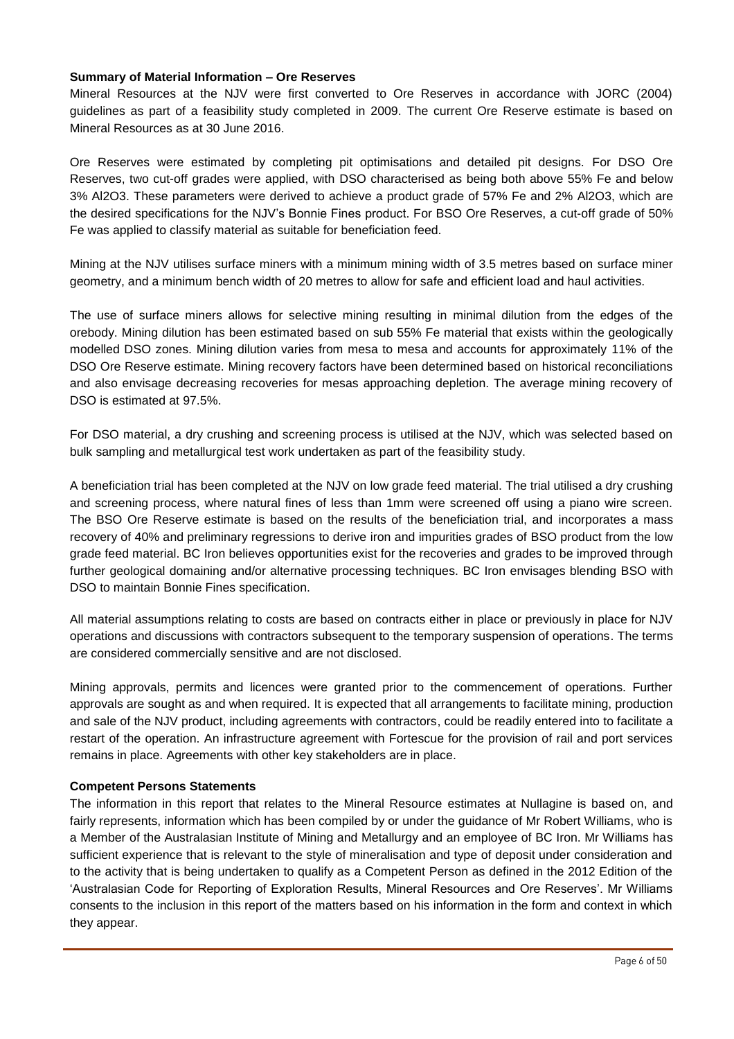### **Summary of Material Information – Ore Reserves**

Mineral Resources at the NJV were first converted to Ore Reserves in accordance with JORC (2004) guidelines as part of a feasibility study completed in 2009. The current Ore Reserve estimate is based on Mineral Resources as at 30 June 2016.

Ore Reserves were estimated by completing pit optimisations and detailed pit designs. For DSO Ore Reserves, two cut-off grades were applied, with DSO characterised as being both above 55% Fe and below 3% Al2O3. These parameters were derived to achieve a product grade of 57% Fe and 2% Al2O3, which are the desired specifications for the NJV's Bonnie Fines product. For BSO Ore Reserves, a cut-off grade of 50% Fe was applied to classify material as suitable for beneficiation feed.

Mining at the NJV utilises surface miners with a minimum mining width of 3.5 metres based on surface miner geometry, and a minimum bench width of 20 metres to allow for safe and efficient load and haul activities.

The use of surface miners allows for selective mining resulting in minimal dilution from the edges of the orebody. Mining dilution has been estimated based on sub 55% Fe material that exists within the geologically modelled DSO zones. Mining dilution varies from mesa to mesa and accounts for approximately 11% of the DSO Ore Reserve estimate. Mining recovery factors have been determined based on historical reconciliations and also envisage decreasing recoveries for mesas approaching depletion. The average mining recovery of DSO is estimated at 97.5%.

For DSO material, a dry crushing and screening process is utilised at the NJV, which was selected based on bulk sampling and metallurgical test work undertaken as part of the feasibility study.

A beneficiation trial has been completed at the NJV on low grade feed material. The trial utilised a dry crushing and screening process, where natural fines of less than 1mm were screened off using a piano wire screen. The BSO Ore Reserve estimate is based on the results of the beneficiation trial, and incorporates a mass recovery of 40% and preliminary regressions to derive iron and impurities grades of BSO product from the low grade feed material. BC Iron believes opportunities exist for the recoveries and grades to be improved through further geological domaining and/or alternative processing techniques. BC Iron envisages blending BSO with DSO to maintain Bonnie Fines specification.

All material assumptions relating to costs are based on contracts either in place or previously in place for NJV operations and discussions with contractors subsequent to the temporary suspension of operations. The terms are considered commercially sensitive and are not disclosed.

Mining approvals, permits and licences were granted prior to the commencement of operations. Further approvals are sought as and when required. It is expected that all arrangements to facilitate mining, production and sale of the NJV product, including agreements with contractors, could be readily entered into to facilitate a restart of the operation. An infrastructure agreement with Fortescue for the provision of rail and port services remains in place. Agreements with other key stakeholders are in place.

### **Competent Persons Statements**

The information in this report that relates to the Mineral Resource estimates at Nullagine is based on, and fairly represents, information which has been compiled by or under the guidance of Mr Robert Williams, who is a Member of the Australasian Institute of Mining and Metallurgy and an employee of BC Iron. Mr Williams has sufficient experience that is relevant to the style of mineralisation and type of deposit under consideration and to the activity that is being undertaken to qualify as a Competent Person as defined in the 2012 Edition of the 'Australasian Code for Reporting of Exploration Results, Mineral Resources and Ore Reserves'. Mr Williams consents to the inclusion in this report of the matters based on his information in the form and context in which they appear.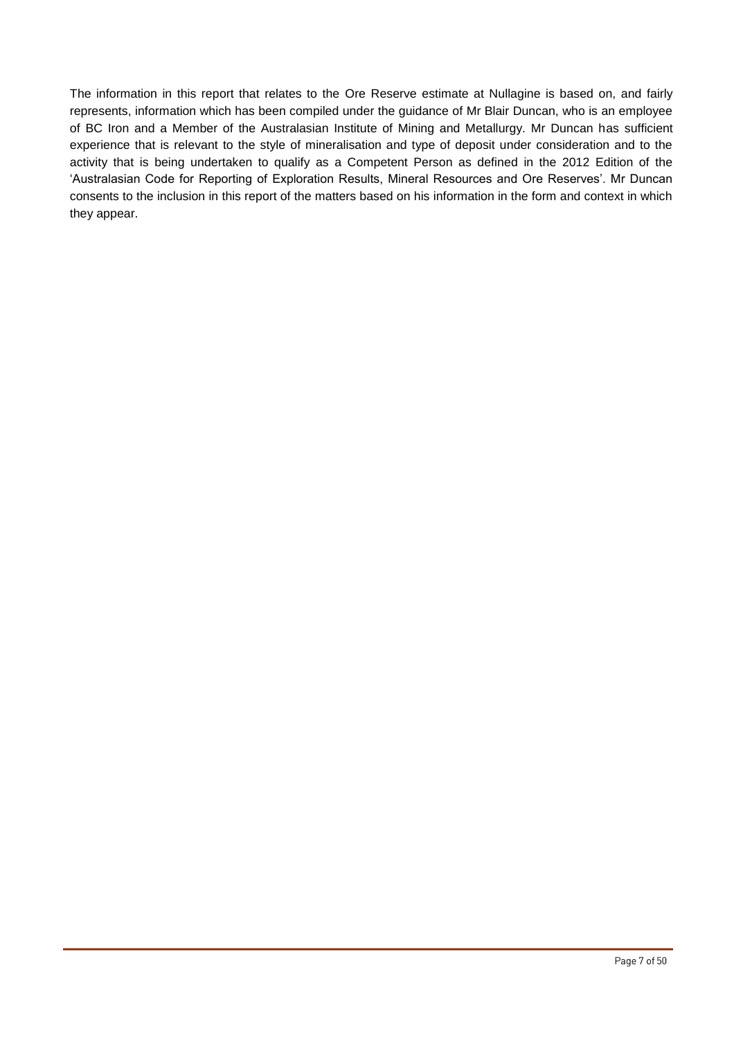The information in this report that relates to the Ore Reserve estimate at Nullagine is based on, and fairly represents, information which has been compiled under the guidance of Mr Blair Duncan, who is an employee of BC Iron and a Member of the Australasian Institute of Mining and Metallurgy. Mr Duncan has sufficient experience that is relevant to the style of mineralisation and type of deposit under consideration and to the activity that is being undertaken to qualify as a Competent Person as defined in the 2012 Edition of the 'Australasian Code for Reporting of Exploration Results, Mineral Resources and Ore Reserves'. Mr Duncan consents to the inclusion in this report of the matters based on his information in the form and context in which they appear.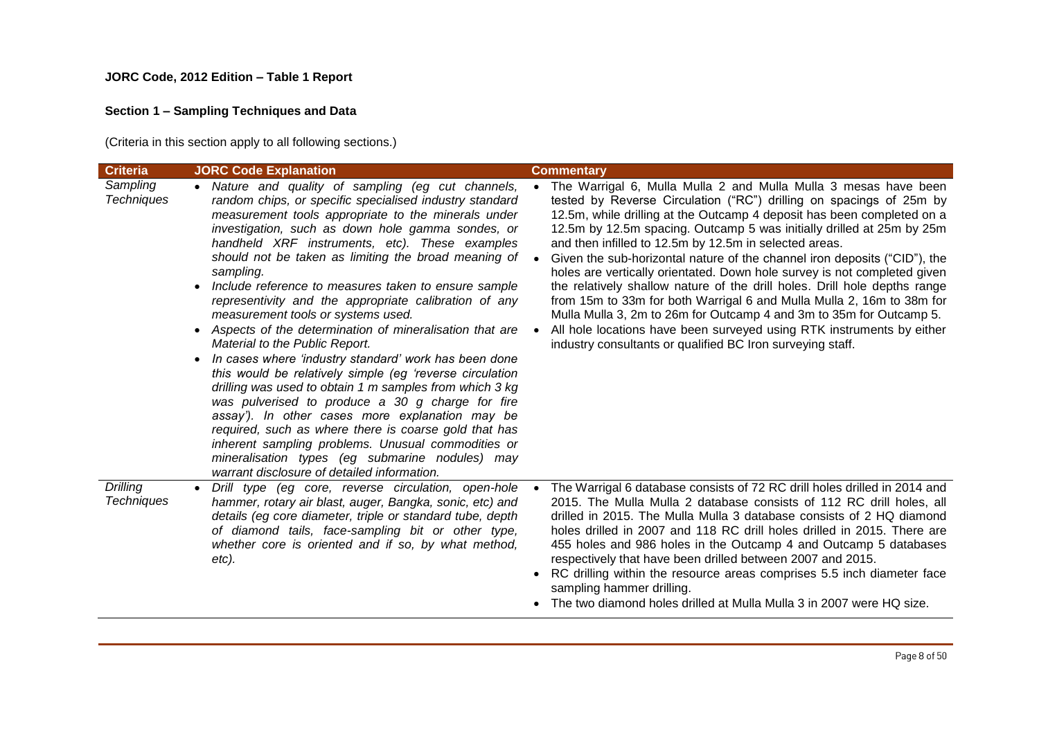### **JORC Code, 2012 Edition – Table 1 Report**

# **Section 1 – Sampling Techniques and Data**

(Criteria in this section apply to all following sections.)

| <b>Criteria</b>                      | <b>JORC Code Explanation</b>                                                                                                                                                                                                                                                                                                                                                                                                                                                                                                                                                                                                                                                                                                                                                                                                                                                                                                                                                                                                                                                                                                                      | <b>Commentary</b>                                                                                                                                                                                                                                                                                                                                                                                                                                                                                                                                                                                                                                                                                                                                                                                                                                                                                          |
|--------------------------------------|---------------------------------------------------------------------------------------------------------------------------------------------------------------------------------------------------------------------------------------------------------------------------------------------------------------------------------------------------------------------------------------------------------------------------------------------------------------------------------------------------------------------------------------------------------------------------------------------------------------------------------------------------------------------------------------------------------------------------------------------------------------------------------------------------------------------------------------------------------------------------------------------------------------------------------------------------------------------------------------------------------------------------------------------------------------------------------------------------------------------------------------------------|------------------------------------------------------------------------------------------------------------------------------------------------------------------------------------------------------------------------------------------------------------------------------------------------------------------------------------------------------------------------------------------------------------------------------------------------------------------------------------------------------------------------------------------------------------------------------------------------------------------------------------------------------------------------------------------------------------------------------------------------------------------------------------------------------------------------------------------------------------------------------------------------------------|
| Sampling<br><b>Techniques</b>        | Nature and quality of sampling (eg cut channels,<br>random chips, or specific specialised industry standard<br>measurement tools appropriate to the minerals under<br>investigation, such as down hole gamma sondes, or<br>handheld XRF instruments, etc). These examples<br>should not be taken as limiting the broad meaning of<br>sampling.<br>Include reference to measures taken to ensure sample<br>$\bullet$<br>representivity and the appropriate calibration of any<br>measurement tools or systems used.<br>Aspects of the determination of mineralisation that are<br>$\bullet$<br>Material to the Public Report.<br>In cases where 'industry standard' work has been done<br>$\bullet$<br>this would be relatively simple (eg 'reverse circulation<br>drilling was used to obtain 1 m samples from which 3 kg<br>was pulverised to produce a 30 g charge for fire<br>assay'). In other cases more explanation may be<br>required, such as where there is coarse gold that has<br>inherent sampling problems. Unusual commodities or<br>mineralisation types (eg submarine nodules) may<br>warrant disclosure of detailed information. | The Warrigal 6, Mulla Mulla 2 and Mulla Mulla 3 mesas have been<br>tested by Reverse Circulation ("RC") drilling on spacings of 25m by<br>12.5m, while drilling at the Outcamp 4 deposit has been completed on a<br>12.5m by 12.5m spacing. Outcamp 5 was initially drilled at 25m by 25m<br>and then infilled to 12.5m by 12.5m in selected areas.<br>Given the sub-horizontal nature of the channel iron deposits ("CID"), the<br>$\bullet$<br>holes are vertically orientated. Down hole survey is not completed given<br>the relatively shallow nature of the drill holes. Drill hole depths range<br>from 15m to 33m for both Warrigal 6 and Mulla Mulla 2, 16m to 38m for<br>Mulla Mulla 3, 2m to 26m for Outcamp 4 and 3m to 35m for Outcamp 5.<br>All hole locations have been surveyed using RTK instruments by either<br>$\bullet$<br>industry consultants or qualified BC Iron surveying staff. |
| <b>Drilling</b><br><b>Techniques</b> | Drill type (eq core, reverse circulation, open-hole<br>$\bullet$<br>hammer, rotary air blast, auger, Bangka, sonic, etc) and<br>details (eg core diameter, triple or standard tube, depth<br>of diamond tails, face-sampling bit or other type,<br>whether core is oriented and if so, by what method,<br>$etc$ ).                                                                                                                                                                                                                                                                                                                                                                                                                                                                                                                                                                                                                                                                                                                                                                                                                                | The Warrigal 6 database consists of 72 RC drill holes drilled in 2014 and<br>2015. The Mulla Mulla 2 database consists of 112 RC drill holes, all<br>drilled in 2015. The Mulla Mulla 3 database consists of 2 HQ diamond<br>holes drilled in 2007 and 118 RC drill holes drilled in 2015. There are<br>455 holes and 986 holes in the Outcamp 4 and Outcamp 5 databases<br>respectively that have been drilled between 2007 and 2015.<br>RC drilling within the resource areas comprises 5.5 inch diameter face<br>sampling hammer drilling.<br>The two diamond holes drilled at Mulla Mulla 3 in 2007 were HQ size.                                                                                                                                                                                                                                                                                      |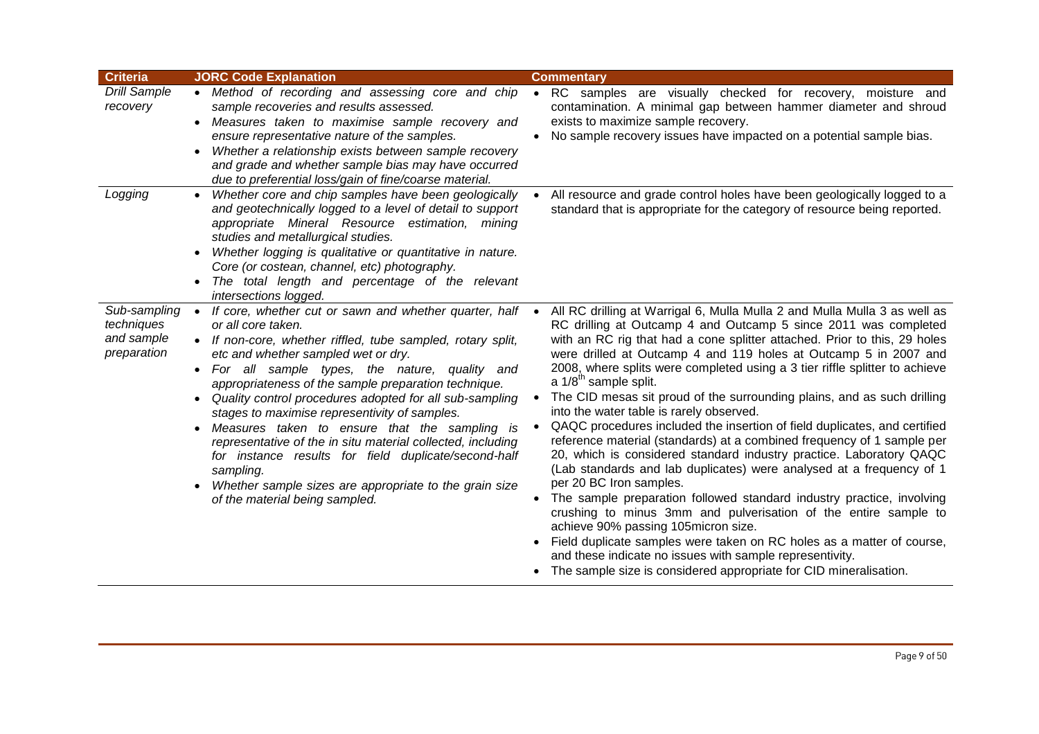| <b>Criteria</b>                                         | <b>JORC Code Explanation</b>                                                                                                                                                                                                                                                                                                                                                                                                                                                                                                                                                                                                                                                                                                    | <b>Commentary</b>                                                                                                                                                                                                                                                                                                                                                                                                                                                                                                                                                                                                                                                                                                                                                                                                                                                                                                                                                                                                                                                                                                                                                                                                                                                                     |
|---------------------------------------------------------|---------------------------------------------------------------------------------------------------------------------------------------------------------------------------------------------------------------------------------------------------------------------------------------------------------------------------------------------------------------------------------------------------------------------------------------------------------------------------------------------------------------------------------------------------------------------------------------------------------------------------------------------------------------------------------------------------------------------------------|---------------------------------------------------------------------------------------------------------------------------------------------------------------------------------------------------------------------------------------------------------------------------------------------------------------------------------------------------------------------------------------------------------------------------------------------------------------------------------------------------------------------------------------------------------------------------------------------------------------------------------------------------------------------------------------------------------------------------------------------------------------------------------------------------------------------------------------------------------------------------------------------------------------------------------------------------------------------------------------------------------------------------------------------------------------------------------------------------------------------------------------------------------------------------------------------------------------------------------------------------------------------------------------|
| <b>Drill Sample</b><br>recovery                         | • Method of recording and assessing core and chip<br>sample recoveries and results assessed.<br>Measures taken to maximise sample recovery and<br>ensure representative nature of the samples.<br>Whether a relationship exists between sample recovery<br>and grade and whether sample bias may have occurred<br>due to preferential loss/gain of fine/coarse material.                                                                                                                                                                                                                                                                                                                                                        | • RC samples are visually checked for recovery, moisture and<br>contamination. A minimal gap between hammer diameter and shroud<br>exists to maximize sample recovery.<br>No sample recovery issues have impacted on a potential sample bias.                                                                                                                                                                                                                                                                                                                                                                                                                                                                                                                                                                                                                                                                                                                                                                                                                                                                                                                                                                                                                                         |
| Logging                                                 | Whether core and chip samples have been geologically<br>$\bullet$<br>and geotechnically logged to a level of detail to support<br>appropriate Mineral Resource estimation, mining<br>studies and metallurgical studies.<br>Whether logging is qualitative or quantitative in nature.<br>$\bullet$<br>Core (or costean, channel, etc) photography.<br>The total length and percentage of the relevant<br>intersections logged.                                                                                                                                                                                                                                                                                                   | All resource and grade control holes have been geologically logged to a<br>standard that is appropriate for the category of resource being reported.                                                                                                                                                                                                                                                                                                                                                                                                                                                                                                                                                                                                                                                                                                                                                                                                                                                                                                                                                                                                                                                                                                                                  |
| Sub-sampling<br>techniques<br>and sample<br>preparation | If core, whether cut or sawn and whether quarter, half<br>$\bullet$<br>or all core taken.<br>• If non-core, whether riffled, tube sampled, rotary split,<br>etc and whether sampled wet or dry.<br>For all sample types, the nature, quality and<br>appropriateness of the sample preparation technique.<br>Quality control procedures adopted for all sub-sampling<br>stages to maximise representivity of samples.<br>Measures taken to ensure that the sampling is<br>$\bullet$<br>representative of the in situ material collected, including<br>for instance results for field duplicate/second-half<br>sampling.<br>Whether sample sizes are appropriate to the grain size<br>$\bullet$<br>of the material being sampled. | All RC drilling at Warrigal 6, Mulla Mulla 2 and Mulla Mulla 3 as well as<br>$\bullet$<br>RC drilling at Outcamp 4 and Outcamp 5 since 2011 was completed<br>with an RC rig that had a cone splitter attached. Prior to this, 29 holes<br>were drilled at Outcamp 4 and 119 holes at Outcamp 5 in 2007 and<br>2008, where splits were completed using a 3 tier riffle splitter to achieve<br>a 1/8 <sup>th</sup> sample split.<br>The CID mesas sit proud of the surrounding plains, and as such drilling<br>into the water table is rarely observed.<br>QAQC procedures included the insertion of field duplicates, and certified<br>reference material (standards) at a combined frequency of 1 sample per<br>20, which is considered standard industry practice. Laboratory QAQC<br>(Lab standards and lab duplicates) were analysed at a frequency of 1<br>per 20 BC Iron samples.<br>The sample preparation followed standard industry practice, involving<br>crushing to minus 3mm and pulverisation of the entire sample to<br>achieve 90% passing 105micron size.<br>Field duplicate samples were taken on RC holes as a matter of course,<br>and these indicate no issues with sample representivity.<br>• The sample size is considered appropriate for CID mineralisation. |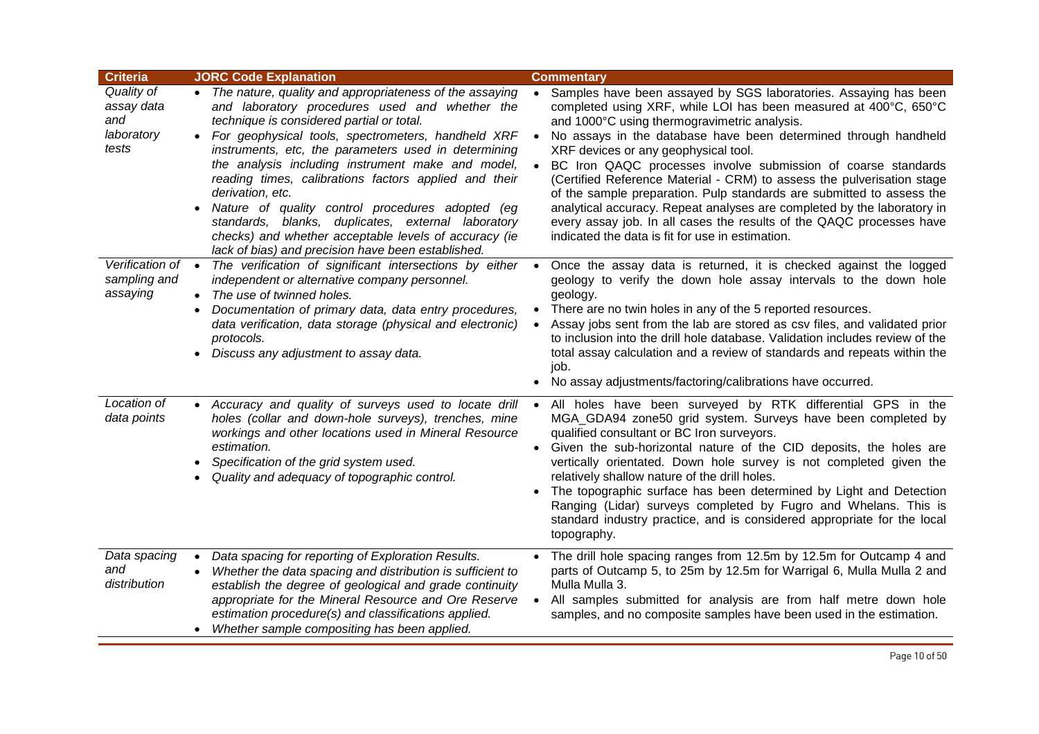| <b>Criteria</b>                                        | <b>JORC Code Explanation</b>                                                                                                                                                                                                                                                                                                                                                                                                                                                                                                                                                                                                                   | <b>Commentary</b>                                                                                                                                                                                                                                                                                                                                                                                                                                                                                                                                                                                                                                                                                                                                    |
|--------------------------------------------------------|------------------------------------------------------------------------------------------------------------------------------------------------------------------------------------------------------------------------------------------------------------------------------------------------------------------------------------------------------------------------------------------------------------------------------------------------------------------------------------------------------------------------------------------------------------------------------------------------------------------------------------------------|------------------------------------------------------------------------------------------------------------------------------------------------------------------------------------------------------------------------------------------------------------------------------------------------------------------------------------------------------------------------------------------------------------------------------------------------------------------------------------------------------------------------------------------------------------------------------------------------------------------------------------------------------------------------------------------------------------------------------------------------------|
| Quality of<br>assay data<br>and<br>laboratory<br>tests | • The nature, quality and appropriateness of the assaying<br>and laboratory procedures used and whether the<br>technique is considered partial or total.<br>For geophysical tools, spectrometers, handheld XRF<br>$\bullet$<br>instruments, etc, the parameters used in determining<br>the analysis including instrument make and model,<br>reading times, calibrations factors applied and their<br>derivation, etc.<br>Nature of quality control procedures adopted (eg<br>standards, blanks, duplicates, external laboratory<br>checks) and whether acceptable levels of accuracy (ie<br>lack of bias) and precision have been established. | Samples have been assayed by SGS laboratories. Assaying has been<br>completed using XRF, while LOI has been measured at 400°C, 650°C<br>and 1000°C using thermogravimetric analysis.<br>No assays in the database have been determined through handheld<br>$\bullet$<br>XRF devices or any geophysical tool.<br>BC Iron QAQC processes involve submission of coarse standards<br>$\bullet$<br>(Certified Reference Material - CRM) to assess the pulverisation stage<br>of the sample preparation. Pulp standards are submitted to assess the<br>analytical accuracy. Repeat analyses are completed by the laboratory in<br>every assay job. In all cases the results of the QAQC processes have<br>indicated the data is fit for use in estimation. |
| Verification of<br>sampling and<br>assaying            | The verification of significant intersections by either •<br>$\bullet$<br>independent or alternative company personnel.<br>The use of twinned holes.<br>$\bullet$<br>Documentation of primary data, data entry procedures,<br>$\bullet$<br>data verification, data storage (physical and electronic)<br>protocols.<br>Discuss any adjustment to assay data.<br>$\bullet$                                                                                                                                                                                                                                                                       | Once the assay data is returned, it is checked against the logged<br>geology to verify the down hole assay intervals to the down hole<br>geology.<br>There are no twin holes in any of the 5 reported resources.<br>$\bullet$<br>Assay jobs sent from the lab are stored as csv files, and validated prior<br>$\bullet$<br>to inclusion into the drill hole database. Validation includes review of the<br>total assay calculation and a review of standards and repeats within the<br>job.<br>• No assay adjustments/factoring/calibrations have occurred.                                                                                                                                                                                          |
| Location of<br>data points                             | Accuracy and quality of surveys used to locate drill<br>$\bullet$<br>holes (collar and down-hole surveys), trenches, mine<br>workings and other locations used in Mineral Resource<br>estimation.<br>Specification of the grid system used.<br>Quality and adequacy of topographic control.                                                                                                                                                                                                                                                                                                                                                    | All holes have been surveyed by RTK differential GPS in the<br>$\bullet$<br>MGA_GDA94 zone50 grid system. Surveys have been completed by<br>qualified consultant or BC Iron surveyors.<br>Given the sub-horizontal nature of the CID deposits, the holes are<br>$\bullet$<br>vertically orientated. Down hole survey is not completed given the<br>relatively shallow nature of the drill holes.<br>The topographic surface has been determined by Light and Detection<br>$\bullet$<br>Ranging (Lidar) surveys completed by Fugro and Whelans. This is<br>standard industry practice, and is considered appropriate for the local<br>topography.                                                                                                     |
| Data spacing<br>and<br>distribution                    | Data spacing for reporting of Exploration Results.<br>$\bullet$<br>Whether the data spacing and distribution is sufficient to<br>$\bullet$<br>establish the degree of geological and grade continuity<br>appropriate for the Mineral Resource and Ore Reserve<br>estimation procedure(s) and classifications applied.<br>• Whether sample compositing has been applied.                                                                                                                                                                                                                                                                        | The drill hole spacing ranges from 12.5m by 12.5m for Outcamp 4 and<br>parts of Outcamp 5, to 25m by 12.5m for Warrigal 6, Mulla Mulla 2 and<br>Mulla Mulla 3.<br>All samples submitted for analysis are from half metre down hole<br>$\bullet$<br>samples, and no composite samples have been used in the estimation.                                                                                                                                                                                                                                                                                                                                                                                                                               |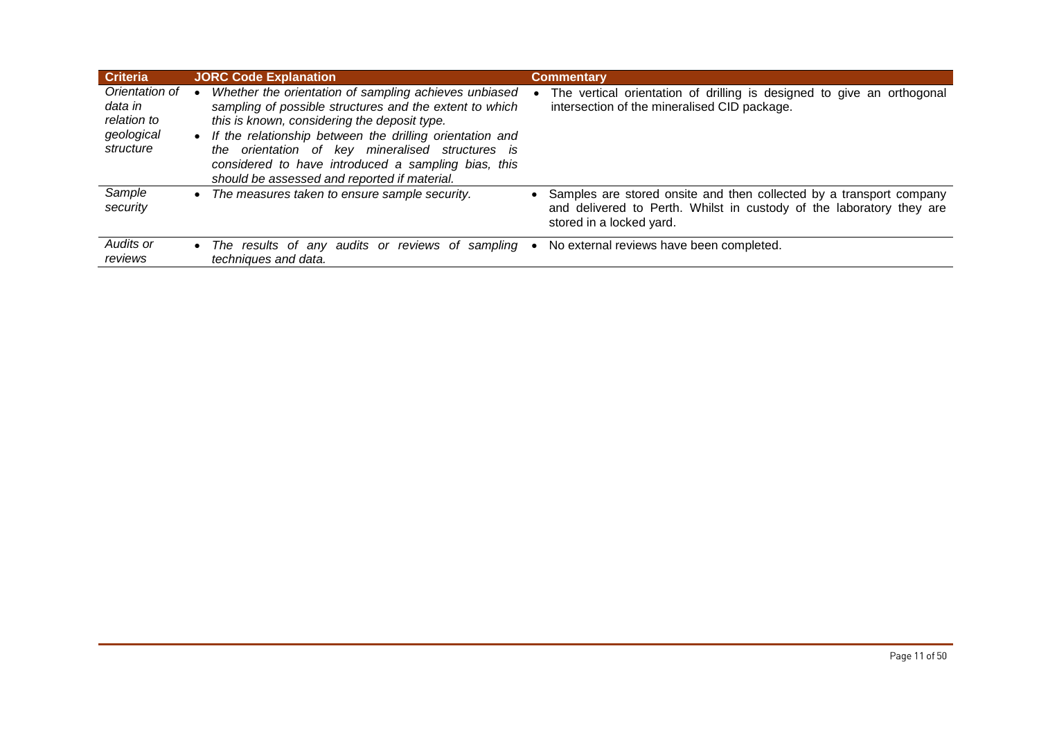| <b>Criteria</b>                                                     | <b>JORC Code Explanation</b>                                                                                                                                                                                                                                                                                                                                                                 | <b>Commentary</b>                                                                                                                                                       |
|---------------------------------------------------------------------|----------------------------------------------------------------------------------------------------------------------------------------------------------------------------------------------------------------------------------------------------------------------------------------------------------------------------------------------------------------------------------------------|-------------------------------------------------------------------------------------------------------------------------------------------------------------------------|
| Orientation of<br>data in<br>relation to<br>geological<br>structure | Whether the orientation of sampling achieves unbiased<br>sampling of possible structures and the extent to which<br>this is known, considering the deposit type.<br>• If the relationship between the drilling orientation and<br>orientation of key mineralised structures is<br>the<br>considered to have introduced a sampling bias, this<br>should be assessed and reported if material. | The vertical orientation of drilling is designed to give an orthogonal<br>intersection of the mineralised CID package.                                                  |
| Sample<br>security                                                  | The measures taken to ensure sample security.<br>$\bullet$                                                                                                                                                                                                                                                                                                                                   | Samples are stored onsite and then collected by a transport company<br>and delivered to Perth. Whilst in custody of the laboratory they are<br>stored in a locked yard. |
| Audits or<br>reviews                                                | • The results of any audits or reviews of sampling<br>techniques and data.                                                                                                                                                                                                                                                                                                                   | No external reviews have been completed.                                                                                                                                |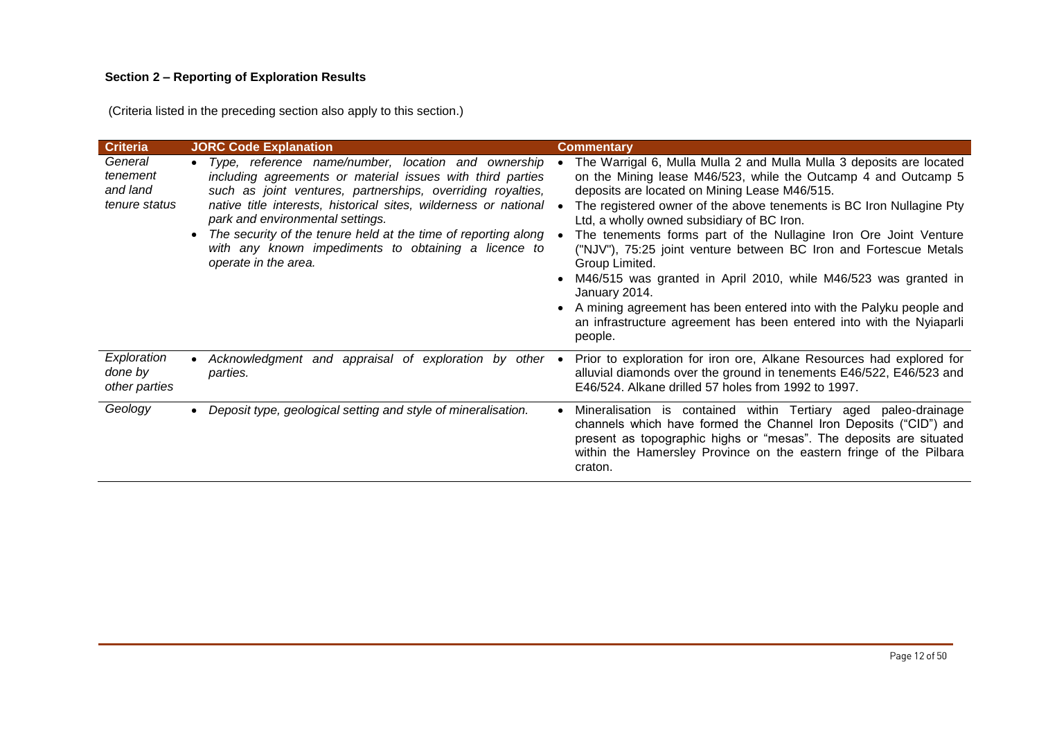# **Section 2 – Reporting of Exploration Results**

(Criteria listed in the preceding section also apply to this section.)

| <b>Criteria</b>                                  | <b>JORC Code Explanation</b>                                                                                                                                                                                                                                                                                                                                                                                                                                | <b>Commentary</b>                                                                                                                                                                                                                                                                                                                                                                                                                                                                                                                                                                                                                                                                                                                   |
|--------------------------------------------------|-------------------------------------------------------------------------------------------------------------------------------------------------------------------------------------------------------------------------------------------------------------------------------------------------------------------------------------------------------------------------------------------------------------------------------------------------------------|-------------------------------------------------------------------------------------------------------------------------------------------------------------------------------------------------------------------------------------------------------------------------------------------------------------------------------------------------------------------------------------------------------------------------------------------------------------------------------------------------------------------------------------------------------------------------------------------------------------------------------------------------------------------------------------------------------------------------------------|
| General<br>tenement<br>and land<br>tenure status | • Type, reference name/number, location and ownership<br>including agreements or material issues with third parties<br>such as joint ventures, partnerships, overriding royalties,<br>native title interests, historical sites, wilderness or national .<br>park and environmental settings.<br>The security of the tenure held at the time of reporting along<br>$\bullet$<br>with any known impediments to obtaining a licence to<br>operate in the area. | The Warrigal 6, Mulla Mulla 2 and Mulla Mulla 3 deposits are located<br>on the Mining lease M46/523, while the Outcamp 4 and Outcamp 5<br>deposits are located on Mining Lease M46/515.<br>The registered owner of the above tenements is BC Iron Nullagine Pty<br>Ltd, a wholly owned subsidiary of BC Iron.<br>The tenements forms part of the Nullagine Iron Ore Joint Venture<br>("NJV"), 75:25 joint venture between BC Iron and Fortescue Metals<br>Group Limited.<br>M46/515 was granted in April 2010, while M46/523 was granted in<br>January 2014.<br>A mining agreement has been entered into with the Palyku people and<br>$\bullet$<br>an infrastructure agreement has been entered into with the Nyiaparli<br>people. |
| Exploration<br>done by<br>other parties          | Acknowledgment and appraisal of exploration by other •<br>parties.                                                                                                                                                                                                                                                                                                                                                                                          | Prior to exploration for iron ore, Alkane Resources had explored for<br>alluvial diamonds over the ground in tenements E46/522, E46/523 and<br>E46/524. Alkane drilled 57 holes from 1992 to 1997.                                                                                                                                                                                                                                                                                                                                                                                                                                                                                                                                  |
| Geology                                          | Deposit type, geological setting and style of mineralisation.                                                                                                                                                                                                                                                                                                                                                                                               | Mineralisation is contained within Tertiary aged paleo-drainage<br>channels which have formed the Channel Iron Deposits ("CID") and<br>present as topographic highs or "mesas". The deposits are situated<br>within the Hamersley Province on the eastern fringe of the Pilbara<br>craton.                                                                                                                                                                                                                                                                                                                                                                                                                                          |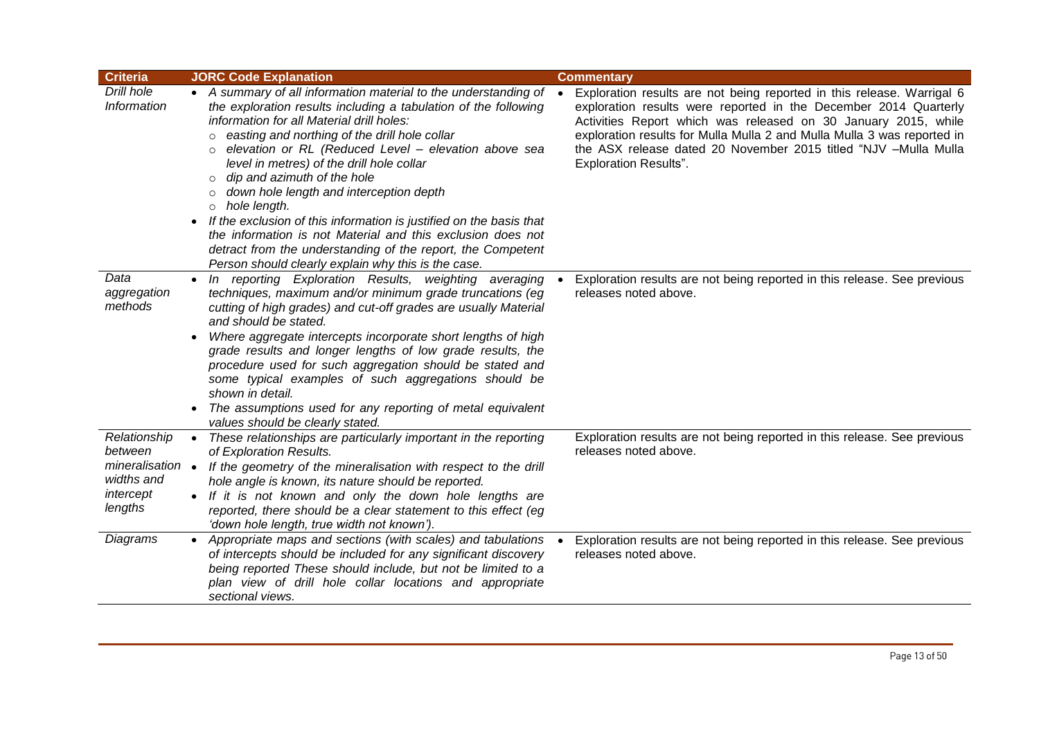| <b>Criteria</b>                                                                 | <b>JORC Code Explanation</b>                                                                                                                                                                                                                                                                                                                                                                                                                                                                                                                                                                                                                                                                                                              | <b>Commentary</b>                                                                                                                                                                                                                                                                                                                                                                          |
|---------------------------------------------------------------------------------|-------------------------------------------------------------------------------------------------------------------------------------------------------------------------------------------------------------------------------------------------------------------------------------------------------------------------------------------------------------------------------------------------------------------------------------------------------------------------------------------------------------------------------------------------------------------------------------------------------------------------------------------------------------------------------------------------------------------------------------------|--------------------------------------------------------------------------------------------------------------------------------------------------------------------------------------------------------------------------------------------------------------------------------------------------------------------------------------------------------------------------------------------|
| Drill hole<br>Information                                                       | • A summary of all information material to the understanding of<br>the exploration results including a tabulation of the following<br>information for all Material drill holes:<br>easting and northing of the drill hole collar<br>elevation or RL (Reduced Level - elevation above sea<br>level in metres) of the drill hole collar<br>dip and azimuth of the hole<br>$\circ$<br>down hole length and interception depth<br>$\circ$<br>hole length.<br>$\circ$<br>If the exclusion of this information is justified on the basis that<br>$\bullet$<br>the information is not Material and this exclusion does not<br>detract from the understanding of the report, the Competent<br>Person should clearly explain why this is the case. | Exploration results are not being reported in this release. Warrigal 6<br>exploration results were reported in the December 2014 Quarterly<br>Activities Report which was released on 30 January 2015, while<br>exploration results for Mulla Mulla 2 and Mulla Mulla 3 was reported in<br>the ASX release dated 20 November 2015 titled "NJV -Mulla Mulla<br><b>Exploration Results".</b> |
| Data<br>aggregation<br>methods                                                  | • In reporting Exploration Results, weighting averaging<br>techniques, maximum and/or minimum grade truncations (eg<br>cutting of high grades) and cut-off grades are usually Material<br>and should be stated.<br>Where aggregate intercepts incorporate short lengths of high<br>grade results and longer lengths of low grade results, the<br>procedure used for such aggregation should be stated and<br>some typical examples of such aggregations should be<br>shown in detail.<br>The assumptions used for any reporting of metal equivalent<br>values should be clearly stated.                                                                                                                                                   | Exploration results are not being reported in this release. See previous<br>releases noted above.                                                                                                                                                                                                                                                                                          |
| Relationship<br>between<br>mineralisation<br>widths and<br>intercept<br>lengths | These relationships are particularly important in the reporting<br>$\bullet$<br>of Exploration Results.<br>If the geometry of the mineralisation with respect to the drill<br>$\bullet$<br>hole angle is known, its nature should be reported.<br>• If it is not known and only the down hole lengths are<br>reported, there should be a clear statement to this effect (eg<br>'down hole length, true width not known').                                                                                                                                                                                                                                                                                                                 | Exploration results are not being reported in this release. See previous<br>releases noted above.                                                                                                                                                                                                                                                                                          |
| Diagrams                                                                        | Appropriate maps and sections (with scales) and tabulations<br>$\bullet$<br>of intercepts should be included for any significant discovery<br>being reported These should include, but not be limited to a<br>plan view of drill hole collar locations and appropriate<br>sectional views.                                                                                                                                                                                                                                                                                                                                                                                                                                                | Exploration results are not being reported in this release. See previous<br>releases noted above.                                                                                                                                                                                                                                                                                          |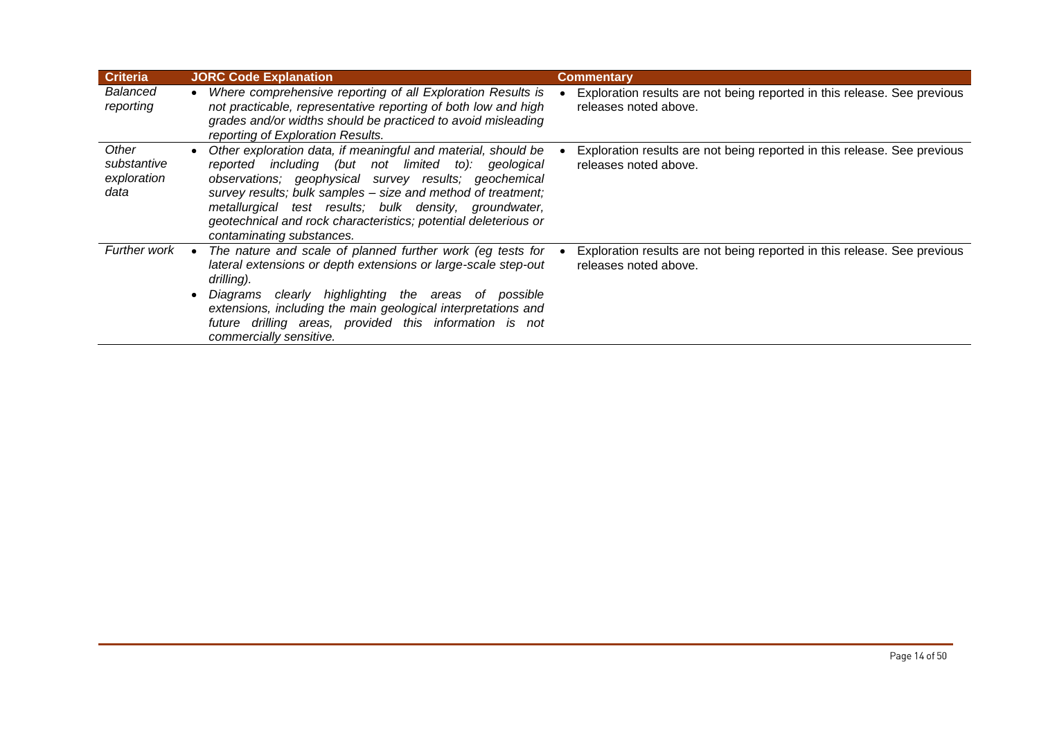| <b>Criteria</b>                             | <b>JORC Code Explanation</b>                                                                                                                                                                                                                                                                                                                                                                               | <b>Commentary</b>                                                                                 |
|---------------------------------------------|------------------------------------------------------------------------------------------------------------------------------------------------------------------------------------------------------------------------------------------------------------------------------------------------------------------------------------------------------------------------------------------------------------|---------------------------------------------------------------------------------------------------|
| Balanced<br>reporting                       | Where comprehensive reporting of all Exploration Results is<br>not practicable, representative reporting of both low and high<br>grades and/or widths should be practiced to avoid misleading<br>reporting of Exploration Results.                                                                                                                                                                         | Exploration results are not being reported in this release. See previous<br>releases noted above. |
| Other<br>substantive<br>exploration<br>data | Other exploration data, if meaningful and material, should be<br>including (but not limited to): geological<br>reported<br>observations; geophysical survey results; geochemical<br>survey results; bulk samples - size and method of treatment;<br>metallurgical test results; bulk density, groundwater,<br>geotechnical and rock characteristics; potential deleterious or<br>contaminating substances. | Exploration results are not being reported in this release. See previous<br>releases noted above. |
| <b>Further work</b>                         | The nature and scale of planned further work (eg tests for<br>lateral extensions or depth extensions or large-scale step-out<br>drilling).<br>Diagrams clearly highlighting<br>the areas of possible<br>extensions, including the main geological interpretations and<br>future drilling areas, provided this information is not<br>commercially sensitive.                                                | Exploration results are not being reported in this release. See previous<br>releases noted above. |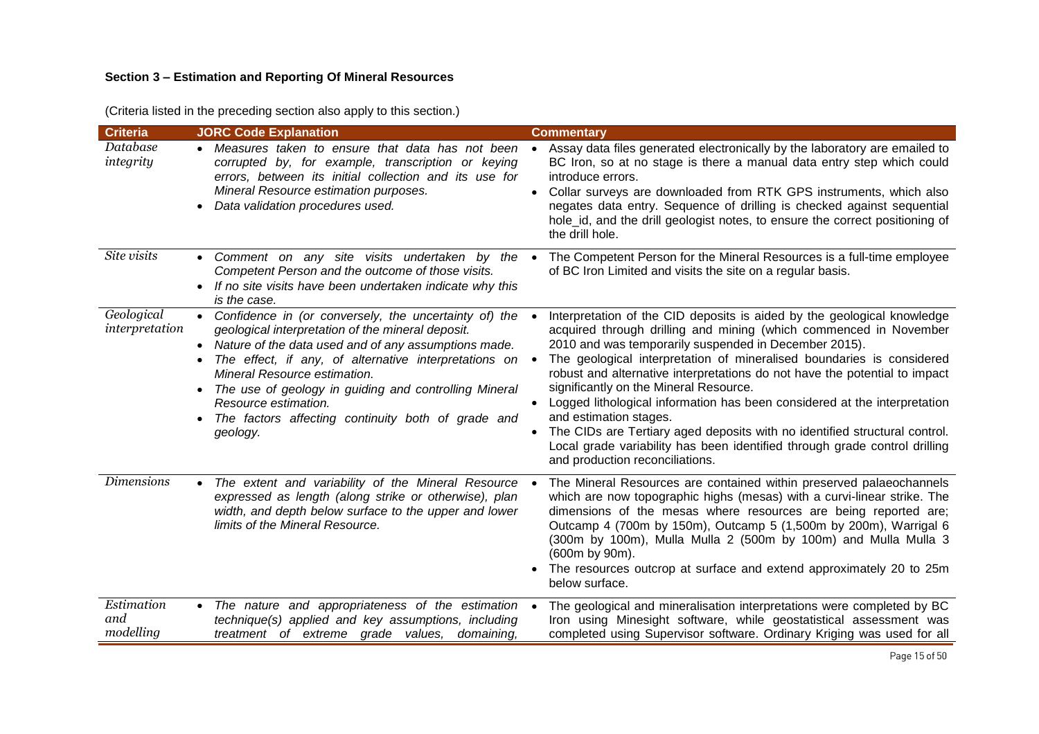# **Section 3 – Estimation and Reporting Of Mineral Resources**

|  | (Criteria listed in the preceding section also apply to this section.) |
|--|------------------------------------------------------------------------|
|  |                                                                        |

| <b>Criteria</b>                | <b>JORC Code Explanation</b>                                                                                                                                                                                                                                                                                                                                                                                     | <b>Commentary</b>                                                                                                                                                                                                                                                                                                                                                                                                                                                                                                                                                                                                                                                                                                         |
|--------------------------------|------------------------------------------------------------------------------------------------------------------------------------------------------------------------------------------------------------------------------------------------------------------------------------------------------------------------------------------------------------------------------------------------------------------|---------------------------------------------------------------------------------------------------------------------------------------------------------------------------------------------------------------------------------------------------------------------------------------------------------------------------------------------------------------------------------------------------------------------------------------------------------------------------------------------------------------------------------------------------------------------------------------------------------------------------------------------------------------------------------------------------------------------------|
| Database<br>integrity          | • Measures taken to ensure that data has not been<br>corrupted by, for example, transcription or keying<br>errors, between its initial collection and its use for<br>Mineral Resource estimation purposes.<br>Data validation procedures used.                                                                                                                                                                   | Assay data files generated electronically by the laboratory are emailed to<br>$\bullet$<br>BC Iron, so at no stage is there a manual data entry step which could<br>introduce errors.<br>Collar surveys are downloaded from RTK GPS instruments, which also<br>$\bullet$<br>negates data entry. Sequence of drilling is checked against sequential<br>hole_id, and the drill geologist notes, to ensure the correct positioning of<br>the drill hole.                                                                                                                                                                                                                                                                     |
| Site visits                    | • Comment on any site visits undertaken by the<br>Competent Person and the outcome of those visits.<br>If no site visits have been undertaken indicate why this<br>is the case.                                                                                                                                                                                                                                  | The Competent Person for the Mineral Resources is a full-time employee<br>$\bullet$<br>of BC Iron Limited and visits the site on a regular basis.                                                                                                                                                                                                                                                                                                                                                                                                                                                                                                                                                                         |
| Geological<br>interpretation   | • Confidence in (or conversely, the uncertainty of) the<br>geological interpretation of the mineral deposit.<br>Nature of the data used and of any assumptions made.<br>The effect, if any, of alternative interpretations on<br>Mineral Resource estimation.<br>The use of geology in guiding and controlling Mineral<br>Resource estimation.<br>The factors affecting continuity both of grade and<br>geology. | Interpretation of the CID deposits is aided by the geological knowledge<br>acquired through drilling and mining (which commenced in November<br>2010 and was temporarily suspended in December 2015).<br>The geological interpretation of mineralised boundaries is considered<br>robust and alternative interpretations do not have the potential to impact<br>significantly on the Mineral Resource.<br>Logged lithological information has been considered at the interpretation<br>$\bullet$<br>and estimation stages.<br>The CIDs are Tertiary aged deposits with no identified structural control.<br>Local grade variability has been identified through grade control drilling<br>and production reconciliations. |
| <b>Dimensions</b>              | The extent and variability of the Mineral Resource .<br>expressed as length (along strike or otherwise), plan<br>width, and depth below surface to the upper and lower<br>limits of the Mineral Resource.                                                                                                                                                                                                        | The Mineral Resources are contained within preserved palaeochannels<br>which are now topographic highs (mesas) with a curvi-linear strike. The<br>dimensions of the mesas where resources are being reported are;<br>Outcamp 4 (700m by 150m), Outcamp 5 (1,500m by 200m), Warrigal 6<br>(300m by 100m), Mulla Mulla 2 (500m by 100m) and Mulla Mulla 3<br>(600m by 90m).<br>The resources outcrop at surface and extend approximately 20 to 25m<br>below surface.                                                                                                                                                                                                                                                        |
| Estimation<br>and<br>modelling | • The nature and appropriateness of the estimation •<br>technique(s) applied and key assumptions, including<br>treatment of extreme grade values, domaining,                                                                                                                                                                                                                                                     | The geological and mineralisation interpretations were completed by BC<br>Iron using Minesight software, while geostatistical assessment was<br>completed using Supervisor software. Ordinary Kriging was used for all                                                                                                                                                                                                                                                                                                                                                                                                                                                                                                    |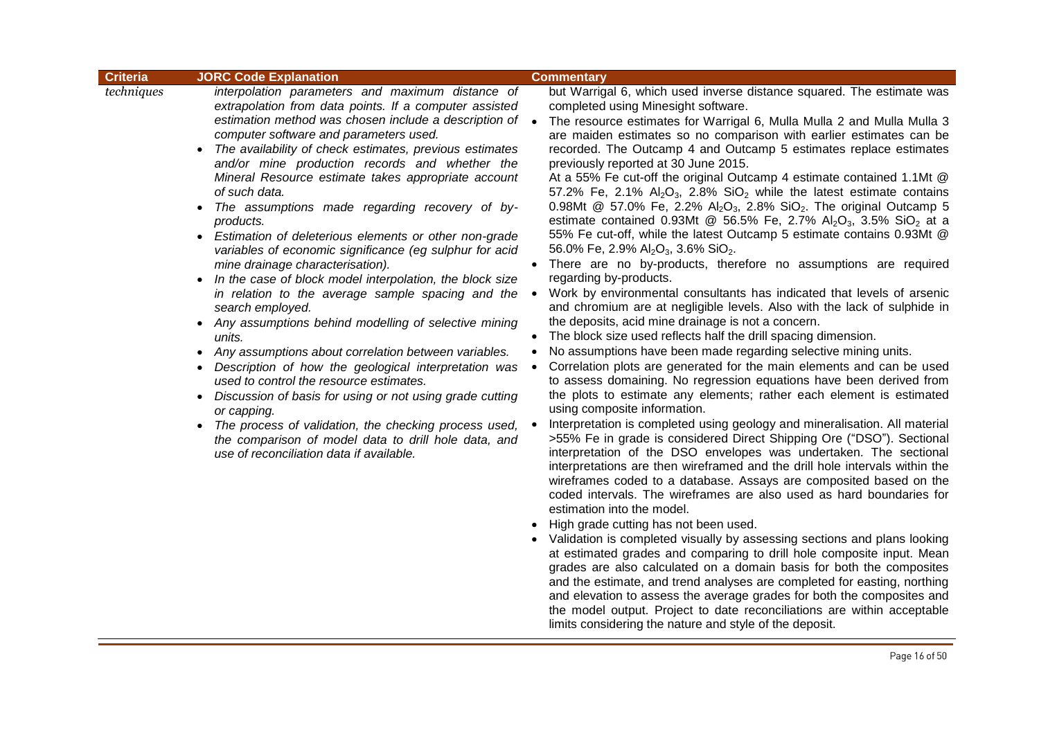| <b>Criteria</b> | <b>JORC Code Explanation</b>                                          |           | <b>Commentary</b>                                                                   |
|-----------------|-----------------------------------------------------------------------|-----------|-------------------------------------------------------------------------------------|
| techniques      | interpolation parameters and maximum distance of                      |           | but Warrigal 6, which used inverse distance squared. The estimate was               |
|                 | extrapolation from data points. If a computer assisted                |           | completed using Minesight software.                                                 |
|                 | estimation method was chosen include a description of $\bullet$       |           | The resource estimates for Warrigal 6, Mulla Mulla 2 and Mulla Mulla 3              |
|                 | computer software and parameters used.                                |           | are maiden estimates so no comparison with earlier estimates can be                 |
|                 | The availability of check estimates, previous estimates               |           | recorded. The Outcamp 4 and Outcamp 5 estimates replace estimates                   |
|                 | and/or mine production records and whether the                        |           | previously reported at 30 June 2015.                                                |
|                 | Mineral Resource estimate takes appropriate account                   |           | At a 55% Fe cut-off the original Outcamp 4 estimate contained 1.1Mt @               |
|                 | of such data.                                                         |           | 57.2% Fe, 2.1% $Al_2O_3$ , 2.8% SiO <sub>2</sub> while the latest estimate contains |
|                 | The assumptions made regarding recovery of by-                        |           | 0.98Mt @ 57.0% Fe, 2.2% $Al_2O_3$ , 2.8% SiO <sub>2</sub> . The original Outcamp 5  |
|                 | products.                                                             |           | estimate contained 0.93Mt @ 56.5% Fe, 2.7% $Al_2O_3$ , 3.5% SiO <sub>2</sub> at a   |
|                 | Estimation of deleterious elements or other non-grade                 |           | 55% Fe cut-off, while the latest Outcamp 5 estimate contains 0.93Mt @               |
|                 | variables of economic significance (eg sulphur for acid               |           | 56.0% Fe, 2.9% Al <sub>2</sub> O <sub>3</sub> , 3.6% SiO <sub>2</sub> .             |
|                 | mine drainage characterisation).                                      |           | • There are no by-products, therefore no assumptions are required                   |
|                 | In the case of block model interpolation, the block size              |           | regarding by-products.                                                              |
|                 | in relation to the average sample spacing and the                     | $\bullet$ | Work by environmental consultants has indicated that levels of arsenic              |
|                 | search employed.                                                      |           | and chromium are at negligible levels. Also with the lack of sulphide in            |
|                 | Any assumptions behind modelling of selective mining                  |           | the deposits, acid mine drainage is not a concern.                                  |
|                 | units.                                                                |           | The block size used reflects half the drill spacing dimension.                      |
| $\bullet$       | Any assumptions about correlation between variables.                  |           | No assumptions have been made regarding selective mining units.                     |
| $\bullet$       | Description of how the geological interpretation was                  | $\bullet$ | Correlation plots are generated for the main elements and can be used               |
|                 | used to control the resource estimates.                               |           | to assess domaining. No regression equations have been derived from                 |
|                 | Discussion of basis for using or not using grade cutting<br>$\bullet$ |           | the plots to estimate any elements; rather each element is estimated                |
|                 | or capping.                                                           |           | using composite information.                                                        |
|                 | The process of validation, the checking process used,<br>$\bullet$    |           | Interpretation is completed using geology and mineralisation. All material          |
|                 | the comparison of model data to drill hole data, and                  |           | >55% Fe in grade is considered Direct Shipping Ore ("DSO"). Sectional               |
|                 | use of reconciliation data if available.                              |           | interpretation of the DSO envelopes was undertaken. The sectional                   |
|                 |                                                                       |           | interpretations are then wireframed and the drill hole intervals within the         |
|                 |                                                                       |           | wireframes coded to a database. Assays are composited based on the                  |
|                 |                                                                       |           | coded intervals. The wireframes are also used as hard boundaries for                |
|                 |                                                                       |           | estimation into the model.                                                          |
|                 |                                                                       |           | High grade cutting has not been used.                                               |
|                 |                                                                       |           | • Validation is completed visually by assessing sections and plans looking          |
|                 |                                                                       |           | at estimated grades and comparing to drill hole composite input. Mean               |
|                 |                                                                       |           | grades are also calculated on a domain basis for both the composites                |
|                 |                                                                       |           | and the estimate, and trend analyses are completed for easting, northing            |
|                 |                                                                       |           | and elevation to assess the average grades for both the composites and              |

the model output. Project to date reconciliations are within acceptable<br>limits considering the nature and style of the deposit.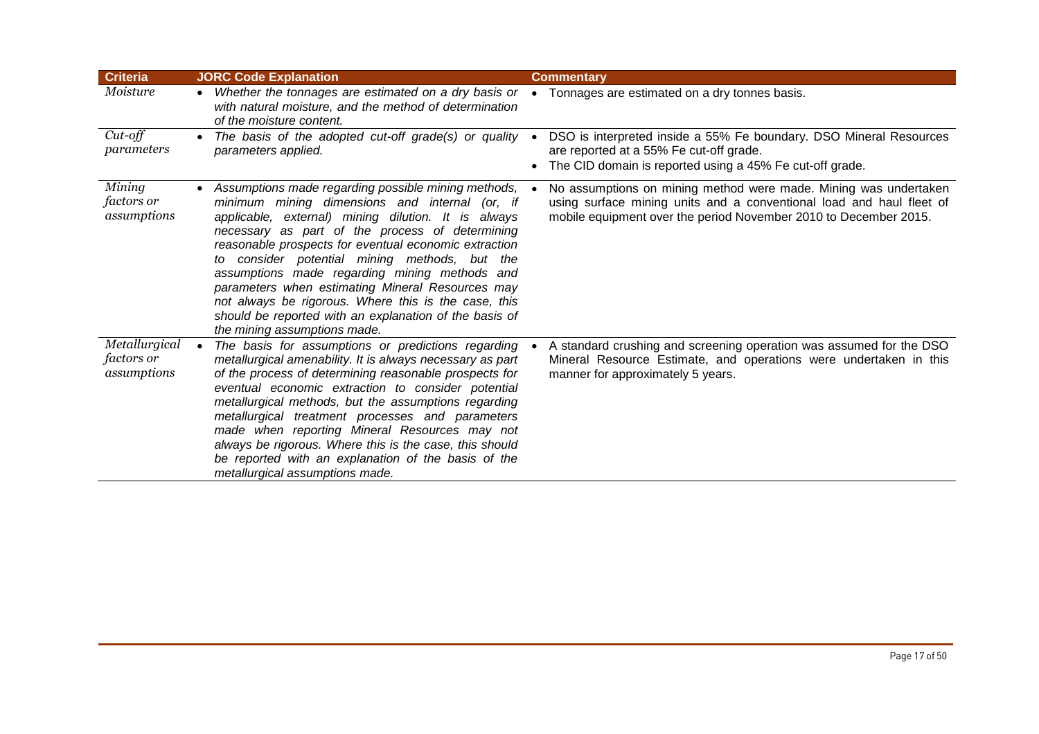| <b>Criteria</b>                            | <b>JORC Code Explanation</b>                                                                                                                                                                                                                                                                                                                                                                                                                                                                                                                                                       | <b>Commentary</b>                                                                                                                                                                                            |
|--------------------------------------------|------------------------------------------------------------------------------------------------------------------------------------------------------------------------------------------------------------------------------------------------------------------------------------------------------------------------------------------------------------------------------------------------------------------------------------------------------------------------------------------------------------------------------------------------------------------------------------|--------------------------------------------------------------------------------------------------------------------------------------------------------------------------------------------------------------|
| Moisture                                   | • Whether the tonnages are estimated on a dry basis or<br>with natural moisture, and the method of determination<br>of the moisture content.                                                                                                                                                                                                                                                                                                                                                                                                                                       | Tonnages are estimated on a dry tonnes basis.<br>$\bullet$                                                                                                                                                   |
| $Cut-off$<br>parameters                    | The basis of the adopted cut-off grade(s) or quality $\bullet$<br>parameters applied.                                                                                                                                                                                                                                                                                                                                                                                                                                                                                              | DSO is interpreted inside a 55% Fe boundary. DSO Mineral Resources<br>are reported at a 55% Fe cut-off grade.<br>The CID domain is reported using a 45% Fe cut-off grade.                                    |
| Mining<br><i>factors</i> or<br>assumptions | • Assumptions made regarding possible mining methods,<br>minimum mining dimensions and internal (or, if<br>applicable, external) mining dilution. It is always<br>necessary as part of the process of determining<br>reasonable prospects for eventual economic extraction<br>to consider potential mining methods, but the<br>assumptions made regarding mining methods and<br>parameters when estimating Mineral Resources may<br>not always be rigorous. Where this is the case, this<br>should be reported with an explanation of the basis of<br>the mining assumptions made. | No assumptions on mining method were made. Mining was undertaken<br>using surface mining units and a conventional load and haul fleet of<br>mobile equipment over the period November 2010 to December 2015. |
| Metallurgical<br>factors or<br>assumptions | The basis for assumptions or predictions regarding<br>metallurgical amenability. It is always necessary as part<br>of the process of determining reasonable prospects for<br>eventual economic extraction to consider potential<br>metallurgical methods, but the assumptions regarding<br>metallurgical treatment processes and parameters<br>made when reporting Mineral Resources may not<br>always be rigorous. Where this is the case, this should<br>be reported with an explanation of the basis of the<br>metallurgical assumptions made.                                  | A standard crushing and screening operation was assumed for the DSO<br>Mineral Resource Estimate, and operations were undertaken in this<br>manner for approximately 5 years.                                |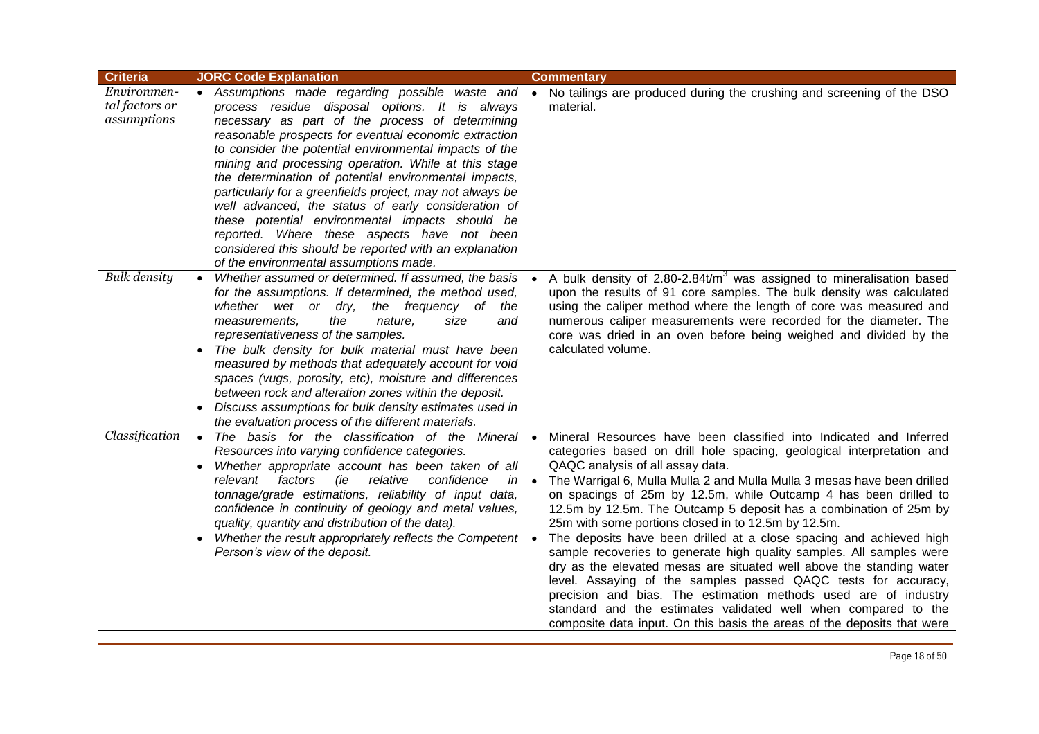| <b>Criteria</b>                              | <b>JORC Code Explanation</b>                                                                                                                                                                                                                                                                                                                                                                                                                                                                                                                                                                                                                                                                                         | <b>Commentary</b>                                                                                                                                                                                                                                                                                                                                                                                                                                                                                                                                                                                                                                                                                                                                                                                                                                                                                                                                                   |
|----------------------------------------------|----------------------------------------------------------------------------------------------------------------------------------------------------------------------------------------------------------------------------------------------------------------------------------------------------------------------------------------------------------------------------------------------------------------------------------------------------------------------------------------------------------------------------------------------------------------------------------------------------------------------------------------------------------------------------------------------------------------------|---------------------------------------------------------------------------------------------------------------------------------------------------------------------------------------------------------------------------------------------------------------------------------------------------------------------------------------------------------------------------------------------------------------------------------------------------------------------------------------------------------------------------------------------------------------------------------------------------------------------------------------------------------------------------------------------------------------------------------------------------------------------------------------------------------------------------------------------------------------------------------------------------------------------------------------------------------------------|
| Environmen-<br>tal factors or<br>assumptions | • Assumptions made regarding possible waste and •<br>process residue disposal options. It is always<br>necessary as part of the process of determining<br>reasonable prospects for eventual economic extraction<br>to consider the potential environmental impacts of the<br>mining and processing operation. While at this stage<br>the determination of potential environmental impacts,<br>particularly for a greenfields project, may not always be<br>well advanced, the status of early consideration of<br>these potential environmental impacts should be<br>reported. Where these aspects have not been<br>considered this should be reported with an explanation<br>of the environmental assumptions made. | No tailings are produced during the crushing and screening of the DSO<br>material.                                                                                                                                                                                                                                                                                                                                                                                                                                                                                                                                                                                                                                                                                                                                                                                                                                                                                  |
| <b>Bulk density</b>                          | Whether assumed or determined. If assumed, the basis<br>for the assumptions. If determined, the method used,<br>whether wet or dry,<br>the frequency of<br>the<br>the<br>measurements,<br>nature,<br>size<br>and<br>representativeness of the samples.<br>The bulk density for bulk material must have been<br>measured by methods that adequately account for void<br>spaces (vugs, porosity, etc), moisture and differences<br>between rock and alteration zones within the deposit.<br>• Discuss assumptions for bulk density estimates used in<br>the evaluation process of the different materials.                                                                                                             | A bulk density of $2.80 - 2.84$ t/m <sup>3</sup> was assigned to mineralisation based<br>upon the results of 91 core samples. The bulk density was calculated<br>using the caliper method where the length of core was measured and<br>numerous caliper measurements were recorded for the diameter. The<br>core was dried in an oven before being weighed and divided by the<br>calculated volume.                                                                                                                                                                                                                                                                                                                                                                                                                                                                                                                                                                 |
| Classification                               | • The basis for the classification of the Mineral •<br>Resources into varying confidence categories.<br>Whether appropriate account has been taken of all<br>$\bullet$<br>relative<br>confidence<br>factors<br>(ie<br>relevant<br>$in$ $\bullet$<br>tonnage/grade estimations, reliability of input data,<br>confidence in continuity of geology and metal values,<br>quality, quantity and distribution of the data).<br>Whether the result appropriately reflects the Competent •<br>Person's view of the deposit.                                                                                                                                                                                                 | Mineral Resources have been classified into Indicated and Inferred<br>categories based on drill hole spacing, geological interpretation and<br>QAQC analysis of all assay data.<br>The Warrigal 6, Mulla Mulla 2 and Mulla Mulla 3 mesas have been drilled<br>on spacings of 25m by 12.5m, while Outcamp 4 has been drilled to<br>12.5m by 12.5m. The Outcamp 5 deposit has a combination of 25m by<br>25m with some portions closed in to 12.5m by 12.5m.<br>The deposits have been drilled at a close spacing and achieved high<br>sample recoveries to generate high quality samples. All samples were<br>dry as the elevated mesas are situated well above the standing water<br>level. Assaying of the samples passed QAQC tests for accuracy,<br>precision and bias. The estimation methods used are of industry<br>standard and the estimates validated well when compared to the<br>composite data input. On this basis the areas of the deposits that were |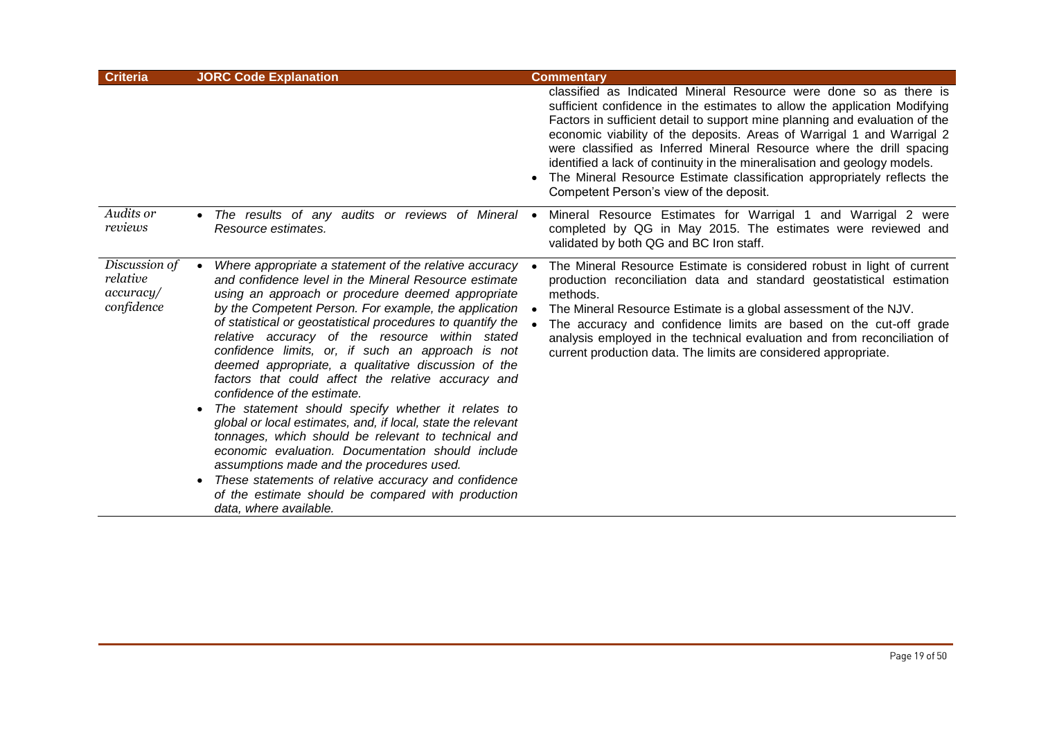| <b>Criteria</b>                                      | <b>JORC Code Explanation</b>                                                                                                                                                                                                                                                                                                                                                                                                                                                                                                                                                                                                                                                                                                                                                                                                                                                                                                                                                            | <b>Commentary</b>                                                                                                                                                                                                                                                                                                                                                                                                                                                                                                                                                                  |
|------------------------------------------------------|-----------------------------------------------------------------------------------------------------------------------------------------------------------------------------------------------------------------------------------------------------------------------------------------------------------------------------------------------------------------------------------------------------------------------------------------------------------------------------------------------------------------------------------------------------------------------------------------------------------------------------------------------------------------------------------------------------------------------------------------------------------------------------------------------------------------------------------------------------------------------------------------------------------------------------------------------------------------------------------------|------------------------------------------------------------------------------------------------------------------------------------------------------------------------------------------------------------------------------------------------------------------------------------------------------------------------------------------------------------------------------------------------------------------------------------------------------------------------------------------------------------------------------------------------------------------------------------|
|                                                      |                                                                                                                                                                                                                                                                                                                                                                                                                                                                                                                                                                                                                                                                                                                                                                                                                                                                                                                                                                                         | classified as Indicated Mineral Resource were done so as there is<br>sufficient confidence in the estimates to allow the application Modifying<br>Factors in sufficient detail to support mine planning and evaluation of the<br>economic viability of the deposits. Areas of Warrigal 1 and Warrigal 2<br>were classified as Inferred Mineral Resource where the drill spacing<br>identified a lack of continuity in the mineralisation and geology models.<br>The Mineral Resource Estimate classification appropriately reflects the<br>Competent Person's view of the deposit. |
| Audits or<br>reviews                                 | • The results of any audits or reviews of Mineral •<br>Resource estimates.                                                                                                                                                                                                                                                                                                                                                                                                                                                                                                                                                                                                                                                                                                                                                                                                                                                                                                              | Mineral Resource Estimates for Warrigal 1 and Warrigal 2 were<br>completed by QG in May 2015. The estimates were reviewed and<br>validated by both QG and BC Iron staff.                                                                                                                                                                                                                                                                                                                                                                                                           |
| Discussion of<br>relative<br>accuracy/<br>confidence | Where appropriate a statement of the relative accuracy •<br>and confidence level in the Mineral Resource estimate<br>using an approach or procedure deemed appropriate<br>by the Competent Person. For example, the application<br>of statistical or geostatistical procedures to quantify the<br>relative accuracy of the resource within stated<br>confidence limits, or, if such an approach is not<br>deemed appropriate, a qualitative discussion of the<br>factors that could affect the relative accuracy and<br>confidence of the estimate.<br>The statement should specify whether it relates to<br>global or local estimates, and, if local, state the relevant<br>tonnages, which should be relevant to technical and<br>economic evaluation. Documentation should include<br>assumptions made and the procedures used.<br>These statements of relative accuracy and confidence<br>$\bullet$<br>of the estimate should be compared with production<br>data, where available. | The Mineral Resource Estimate is considered robust in light of current<br>production reconciliation data and standard geostatistical estimation<br>methods.<br>The Mineral Resource Estimate is a global assessment of the NJV.<br>The accuracy and confidence limits are based on the cut-off grade<br>analysis employed in the technical evaluation and from reconciliation of<br>current production data. The limits are considered appropriate.                                                                                                                                |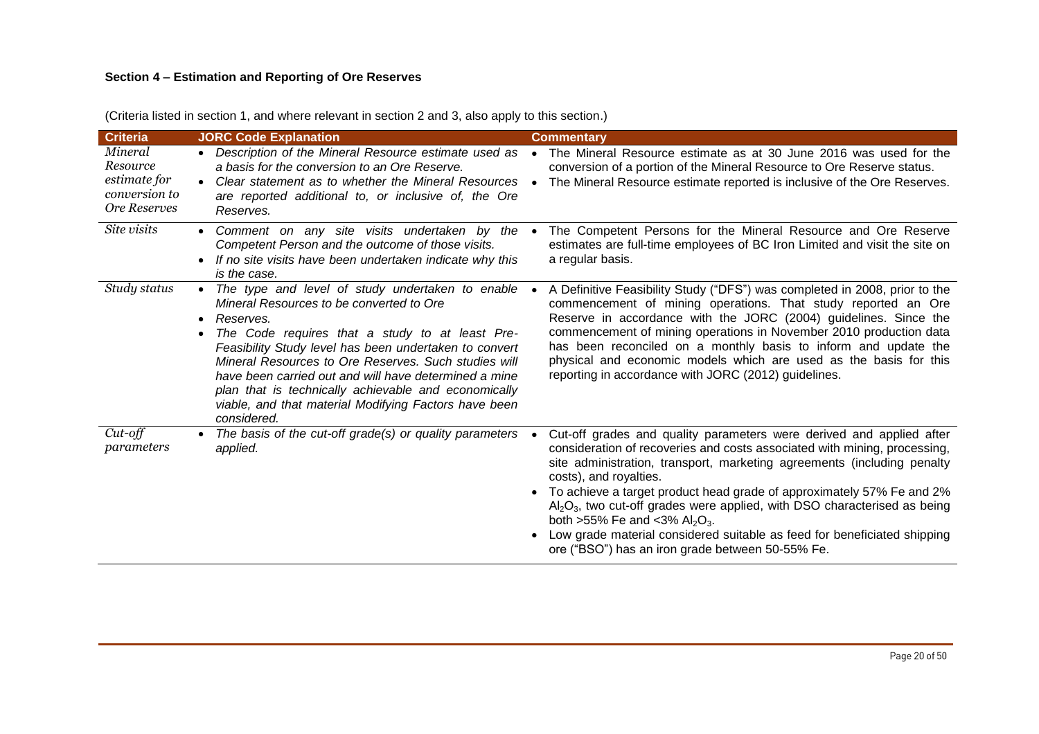# **Section 4 – Estimation and Reporting of Ore Reserves**

| <b>Criteria</b>                                                      | <b>JORC Code Explanation</b>                                                                                                                                                                                                                                                                                                                                                                                                                                              | <b>Commentary</b>                                                                                                                                                                                                                                                                                                                                                                                                                                                                                                                                                                                |
|----------------------------------------------------------------------|---------------------------------------------------------------------------------------------------------------------------------------------------------------------------------------------------------------------------------------------------------------------------------------------------------------------------------------------------------------------------------------------------------------------------------------------------------------------------|--------------------------------------------------------------------------------------------------------------------------------------------------------------------------------------------------------------------------------------------------------------------------------------------------------------------------------------------------------------------------------------------------------------------------------------------------------------------------------------------------------------------------------------------------------------------------------------------------|
| Mineral<br>Resource<br>estimate for<br>conversion to<br>Ore Reserves | • Description of the Mineral Resource estimate used as<br>a basis for the conversion to an Ore Reserve.<br>Clear statement as to whether the Mineral Resources<br>$\bullet$<br>are reported additional to, or inclusive of, the Ore<br>Reserves.                                                                                                                                                                                                                          | The Mineral Resource estimate as at 30 June 2016 was used for the<br>$\bullet$<br>conversion of a portion of the Mineral Resource to Ore Reserve status.<br>The Mineral Resource estimate reported is inclusive of the Ore Reserves.<br>$\bullet$                                                                                                                                                                                                                                                                                                                                                |
| Site visits                                                          | • Comment on any site visits undertaken by the<br>Competent Person and the outcome of those visits.<br>If no site visits have been undertaken indicate why this<br>is the case.                                                                                                                                                                                                                                                                                           | The Competent Persons for the Mineral Resource and Ore Reserve<br>estimates are full-time employees of BC Iron Limited and visit the site on<br>a regular basis.                                                                                                                                                                                                                                                                                                                                                                                                                                 |
| Study status                                                         | • The type and level of study undertaken to enable<br>Mineral Resources to be converted to Ore<br>Reserves.<br>The Code requires that a study to at least Pre-<br>Feasibility Study level has been undertaken to convert<br>Mineral Resources to Ore Reserves. Such studies will<br>have been carried out and will have determined a mine<br>plan that is technically achievable and economically<br>viable, and that material Modifying Factors have been<br>considered. | A Definitive Feasibility Study ("DFS") was completed in 2008, prior to the<br>commencement of mining operations. That study reported an Ore<br>Reserve in accordance with the JORC (2004) guidelines. Since the<br>commencement of mining operations in November 2010 production data<br>has been reconciled on a monthly basis to inform and update the<br>physical and economic models which are used as the basis for this<br>reporting in accordance with JORC (2012) guidelines.                                                                                                            |
| $Cut$ -off<br>parameters                                             | The basis of the cut-off grade(s) or quality parameters<br>applied.                                                                                                                                                                                                                                                                                                                                                                                                       | Cut-off grades and quality parameters were derived and applied after<br>consideration of recoveries and costs associated with mining, processing,<br>site administration, transport, marketing agreements (including penalty<br>costs), and royalties.<br>To achieve a target product head grade of approximately 57% Fe and 2%<br>$\bullet$<br>$Al_2O_3$ , two cut-off grades were applied, with DSO characterised as being<br>both >55% Fe and <3% $Al_2O_3$ .<br>Low grade material considered suitable as feed for beneficiated shipping<br>ore ("BSO") has an iron grade between 50-55% Fe. |

(Criteria listed in section 1, and where relevant in section 2 and 3, also apply to this section.)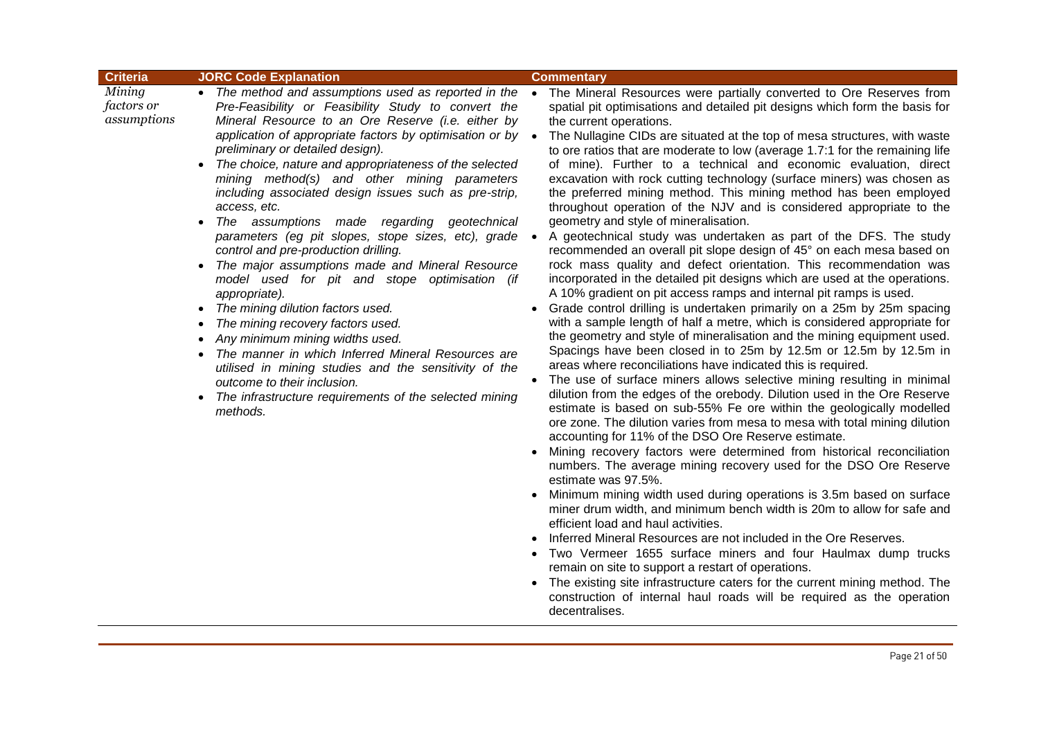| <b>Criteria</b>                     | <b>JORC Code Explanation</b>                                                                                                                                                                                                                                                                                                                                                                                                                                                                                                                                                                                                                                                                                                                                                                                                                                                                                                                                                                                                                                                                                       | <b>Commentary</b>                                                                                                                                                                                                                                                                                                                                                                                                                                                                                                                                                                                                                                                                                                                                                                                                                                                                                                                                                                                                                                                                                                                                                                                                                                                                                                                                                                                                                                                                                                                                                                                                                                                                                                                                                                                                                                                                                                                                                                                                                                                                                                                                                                                                                                                                                                                                                                                                                                                                                                           |
|-------------------------------------|--------------------------------------------------------------------------------------------------------------------------------------------------------------------------------------------------------------------------------------------------------------------------------------------------------------------------------------------------------------------------------------------------------------------------------------------------------------------------------------------------------------------------------------------------------------------------------------------------------------------------------------------------------------------------------------------------------------------------------------------------------------------------------------------------------------------------------------------------------------------------------------------------------------------------------------------------------------------------------------------------------------------------------------------------------------------------------------------------------------------|-----------------------------------------------------------------------------------------------------------------------------------------------------------------------------------------------------------------------------------------------------------------------------------------------------------------------------------------------------------------------------------------------------------------------------------------------------------------------------------------------------------------------------------------------------------------------------------------------------------------------------------------------------------------------------------------------------------------------------------------------------------------------------------------------------------------------------------------------------------------------------------------------------------------------------------------------------------------------------------------------------------------------------------------------------------------------------------------------------------------------------------------------------------------------------------------------------------------------------------------------------------------------------------------------------------------------------------------------------------------------------------------------------------------------------------------------------------------------------------------------------------------------------------------------------------------------------------------------------------------------------------------------------------------------------------------------------------------------------------------------------------------------------------------------------------------------------------------------------------------------------------------------------------------------------------------------------------------------------------------------------------------------------------------------------------------------------------------------------------------------------------------------------------------------------------------------------------------------------------------------------------------------------------------------------------------------------------------------------------------------------------------------------------------------------------------------------------------------------------------------------------------------------|
| Mining<br>factors or<br>assumptions | • The method and assumptions used as reported in the •<br>Pre-Feasibility or Feasibility Study to convert the<br>Mineral Resource to an Ore Reserve (i.e. either by<br>application of appropriate factors by optimisation or by .<br>preliminary or detailed design).<br>The choice, nature and appropriateness of the selected<br>mining method(s) and other mining parameters<br>including associated design issues such as pre-strip,<br>access, etc.<br>The assumptions made regarding geotechnical<br>$\bullet$<br>parameters (eg pit slopes, stope sizes, etc), grade ·<br>control and pre-production drilling.<br>The major assumptions made and Mineral Resource<br>model used for pit and stope optimisation (if<br>appropriate).<br>The mining dilution factors used.<br>$\bullet$<br>The mining recovery factors used.<br>$\bullet$<br>Any minimum mining widths used.<br>The manner in which Inferred Mineral Resources are<br>utilised in mining studies and the sensitivity of the<br>outcome to their inclusion.<br>The infrastructure requirements of the selected mining<br>$\bullet$<br>methods. | The Mineral Resources were partially converted to Ore Reserves from<br>spatial pit optimisations and detailed pit designs which form the basis for<br>the current operations.<br>The Nullagine CIDs are situated at the top of mesa structures, with waste<br>to ore ratios that are moderate to low (average 1.7:1 for the remaining life<br>of mine). Further to a technical and economic evaluation, direct<br>excavation with rock cutting technology (surface miners) was chosen as<br>the preferred mining method. This mining method has been employed<br>throughout operation of the NJV and is considered appropriate to the<br>geometry and style of mineralisation.<br>A geotechnical study was undertaken as part of the DFS. The study<br>recommended an overall pit slope design of 45° on each mesa based on<br>rock mass quality and defect orientation. This recommendation was<br>incorporated in the detailed pit designs which are used at the operations.<br>A 10% gradient on pit access ramps and internal pit ramps is used.<br>Grade control drilling is undertaken primarily on a 25m by 25m spacing<br>with a sample length of half a metre, which is considered appropriate for<br>the geometry and style of mineralisation and the mining equipment used.<br>Spacings have been closed in to 25m by 12.5m or 12.5m by 12.5m in<br>areas where reconciliations have indicated this is required.<br>The use of surface miners allows selective mining resulting in minimal<br>$\bullet$<br>dilution from the edges of the orebody. Dilution used in the Ore Reserve<br>estimate is based on sub-55% Fe ore within the geologically modelled<br>ore zone. The dilution varies from mesa to mesa with total mining dilution<br>accounting for 11% of the DSO Ore Reserve estimate.<br>Mining recovery factors were determined from historical reconciliation<br>numbers. The average mining recovery used for the DSO Ore Reserve<br>estimate was 97.5%.<br>Minimum mining width used during operations is 3.5m based on surface<br>miner drum width, and minimum bench width is 20m to allow for safe and<br>efficient load and haul activities.<br>Inferred Mineral Resources are not included in the Ore Reserves.<br>Two Vermeer 1655 surface miners and four Haulmax dump trucks<br>remain on site to support a restart of operations.<br>The existing site infrastructure caters for the current mining method. The<br>construction of internal haul roads will be required as the operation |

decentralises.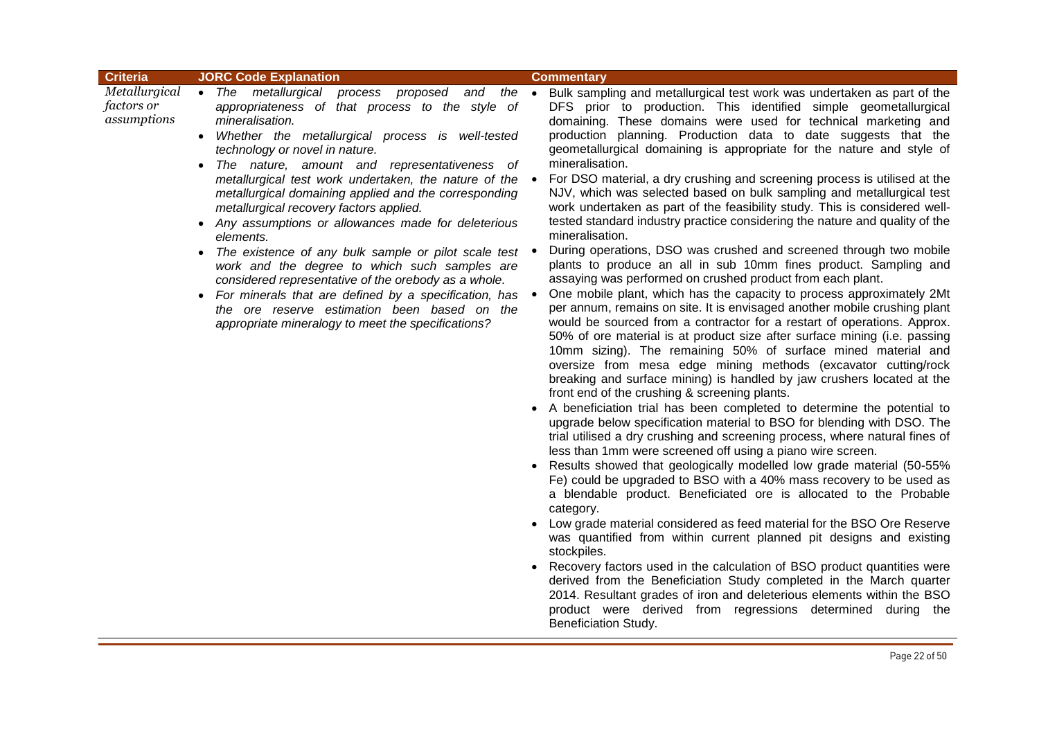| <b>Criteria</b>                                   | <b>JORC Code Explanation</b>                                                                                                                                                                                                                                                                                                                                                                                                                                                                                                                                                                                                                                                                                                                                                                                                            | <b>Commentary</b>                                                                                                                                                                                                                                                                                                                                                                                                                                                                                                                                                                                                                                                                                                                                                                                                                                                                                                                                                                                                                                                                                                                                                                                                                                                                                                                                                                                                                                                                                                                                                                                                                                                                                                                                                                                                                                                                                                                                                                                                                                                                                                                                                                                                                                                                                                                                                                                                                                                                                                                                  |
|---------------------------------------------------|-----------------------------------------------------------------------------------------------------------------------------------------------------------------------------------------------------------------------------------------------------------------------------------------------------------------------------------------------------------------------------------------------------------------------------------------------------------------------------------------------------------------------------------------------------------------------------------------------------------------------------------------------------------------------------------------------------------------------------------------------------------------------------------------------------------------------------------------|----------------------------------------------------------------------------------------------------------------------------------------------------------------------------------------------------------------------------------------------------------------------------------------------------------------------------------------------------------------------------------------------------------------------------------------------------------------------------------------------------------------------------------------------------------------------------------------------------------------------------------------------------------------------------------------------------------------------------------------------------------------------------------------------------------------------------------------------------------------------------------------------------------------------------------------------------------------------------------------------------------------------------------------------------------------------------------------------------------------------------------------------------------------------------------------------------------------------------------------------------------------------------------------------------------------------------------------------------------------------------------------------------------------------------------------------------------------------------------------------------------------------------------------------------------------------------------------------------------------------------------------------------------------------------------------------------------------------------------------------------------------------------------------------------------------------------------------------------------------------------------------------------------------------------------------------------------------------------------------------------------------------------------------------------------------------------------------------------------------------------------------------------------------------------------------------------------------------------------------------------------------------------------------------------------------------------------------------------------------------------------------------------------------------------------------------------------------------------------------------------------------------------------------------------|
| Metallurgical<br><i>factors or</i><br>assumptions | • The metallurgical process<br>appropriateness of that process to the style of<br>mineralisation.<br>Whether the metallurgical process is well-tested<br>$\bullet$<br>technology or novel in nature.<br>The nature, amount and representativeness of<br>$\bullet$<br>metallurgical test work undertaken, the nature of the •<br>metallurgical domaining applied and the corresponding<br>metallurgical recovery factors applied.<br>• Any assumptions or allowances made for deleterious<br>elements.<br>The existence of any bulk sample or pilot scale test<br>work and the degree to which such samples are<br>considered representative of the orebody as a whole.<br>• For minerals that are defined by a specification, has<br>the ore reserve estimation been based on the<br>appropriate mineralogy to meet the specifications? | proposed and the • Bulk sampling and metallurgical test work was undertaken as part of the<br>DFS prior to production. This identified simple geometallurgical<br>domaining. These domains were used for technical marketing and<br>production planning. Production data to date suggests that the<br>geometallurgical domaining is appropriate for the nature and style of<br>mineralisation.<br>For DSO material, a dry crushing and screening process is utilised at the<br>NJV, which was selected based on bulk sampling and metallurgical test<br>work undertaken as part of the feasibility study. This is considered well-<br>tested standard industry practice considering the nature and quality of the<br>mineralisation.<br>During operations, DSO was crushed and screened through two mobile<br>plants to produce an all in sub 10mm fines product. Sampling and<br>assaying was performed on crushed product from each plant.<br>One mobile plant, which has the capacity to process approximately 2Mt<br>per annum, remains on site. It is envisaged another mobile crushing plant<br>would be sourced from a contractor for a restart of operations. Approx.<br>50% of ore material is at product size after surface mining (i.e. passing<br>10mm sizing). The remaining 50% of surface mined material and<br>oversize from mesa edge mining methods (excavator cutting/rock<br>breaking and surface mining) is handled by jaw crushers located at the<br>front end of the crushing & screening plants.<br>• A beneficiation trial has been completed to determine the potential to<br>upgrade below specification material to BSO for blending with DSO. The<br>trial utilised a dry crushing and screening process, where natural fines of<br>less than 1mm were screened off using a piano wire screen.<br>Results showed that geologically modelled low grade material (50-55%<br>Fe) could be upgraded to BSO with a 40% mass recovery to be used as<br>a blendable product. Beneficiated ore is allocated to the Probable<br>category.<br>Low grade material considered as feed material for the BSO Ore Reserve<br>was quantified from within current planned pit designs and existing<br>stockpiles.<br>• Recovery factors used in the calculation of BSO product quantities were<br>derived from the Beneficiation Study completed in the March quarter<br>2014. Resultant grades of iron and deleterious elements within the BSO<br>product were derived from regressions determined during the<br>Beneficiation Study. |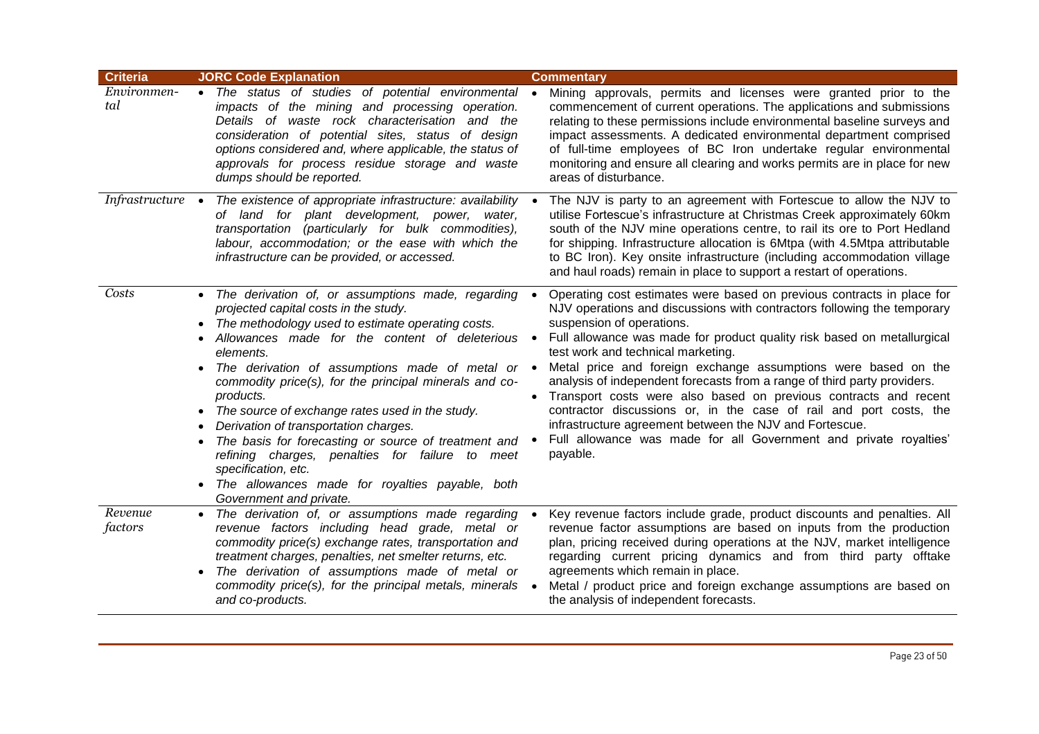| <b>Criteria</b>    | <b>JORC Code Explanation</b>                                                                                                                                                                                                                                                                                                                                                                                                                                                                                                                                                                                                                                                              | <b>Commentary</b>                                                                                                                                                                                                                                                                                                                                                                                                                                                                                                                                                                                                                                                                                                                                |
|--------------------|-------------------------------------------------------------------------------------------------------------------------------------------------------------------------------------------------------------------------------------------------------------------------------------------------------------------------------------------------------------------------------------------------------------------------------------------------------------------------------------------------------------------------------------------------------------------------------------------------------------------------------------------------------------------------------------------|--------------------------------------------------------------------------------------------------------------------------------------------------------------------------------------------------------------------------------------------------------------------------------------------------------------------------------------------------------------------------------------------------------------------------------------------------------------------------------------------------------------------------------------------------------------------------------------------------------------------------------------------------------------------------------------------------------------------------------------------------|
| Environmen-<br>tal | • The status of studies of potential environmental<br>impacts of the mining and processing operation.<br>Details of waste rock characterisation and the<br>consideration of potential sites, status of design<br>options considered and, where applicable, the status of<br>approvals for process residue storage and waste<br>dumps should be reported.                                                                                                                                                                                                                                                                                                                                  | Mining approvals, permits and licenses were granted prior to the<br>commencement of current operations. The applications and submissions<br>relating to these permissions include environmental baseline surveys and<br>impact assessments. A dedicated environmental department comprised<br>of full-time employees of BC Iron undertake regular environmental<br>monitoring and ensure all clearing and works permits are in place for new<br>areas of disturbance.                                                                                                                                                                                                                                                                            |
| Infrastructure •   | The existence of appropriate infrastructure: availability<br>of land for plant development, power, water,<br>transportation (particularly for bulk commodities),<br>labour, accommodation; or the ease with which the<br>infrastructure can be provided, or accessed.                                                                                                                                                                                                                                                                                                                                                                                                                     | The NJV is party to an agreement with Fortescue to allow the NJV to<br>utilise Fortescue's infrastructure at Christmas Creek approximately 60km<br>south of the NJV mine operations centre, to rail its ore to Port Hedland<br>for shipping. Infrastructure allocation is 6Mtpa (with 4.5Mtpa attributable<br>to BC Iron). Key onsite infrastructure (including accommodation village<br>and haul roads) remain in place to support a restart of operations.                                                                                                                                                                                                                                                                                     |
| Costs              | • The derivation of, or assumptions made, regarding<br>projected capital costs in the study.<br>The methodology used to estimate operating costs.<br>$\bullet$<br>Allowances made for the content of deleterious<br>elements.<br>The derivation of assumptions made of metal or $\bullet$<br>commodity price(s), for the principal minerals and co-<br>products.<br>The source of exchange rates used in the study.<br>$\bullet$<br>Derivation of transportation charges.<br>The basis for forecasting or source of treatment and<br>refining charges, penalties for failure to meet<br>specification, etc.<br>The allowances made for royalties payable, both<br>Government and private. | Operating cost estimates were based on previous contracts in place for<br>NJV operations and discussions with contractors following the temporary<br>suspension of operations.<br>Full allowance was made for product quality risk based on metallurgical<br>$\bullet$<br>test work and technical marketing.<br>Metal price and foreign exchange assumptions were based on the<br>analysis of independent forecasts from a range of third party providers.<br>Transport costs were also based on previous contracts and recent<br>contractor discussions or, in the case of rail and port costs, the<br>infrastructure agreement between the NJV and Fortescue.<br>Full allowance was made for all Government and private royalties'<br>payable. |
| Revenue<br>factors | The derivation of, or assumptions made regarding<br>$\bullet$<br>revenue factors including head grade, metal or<br>commodity price(s) exchange rates, transportation and<br>treatment charges, penalties, net smelter returns, etc.<br>The derivation of assumptions made of metal or<br>commodity price(s), for the principal metals, minerals<br>and co-products.                                                                                                                                                                                                                                                                                                                       | Key revenue factors include grade, product discounts and penalties. All<br>revenue factor assumptions are based on inputs from the production<br>plan, pricing received during operations at the NJV, market intelligence<br>regarding current pricing dynamics and from third party offtake<br>agreements which remain in place.<br>Metal / product price and foreign exchange assumptions are based on<br>the analysis of independent forecasts.                                                                                                                                                                                                                                                                                               |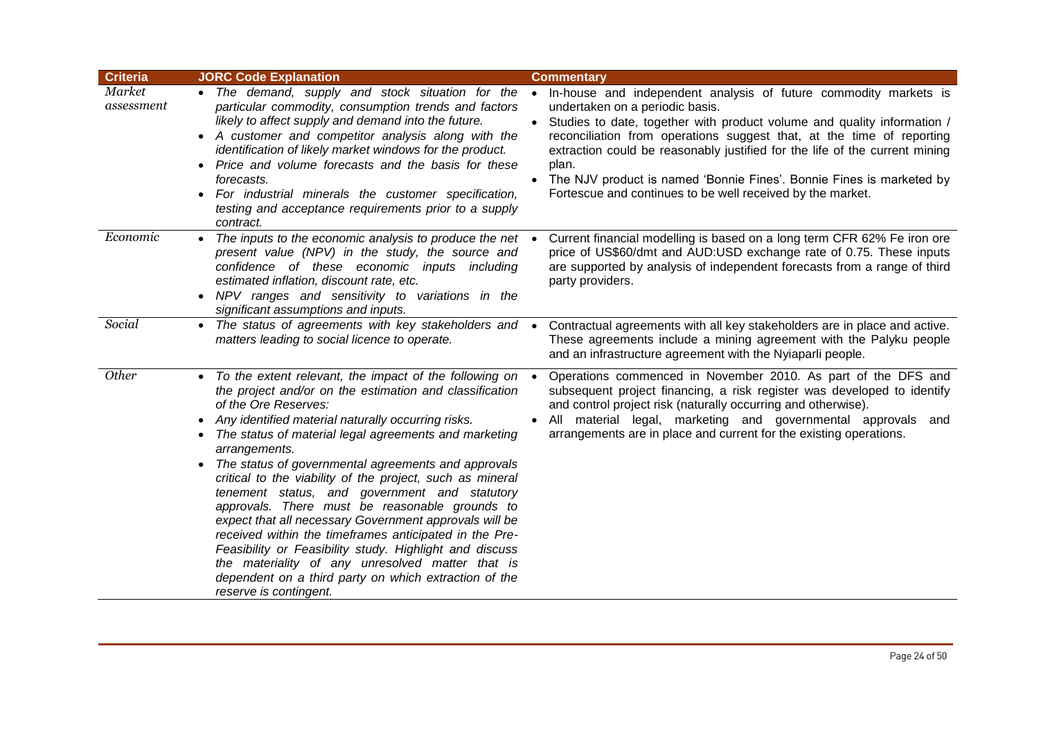| <b>Criteria</b>      | <b>JORC Code Explanation</b>                                                                                                                                                                                                                                                                                                                                                                                                                                                                                                                                                                                                                                                                                                                                                                                                     | <b>Commentary</b>                                                                                                                                                                                                                                                                                                                                                                                                                                                                         |
|----------------------|----------------------------------------------------------------------------------------------------------------------------------------------------------------------------------------------------------------------------------------------------------------------------------------------------------------------------------------------------------------------------------------------------------------------------------------------------------------------------------------------------------------------------------------------------------------------------------------------------------------------------------------------------------------------------------------------------------------------------------------------------------------------------------------------------------------------------------|-------------------------------------------------------------------------------------------------------------------------------------------------------------------------------------------------------------------------------------------------------------------------------------------------------------------------------------------------------------------------------------------------------------------------------------------------------------------------------------------|
| Market<br>assessment | • The demand, supply and stock situation for the<br>particular commodity, consumption trends and factors<br>likely to affect supply and demand into the future.<br>A customer and competitor analysis along with the<br>$\bullet$<br>identification of likely market windows for the product.<br>Price and volume forecasts and the basis for these<br>$\bullet$<br>forecasts.<br>For industrial minerals the customer specification,<br>٠<br>testing and acceptance requirements prior to a supply<br>contract.                                                                                                                                                                                                                                                                                                                 | In-house and independent analysis of future commodity markets is<br>undertaken on a periodic basis.<br>• Studies to date, together with product volume and quality information /<br>reconciliation from operations suggest that, at the time of reporting<br>extraction could be reasonably justified for the life of the current mining<br>plan.<br>• The NJV product is named 'Bonnie Fines'. Bonnie Fines is marketed by<br>Fortescue and continues to be well received by the market. |
| Economic             | The inputs to the economic analysis to produce the net<br>present value (NPV) in the study, the source and<br>confidence of these economic inputs including<br>estimated inflation, discount rate, etc.<br>NPV ranges and sensitivity to variations in the<br>significant assumptions and inputs.                                                                                                                                                                                                                                                                                                                                                                                                                                                                                                                                | Current financial modelling is based on a long term CFR 62% Fe iron ore<br>price of US\$60/dmt and AUD:USD exchange rate of 0.75. These inputs<br>are supported by analysis of independent forecasts from a range of third<br>party providers.                                                                                                                                                                                                                                            |
| Social               | The status of agreements with key stakeholders and •<br>$\bullet$<br>matters leading to social licence to operate.                                                                                                                                                                                                                                                                                                                                                                                                                                                                                                                                                                                                                                                                                                               | Contractual agreements with all key stakeholders are in place and active.<br>These agreements include a mining agreement with the Palyku people<br>and an infrastructure agreement with the Nyiaparli people.                                                                                                                                                                                                                                                                             |
| Other                | To the extent relevant, the impact of the following on<br>the project and/or on the estimation and classification<br>of the Ore Reserves:<br>Any identified material naturally occurring risks.<br>٠<br>The status of material legal agreements and marketing<br>٠<br>arrangements.<br>The status of governmental agreements and approvals<br>critical to the viability of the project, such as mineral<br>tenement status, and government and statutory<br>approvals. There must be reasonable grounds to<br>expect that all necessary Government approvals will be<br>received within the timeframes anticipated in the Pre-<br>Feasibility or Feasibility study. Highlight and discuss<br>the materiality of any unresolved matter that is<br>dependent on a third party on which extraction of the<br>reserve is contingent. | Operations commenced in November 2010. As part of the DFS and<br>subsequent project financing, a risk register was developed to identify<br>and control project risk (naturally occurring and otherwise).<br>All material legal, marketing and governmental approvals and<br>arrangements are in place and current for the existing operations.                                                                                                                                           |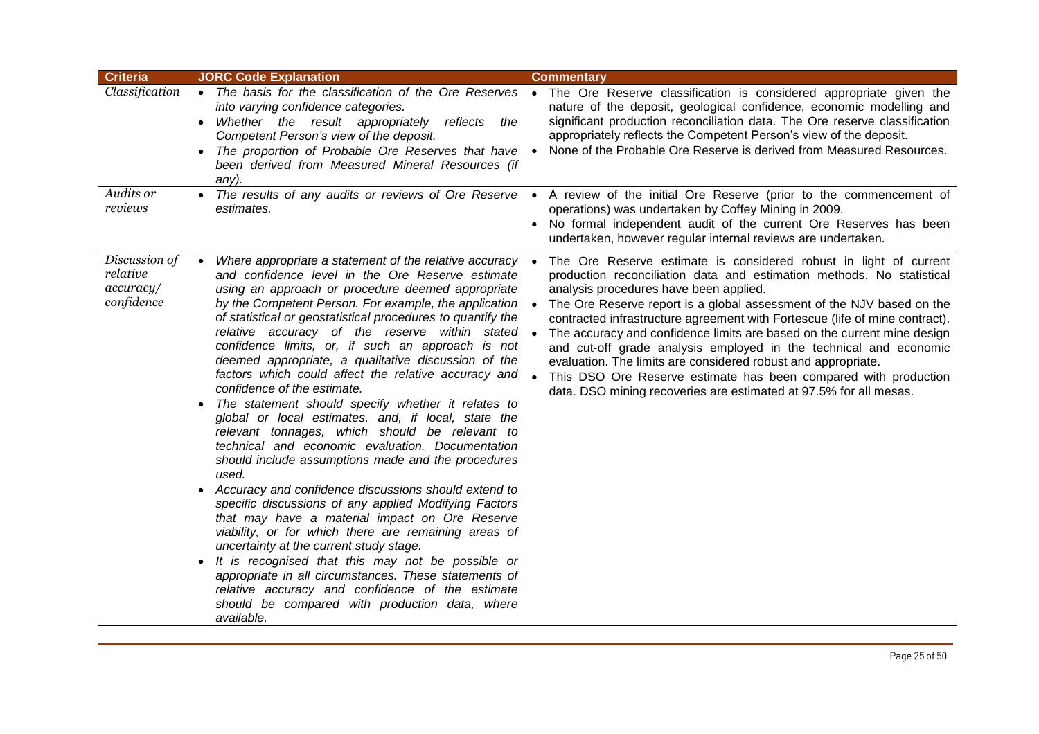| <b>Criteria</b>                                      | <b>JORC Code Explanation</b>                                                                                                                                                                                                                                                                                                                                                                                                                                                                                                                                                                                                                                                                                                                                                                                                                                                                                                                                                                                                                                                                                                                                                                                                                                                                                                                                         | <b>Commentary</b>                                                                                                                                                                                                                                                                                                                                                                                                                                                                                                                                                                                                                                                                                     |
|------------------------------------------------------|----------------------------------------------------------------------------------------------------------------------------------------------------------------------------------------------------------------------------------------------------------------------------------------------------------------------------------------------------------------------------------------------------------------------------------------------------------------------------------------------------------------------------------------------------------------------------------------------------------------------------------------------------------------------------------------------------------------------------------------------------------------------------------------------------------------------------------------------------------------------------------------------------------------------------------------------------------------------------------------------------------------------------------------------------------------------------------------------------------------------------------------------------------------------------------------------------------------------------------------------------------------------------------------------------------------------------------------------------------------------|-------------------------------------------------------------------------------------------------------------------------------------------------------------------------------------------------------------------------------------------------------------------------------------------------------------------------------------------------------------------------------------------------------------------------------------------------------------------------------------------------------------------------------------------------------------------------------------------------------------------------------------------------------------------------------------------------------|
| Classification                                       | • The basis for the classification of the Ore Reserves •<br>into varying confidence categories.<br>Whether the result appropriately reflects<br>the<br>$\bullet$<br>Competent Person's view of the deposit.<br>The proportion of Probable Ore Reserves that have<br>$\bullet$<br>been derived from Measured Mineral Resources (if<br>any).                                                                                                                                                                                                                                                                                                                                                                                                                                                                                                                                                                                                                                                                                                                                                                                                                                                                                                                                                                                                                           | The Ore Reserve classification is considered appropriate given the<br>nature of the deposit, geological confidence, economic modelling and<br>significant production reconciliation data. The Ore reserve classification<br>appropriately reflects the Competent Person's view of the deposit.<br>None of the Probable Ore Reserve is derived from Measured Resources.                                                                                                                                                                                                                                                                                                                                |
| Audits or<br>reviews                                 | • The results of any audits or reviews of Ore Reserve<br>estimates.                                                                                                                                                                                                                                                                                                                                                                                                                                                                                                                                                                                                                                                                                                                                                                                                                                                                                                                                                                                                                                                                                                                                                                                                                                                                                                  | A review of the initial Ore Reserve (prior to the commencement of<br>operations) was undertaken by Coffey Mining in 2009.<br>No formal independent audit of the current Ore Reserves has been<br>undertaken, however regular internal reviews are undertaken.                                                                                                                                                                                                                                                                                                                                                                                                                                         |
| Discussion of<br>relative<br>accuracy/<br>confidence | Where appropriate a statement of the relative accuracy .<br>and confidence level in the Ore Reserve estimate<br>using an approach or procedure deemed appropriate<br>by the Competent Person. For example, the application<br>of statistical or geostatistical procedures to quantify the<br>relative accuracy of the reserve within stated<br>confidence limits, or, if such an approach is not<br>deemed appropriate, a qualitative discussion of the<br>factors which could affect the relative accuracy and<br>confidence of the estimate.<br>The statement should specify whether it relates to<br>$\bullet$<br>global or local estimates, and, if local, state the<br>relevant tonnages, which should be relevant to<br>technical and economic evaluation. Documentation<br>should include assumptions made and the procedures<br>used.<br>• Accuracy and confidence discussions should extend to<br>specific discussions of any applied Modifying Factors<br>that may have a material impact on Ore Reserve<br>viability, or for which there are remaining areas of<br>uncertainty at the current study stage.<br>It is recognised that this may not be possible or<br>$\bullet$<br>appropriate in all circumstances. These statements of<br>relative accuracy and confidence of the estimate<br>should be compared with production data, where<br>available. | The Ore Reserve estimate is considered robust in light of current<br>production reconciliation data and estimation methods. No statistical<br>analysis procedures have been applied.<br>The Ore Reserve report is a global assessment of the NJV based on the<br>contracted infrastructure agreement with Fortescue (life of mine contract).<br>The accuracy and confidence limits are based on the current mine design<br>and cut-off grade analysis employed in the technical and economic<br>evaluation. The limits are considered robust and appropriate.<br>This DSO Ore Reserve estimate has been compared with production<br>data. DSO mining recoveries are estimated at 97.5% for all mesas. |
|                                                      |                                                                                                                                                                                                                                                                                                                                                                                                                                                                                                                                                                                                                                                                                                                                                                                                                                                                                                                                                                                                                                                                                                                                                                                                                                                                                                                                                                      |                                                                                                                                                                                                                                                                                                                                                                                                                                                                                                                                                                                                                                                                                                       |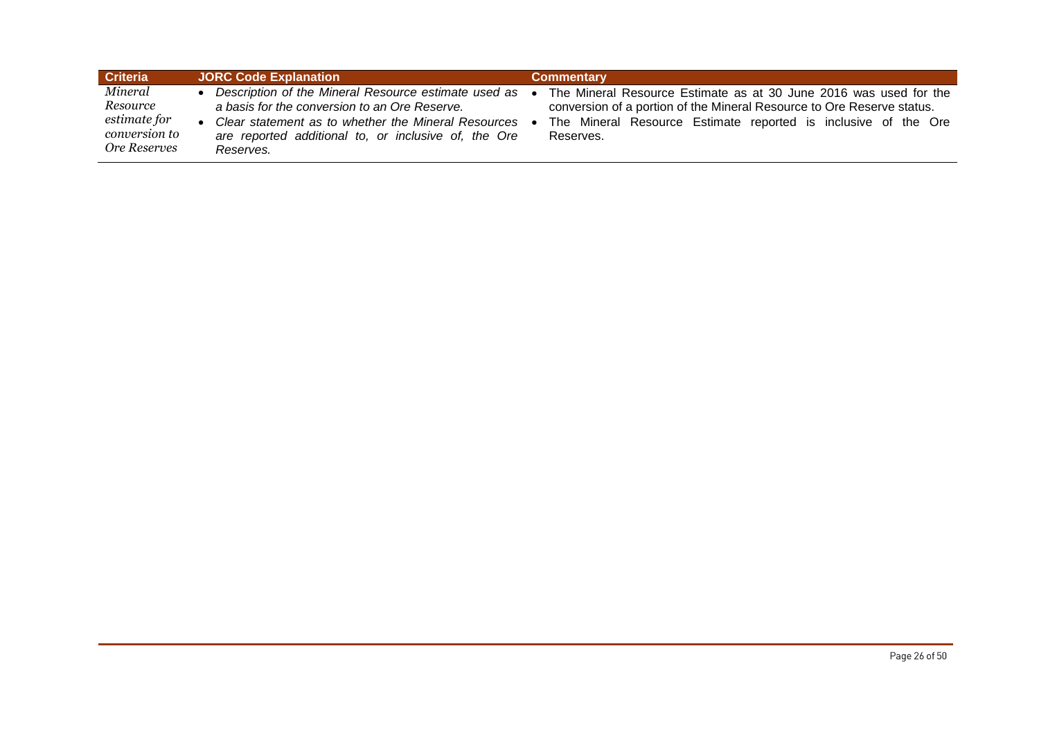| <b>Criteria</b>                                                      | <b>JORC Code Explanation</b>                                                                                                                                                                                                          | Commentarv                                                                                                                                                                                                                 |
|----------------------------------------------------------------------|---------------------------------------------------------------------------------------------------------------------------------------------------------------------------------------------------------------------------------------|----------------------------------------------------------------------------------------------------------------------------------------------------------------------------------------------------------------------------|
| Mineral<br>Resource<br>estimate for<br>conversion to<br>Ore Reserves | Description of the Mineral Resource estimate used as •<br>a basis for the conversion to an Ore Reserve.<br>Clear statement as to whether the Mineral Resources •<br>are reported additional to, or inclusive of, the Ore<br>Reserves. | The Mineral Resource Estimate as at 30 June 2016 was used for the<br>conversion of a portion of the Mineral Resource to Ore Reserve status.<br>The Mineral Resource Estimate reported is inclusive of the Ore<br>Reserves. |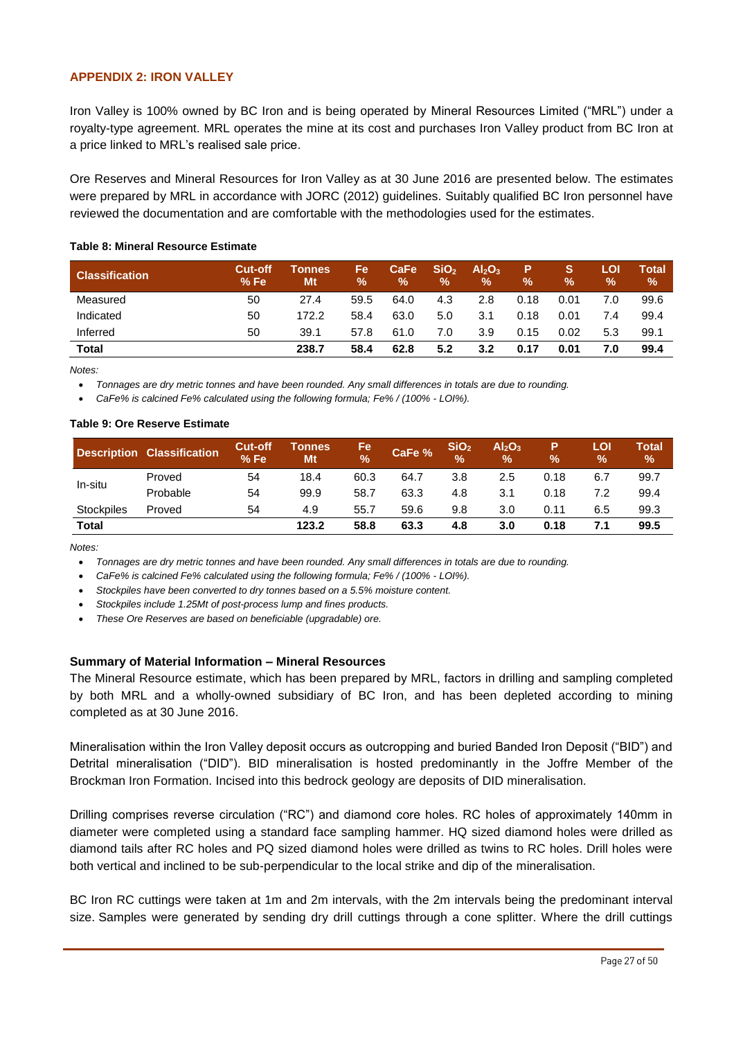### **APPENDIX 2: IRON VALLEY**

Iron Valley is 100% owned by BC Iron and is being operated by Mineral Resources Limited ("MRL") under a royalty-type agreement. MRL operates the mine at its cost and purchases Iron Valley product from BC Iron at a price linked to MRL's realised sale price.

Ore Reserves and Mineral Resources for Iron Valley as at 30 June 2016 are presented below. The estimates were prepared by MRL in accordance with JORC (2012) guidelines. Suitably qualified BC Iron personnel have reviewed the documentation and are comfortable with the methodologies used for the estimates.

| <b>Classification</b> | <b>Cut-off</b><br>%Fe | Tonnes<br>Mt | <b>Fe</b><br>% | CaFe<br>% | SiO <sub>2</sub><br>$\%$ | Al <sub>2</sub> O <sub>3</sub><br>$\frac{9}{6}$ | $\%$ | S.<br>% | LOI<br>$\%$ | Total<br>$\frac{9}{6}$ |
|-----------------------|-----------------------|--------------|----------------|-----------|--------------------------|-------------------------------------------------|------|---------|-------------|------------------------|
| Measured              | 50                    | 27.4         | 59.5           | 64.0      | 4.3                      | 2.8                                             | 0.18 | 0.01    | 7.0         | 99.6                   |
| Indicated             | 50                    | 172.2        | 58.4           | 63.0      | 5.0                      | 3.1                                             | 0.18 | 0.01    | 7.4         | 99.4                   |
| Inferred              | 50                    | 39.1         | 57.8           | 61.0      | 7.0                      | 3.9                                             | 0.15 | 0.02    | 5.3         | 99.1                   |
| Total                 |                       | 238.7        | 58.4           | 62.8      | 5.2                      | 3.2                                             | 0.17 | 0.01    | 7.0         | 99.4                   |

#### **Table 8: Mineral Resource Estimate**

*Notes:*

*Tonnages are dry metric tonnes and have been rounded. Any small differences in totals are due to rounding.*

*CaFe% is calcined Fe% calculated using the following formula; Fe% / (100% - LOI%).*

#### **Table 9: Ore Reserve Estimate**

|            | Description Classification | <b>Cut-off</b><br>%Fe | Tonnes<br>Mt | Fe<br>$\frac{9}{6}$ | CaFe % | SiO <sub>2</sub><br>$\frac{1}{2}$ | Al <sub>2</sub> O <sub>3</sub><br>$\frac{9}{6}$ | Р<br>$\frac{9}{6}$ | LOI<br>% | Total'<br>% |
|------------|----------------------------|-----------------------|--------------|---------------------|--------|-----------------------------------|-------------------------------------------------|--------------------|----------|-------------|
| In-situ    | Proved                     | 54                    | 18.4         | 60.3                | 64.7   | 3.8                               | 2.5                                             | 0.18               | 6.7      | 99.7        |
|            | Probable                   | 54                    | 99.9         | 58.7                | 63.3   | 4.8                               | 3.1                                             | 0.18               | 7.2      | 99.4        |
| Stockpiles | Proved                     | 54                    | 4.9          | 55.7                | 59.6   | 9.8                               | 3.0                                             | 0.11               | 6.5      | 99.3        |
| Total      |                            |                       | 123.2        | 58.8                | 63.3   | 4.8                               | 3.0                                             | 0.18               | 7.1      | 99.5        |

*Notes:*

*Tonnages are dry metric tonnes and have been rounded. Any small differences in totals are due to rounding.*

*CaFe% is calcined Fe% calculated using the following formula; Fe% / (100% - LOI%).*

*Stockpiles have been converted to dry tonnes based on a 5.5% moisture content.*

*Stockpiles include 1.25Mt of post-process lump and fines products.*

*These Ore Reserves are based on beneficiable (upgradable) ore.* 

#### **Summary of Material Information – Mineral Resources**

The Mineral Resource estimate, which has been prepared by MRL, factors in drilling and sampling completed by both MRL and a wholly-owned subsidiary of BC Iron, and has been depleted according to mining completed as at 30 June 2016.

Mineralisation within the Iron Valley deposit occurs as outcropping and buried Banded Iron Deposit ("BID") and Detrital mineralisation ("DID"). BID mineralisation is hosted predominantly in the Joffre Member of the Brockman Iron Formation. Incised into this bedrock geology are deposits of DID mineralisation.

Drilling comprises reverse circulation ("RC") and diamond core holes. RC holes of approximately 140mm in diameter were completed using a standard face sampling hammer. HQ sized diamond holes were drilled as diamond tails after RC holes and PQ sized diamond holes were drilled as twins to RC holes. Drill holes were both vertical and inclined to be sub-perpendicular to the local strike and dip of the mineralisation.

BC Iron RC cuttings were taken at 1m and 2m intervals, with the 2m intervals being the predominant interval size. Samples were generated by sending dry drill cuttings through a cone splitter. Where the drill cuttings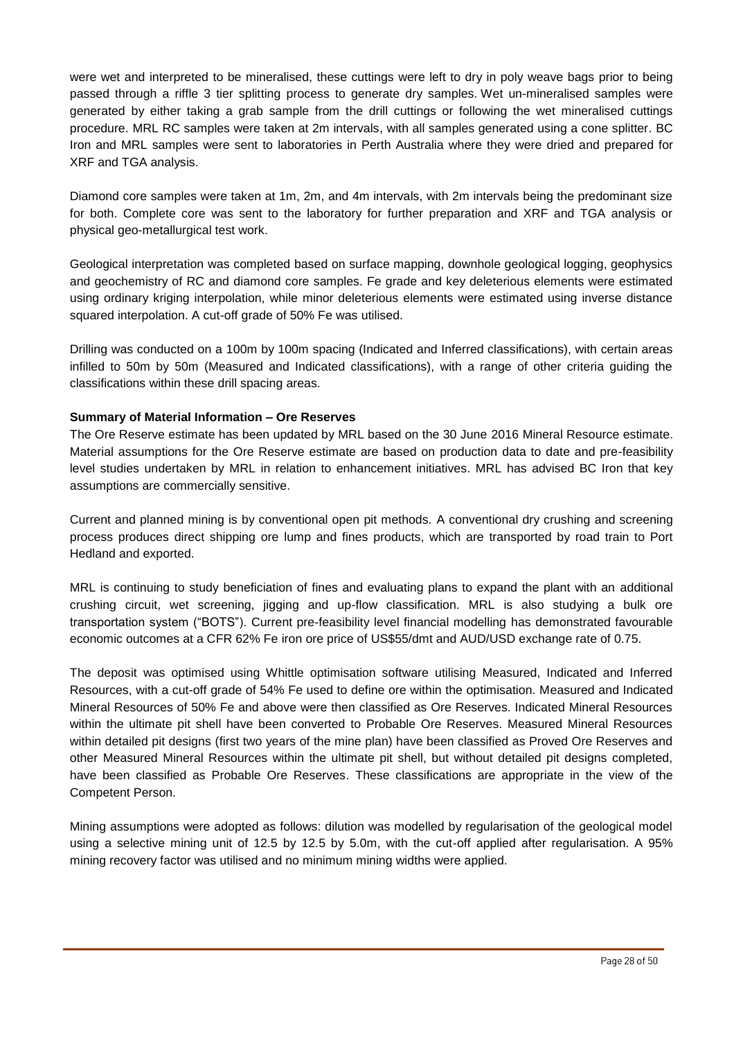were wet and interpreted to be mineralised, these cuttings were left to dry in poly weave bags prior to being passed through a riffle 3 tier splitting process to generate dry samples. Wet un-mineralised samples were generated by either taking a grab sample from the drill cuttings or following the wet mineralised cuttings procedure. MRL RC samples were taken at 2m intervals, with all samples generated using a cone splitter. BC Iron and MRL samples were sent to laboratories in Perth Australia where they were dried and prepared for XRF and TGA analysis.

Diamond core samples were taken at 1m, 2m, and 4m intervals, with 2m intervals being the predominant size for both. Complete core was sent to the laboratory for further preparation and XRF and TGA analysis or physical geo-metallurgical test work.

Geological interpretation was completed based on surface mapping, downhole geological logging, geophysics and geochemistry of RC and diamond core samples. Fe grade and key deleterious elements were estimated using ordinary kriging interpolation, while minor deleterious elements were estimated using inverse distance squared interpolation. A cut-off grade of 50% Fe was utilised.

Drilling was conducted on a 100m by 100m spacing (Indicated and Inferred classifications), with certain areas infilled to 50m by 50m (Measured and Indicated classifications), with a range of other criteria guiding the classifications within these drill spacing areas.

### **Summary of Material Information – Ore Reserves**

The Ore Reserve estimate has been updated by MRL based on the 30 June 2016 Mineral Resource estimate. Material assumptions for the Ore Reserve estimate are based on production data to date and pre-feasibility level studies undertaken by MRL in relation to enhancement initiatives. MRL has advised BC Iron that key assumptions are commercially sensitive.

Current and planned mining is by conventional open pit methods. A conventional dry crushing and screening process produces direct shipping ore lump and fines products, which are transported by road train to Port Hedland and exported.

MRL is continuing to study beneficiation of fines and evaluating plans to expand the plant with an additional crushing circuit, wet screening, jigging and up-flow classification. MRL is also studying a bulk ore transportation system ("BOTS"). Current pre-feasibility level financial modelling has demonstrated favourable economic outcomes at a CFR 62% Fe iron ore price of US\$55/dmt and AUD/USD exchange rate of 0.75.

The deposit was optimised using Whittle optimisation software utilising Measured, Indicated and Inferred Resources, with a cut-off grade of 54% Fe used to define ore within the optimisation. Measured and Indicated Mineral Resources of 50% Fe and above were then classified as Ore Reserves. Indicated Mineral Resources within the ultimate pit shell have been converted to Probable Ore Reserves. Measured Mineral Resources within detailed pit designs (first two years of the mine plan) have been classified as Proved Ore Reserves and other Measured Mineral Resources within the ultimate pit shell, but without detailed pit designs completed, have been classified as Probable Ore Reserves. These classifications are appropriate in the view of the Competent Person.

Mining assumptions were adopted as follows: dilution was modelled by regularisation of the geological model using a selective mining unit of 12.5 by 12.5 by 5.0m, with the cut-off applied after regularisation. A 95% mining recovery factor was utilised and no minimum mining widths were applied.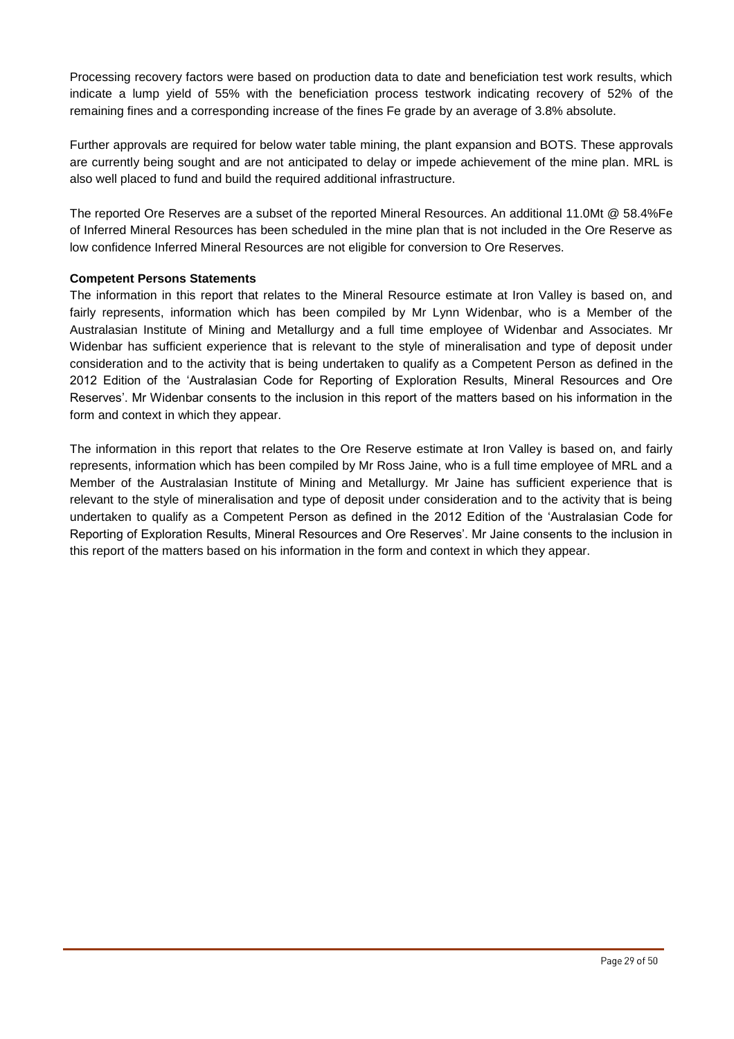Processing recovery factors were based on production data to date and beneficiation test work results, which indicate a lump yield of 55% with the beneficiation process testwork indicating recovery of 52% of the remaining fines and a corresponding increase of the fines Fe grade by an average of 3.8% absolute.

Further approvals are required for below water table mining, the plant expansion and BOTS. These approvals are currently being sought and are not anticipated to delay or impede achievement of the mine plan. MRL is also well placed to fund and build the required additional infrastructure.

The reported Ore Reserves are a subset of the reported Mineral Resources. An additional 11.0Mt @ 58.4%Fe of Inferred Mineral Resources has been scheduled in the mine plan that is not included in the Ore Reserve as low confidence Inferred Mineral Resources are not eligible for conversion to Ore Reserves.

### **Competent Persons Statements**

The information in this report that relates to the Mineral Resource estimate at Iron Valley is based on, and fairly represents, information which has been compiled by Mr Lynn Widenbar, who is a Member of the Australasian Institute of Mining and Metallurgy and a full time employee of Widenbar and Associates. Mr Widenbar has sufficient experience that is relevant to the style of mineralisation and type of deposit under consideration and to the activity that is being undertaken to qualify as a Competent Person as defined in the 2012 Edition of the 'Australasian Code for Reporting of Exploration Results, Mineral Resources and Ore Reserves'. Mr Widenbar consents to the inclusion in this report of the matters based on his information in the form and context in which they appear.

The information in this report that relates to the Ore Reserve estimate at Iron Valley is based on, and fairly represents, information which has been compiled by Mr Ross Jaine, who is a full time employee of MRL and a Member of the Australasian Institute of Mining and Metallurgy. Mr Jaine has sufficient experience that is relevant to the style of mineralisation and type of deposit under consideration and to the activity that is being undertaken to qualify as a Competent Person as defined in the 2012 Edition of the 'Australasian Code for Reporting of Exploration Results, Mineral Resources and Ore Reserves'. Mr Jaine consents to the inclusion in this report of the matters based on his information in the form and context in which they appear.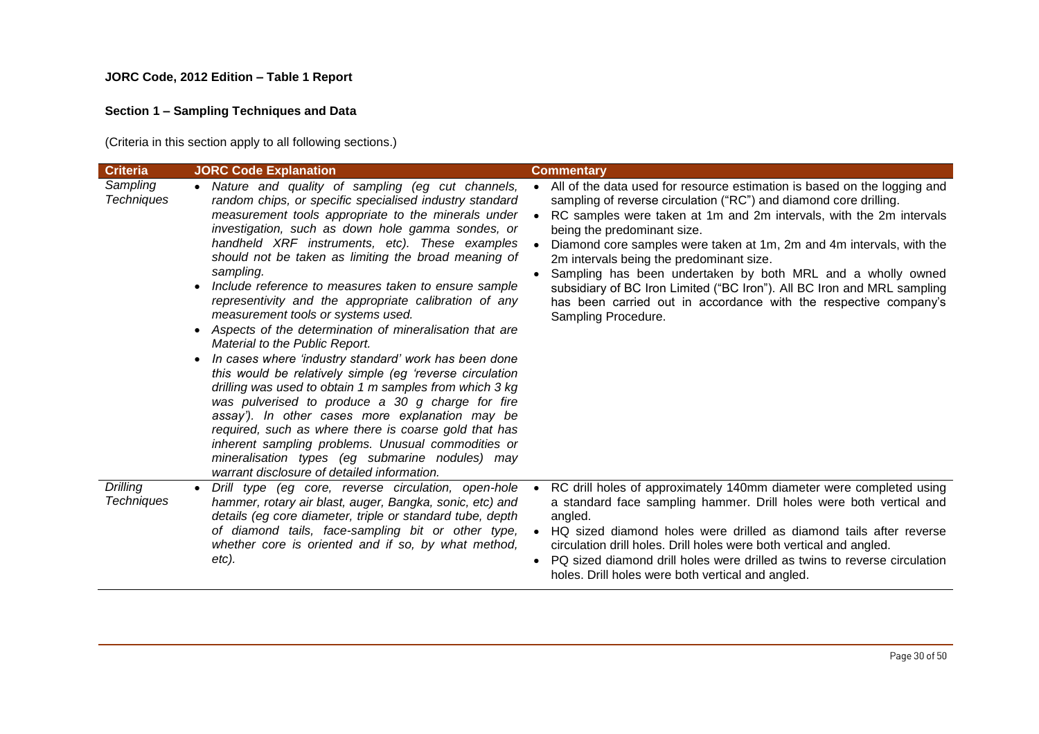### **JORC Code, 2012 Edition – Table 1 Report**

# **Section 1 – Sampling Techniques and Data**

(Criteria in this section apply to all following sections.)

| <b>Criteria</b>                      | <b>JORC Code Explanation</b>                                                                                                                                                                                                                                                                                                                                                                                                                                                                                                                                                                                                                                                                                                                                                                                                                                                                                                                                                                                                                                                                                                | <b>Commentary</b>                                                                                                                                                                                                                                                                                                                                                                                                                                                                                                                                                                                            |
|--------------------------------------|-----------------------------------------------------------------------------------------------------------------------------------------------------------------------------------------------------------------------------------------------------------------------------------------------------------------------------------------------------------------------------------------------------------------------------------------------------------------------------------------------------------------------------------------------------------------------------------------------------------------------------------------------------------------------------------------------------------------------------------------------------------------------------------------------------------------------------------------------------------------------------------------------------------------------------------------------------------------------------------------------------------------------------------------------------------------------------------------------------------------------------|--------------------------------------------------------------------------------------------------------------------------------------------------------------------------------------------------------------------------------------------------------------------------------------------------------------------------------------------------------------------------------------------------------------------------------------------------------------------------------------------------------------------------------------------------------------------------------------------------------------|
| Sampling<br><b>Techniques</b>        | • Nature and quality of sampling (eg cut channels,<br>random chips, or specific specialised industry standard<br>measurement tools appropriate to the minerals under<br>investigation, such as down hole gamma sondes, or<br>handheld XRF instruments, etc). These examples<br>should not be taken as limiting the broad meaning of<br>sampling.<br>Include reference to measures taken to ensure sample<br>$\bullet$<br>representivity and the appropriate calibration of any<br>measurement tools or systems used.<br>• Aspects of the determination of mineralisation that are<br>Material to the Public Report.<br>In cases where 'industry standard' work has been done<br>this would be relatively simple (eg 'reverse circulation<br>drilling was used to obtain 1 m samples from which 3 kg<br>was pulverised to produce a 30 g charge for fire<br>assay'). In other cases more explanation may be<br>required, such as where there is coarse gold that has<br>inherent sampling problems. Unusual commodities or<br>mineralisation types (eg submarine nodules) may<br>warrant disclosure of detailed information. | All of the data used for resource estimation is based on the logging and<br>sampling of reverse circulation ("RC") and diamond core drilling.<br>RC samples were taken at 1m and 2m intervals, with the 2m intervals<br>being the predominant size.<br>Diamond core samples were taken at 1m, 2m and 4m intervals, with the<br>2m intervals being the predominant size.<br>Sampling has been undertaken by both MRL and a wholly owned<br>subsidiary of BC Iron Limited ("BC Iron"). All BC Iron and MRL sampling<br>has been carried out in accordance with the respective company's<br>Sampling Procedure. |
| <b>Drilling</b><br><b>Techniques</b> | Drill type (eg core, reverse circulation, open-hole<br>$\bullet$<br>hammer, rotary air blast, auger, Bangka, sonic, etc) and<br>details (eg core diameter, triple or standard tube, depth<br>of diamond tails, face-sampling bit or other type,<br>whether core is oriented and if so, by what method,<br>etc).                                                                                                                                                                                                                                                                                                                                                                                                                                                                                                                                                                                                                                                                                                                                                                                                             | RC drill holes of approximately 140mm diameter were completed using<br>a standard face sampling hammer. Drill holes were both vertical and<br>angled.<br>• HQ sized diamond holes were drilled as diamond tails after reverse<br>circulation drill holes. Drill holes were both vertical and angled.<br>PQ sized diamond drill holes were drilled as twins to reverse circulation<br>holes. Drill holes were both vertical and angled.                                                                                                                                                                       |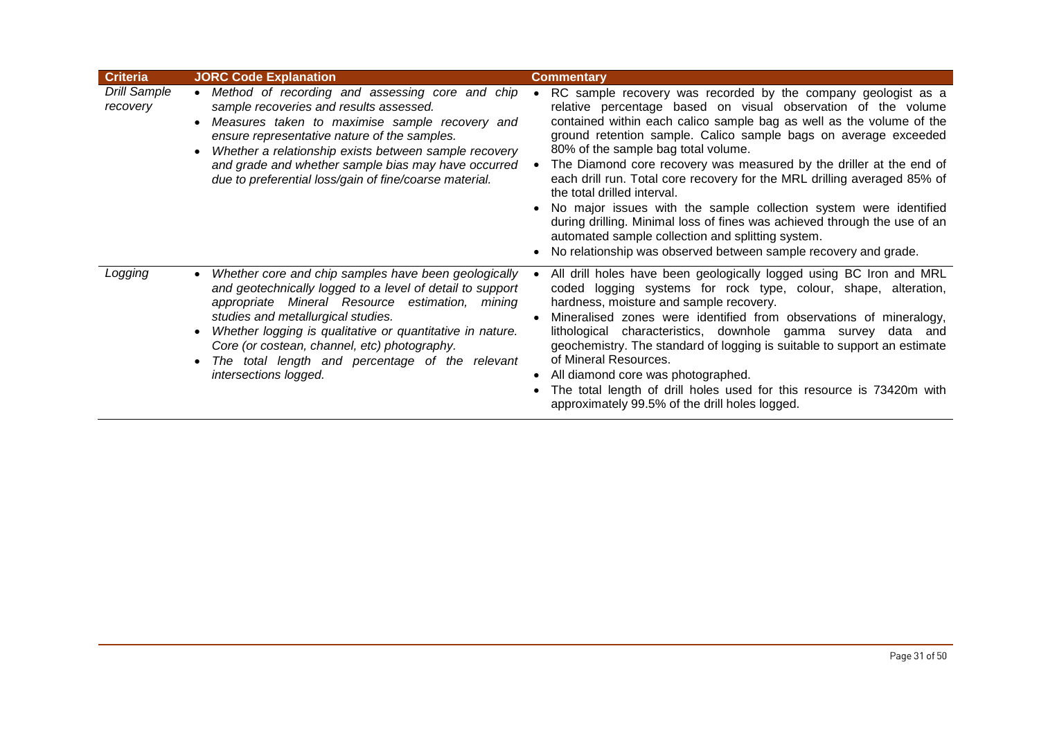| <b>Criteria</b>                 | <b>JORC Code Explanation</b>                                                                                                                                                                                                                                                                                                                                                                                                  | <b>Commentary</b>                                                                                                                                                                                                                                                                                                                                                                                                                                                                                                                                                                                                                                                                                                                                                                         |
|---------------------------------|-------------------------------------------------------------------------------------------------------------------------------------------------------------------------------------------------------------------------------------------------------------------------------------------------------------------------------------------------------------------------------------------------------------------------------|-------------------------------------------------------------------------------------------------------------------------------------------------------------------------------------------------------------------------------------------------------------------------------------------------------------------------------------------------------------------------------------------------------------------------------------------------------------------------------------------------------------------------------------------------------------------------------------------------------------------------------------------------------------------------------------------------------------------------------------------------------------------------------------------|
| <b>Drill Sample</b><br>recovery | Method of recording and assessing core and chip<br>$\bullet$<br>sample recoveries and results assessed.<br>Measures taken to maximise sample recovery and<br>$\bullet$<br>ensure representative nature of the samples.<br>Whether a relationship exists between sample recovery<br>$\bullet$<br>and grade and whether sample bias may have occurred<br>due to preferential loss/gain of fine/coarse material.                 | RC sample recovery was recorded by the company geologist as a<br>$\bullet$<br>relative percentage based on visual observation of the volume<br>contained within each calico sample bag as well as the volume of the<br>ground retention sample. Calico sample bags on average exceeded<br>80% of the sample bag total volume.<br>The Diamond core recovery was measured by the driller at the end of<br>each drill run. Total core recovery for the MRL drilling averaged 85% of<br>the total drilled interval.<br>No major issues with the sample collection system were identified<br>during drilling. Minimal loss of fines was achieved through the use of an<br>automated sample collection and splitting system.<br>No relationship was observed between sample recovery and grade. |
| Logging                         | Whether core and chip samples have been geologically<br>$\bullet$<br>and geotechnically logged to a level of detail to support<br>appropriate Mineral Resource estimation, mining<br>studies and metallurgical studies.<br>Whether logging is qualitative or quantitative in nature.<br>$\bullet$<br>Core (or costean, channel, etc) photography.<br>The total length and percentage of the relevant<br>intersections logged. | All drill holes have been geologically logged using BC Iron and MRL<br>coded logging systems for rock type, colour, shape, alteration,<br>hardness, moisture and sample recovery.<br>Mineralised zones were identified from observations of mineralogy,<br>lithological characteristics, downhole gamma survey data and<br>geochemistry. The standard of logging is suitable to support an estimate<br>of Mineral Resources.<br>• All diamond core was photographed.<br>The total length of drill holes used for this resource is 73420m with<br>approximately 99.5% of the drill holes logged.                                                                                                                                                                                           |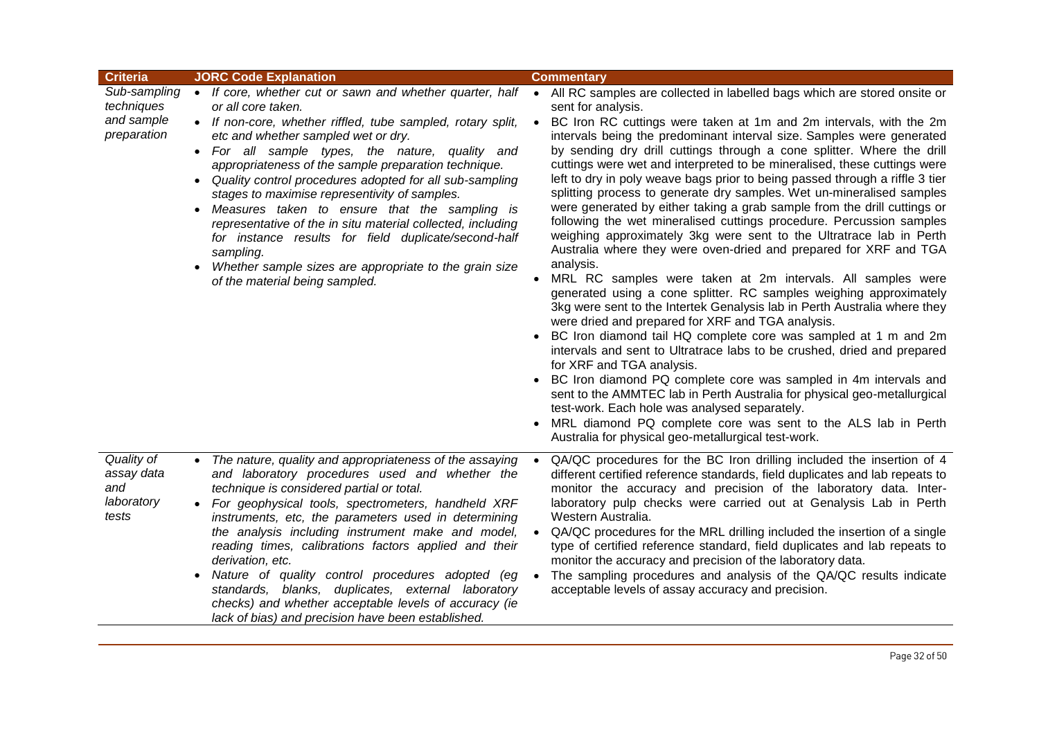| <b>Criteria</b>                                         | <b>JORC Code Explanation</b>                                                                                                                                                                                                                                                                                                                                                                                                                                                                                                                                                                                                                                                                                           | <b>Commentary</b>                                                                                                                                                                                                                                                                                                                                                                                                                                                                                                                                                                                                                                                                                                                                                                                                                                                                                                                                                                                                                                                                                                                                                                                                                                                                                                                                                                                                                                                                                                                                                                                                                                                                                        |
|---------------------------------------------------------|------------------------------------------------------------------------------------------------------------------------------------------------------------------------------------------------------------------------------------------------------------------------------------------------------------------------------------------------------------------------------------------------------------------------------------------------------------------------------------------------------------------------------------------------------------------------------------------------------------------------------------------------------------------------------------------------------------------------|----------------------------------------------------------------------------------------------------------------------------------------------------------------------------------------------------------------------------------------------------------------------------------------------------------------------------------------------------------------------------------------------------------------------------------------------------------------------------------------------------------------------------------------------------------------------------------------------------------------------------------------------------------------------------------------------------------------------------------------------------------------------------------------------------------------------------------------------------------------------------------------------------------------------------------------------------------------------------------------------------------------------------------------------------------------------------------------------------------------------------------------------------------------------------------------------------------------------------------------------------------------------------------------------------------------------------------------------------------------------------------------------------------------------------------------------------------------------------------------------------------------------------------------------------------------------------------------------------------------------------------------------------------------------------------------------------------|
| Sub-sampling<br>techniques<br>and sample<br>preparation | • If core, whether cut or sawn and whether quarter, half<br>or all core taken.<br>• If non-core, whether riffled, tube sampled, rotary split,<br>etc and whether sampled wet or dry.<br>• For all sample types, the nature, quality and<br>appropriateness of the sample preparation technique.<br>Quality control procedures adopted for all sub-sampling<br>$\bullet$<br>stages to maximise representivity of samples.<br>Measures taken to ensure that the sampling is<br>$\bullet$<br>representative of the in situ material collected, including<br>for instance results for field duplicate/second-half<br>sampling.<br>Whether sample sizes are appropriate to the grain size<br>of the material being sampled. | All RC samples are collected in labelled bags which are stored onsite or<br>$\bullet$<br>sent for analysis.<br>BC Iron RC cuttings were taken at 1m and 2m intervals, with the 2m<br>$\bullet$<br>intervals being the predominant interval size. Samples were generated<br>by sending dry drill cuttings through a cone splitter. Where the drill<br>cuttings were wet and interpreted to be mineralised, these cuttings were<br>left to dry in poly weave bags prior to being passed through a riffle 3 tier<br>splitting process to generate dry samples. Wet un-mineralised samples<br>were generated by either taking a grab sample from the drill cuttings or<br>following the wet mineralised cuttings procedure. Percussion samples<br>weighing approximately 3kg were sent to the Ultratrace lab in Perth<br>Australia where they were oven-dried and prepared for XRF and TGA<br>analysis.<br>MRL RC samples were taken at 2m intervals. All samples were<br>generated using a cone splitter. RC samples weighing approximately<br>3kg were sent to the Intertek Genalysis lab in Perth Australia where they<br>were dried and prepared for XRF and TGA analysis.<br>BC Iron diamond tail HQ complete core was sampled at 1 m and 2m<br>$\bullet$<br>intervals and sent to Ultratrace labs to be crushed, dried and prepared<br>for XRF and TGA analysis.<br>BC Iron diamond PQ complete core was sampled in 4m intervals and<br>sent to the AMMTEC lab in Perth Australia for physical geo-metallurgical<br>test-work. Each hole was analysed separately.<br>MRL diamond PQ complete core was sent to the ALS lab in Perth<br>$\bullet$<br>Australia for physical geo-metallurgical test-work. |
| Quality of<br>assay data<br>and<br>laboratory<br>tests  | The nature, quality and appropriateness of the assaying<br>and laboratory procedures used and whether the<br>technique is considered partial or total.<br>For geophysical tools, spectrometers, handheld XRF<br>instruments, etc, the parameters used in determining<br>the analysis including instrument make and model,<br>reading times, calibrations factors applied and their<br>derivation, etc.<br>Nature of quality control procedures adopted (eg<br>$\bullet$<br>standards, blanks, duplicates, external laboratory<br>checks) and whether acceptable levels of accuracy (ie<br>lack of bias) and precision have been established.                                                                           | QA/QC procedures for the BC Iron drilling included the insertion of 4<br>different certified reference standards, field duplicates and lab repeats to<br>monitor the accuracy and precision of the laboratory data. Inter-<br>laboratory pulp checks were carried out at Genalysis Lab in Perth<br>Western Australia.<br>QA/QC procedures for the MRL drilling included the insertion of a single<br>$\bullet$<br>type of certified reference standard, field duplicates and lab repeats to<br>monitor the accuracy and precision of the laboratory data.<br>The sampling procedures and analysis of the QA/QC results indicate<br>$\bullet$<br>acceptable levels of assay accuracy and precision.                                                                                                                                                                                                                                                                                                                                                                                                                                                                                                                                                                                                                                                                                                                                                                                                                                                                                                                                                                                                       |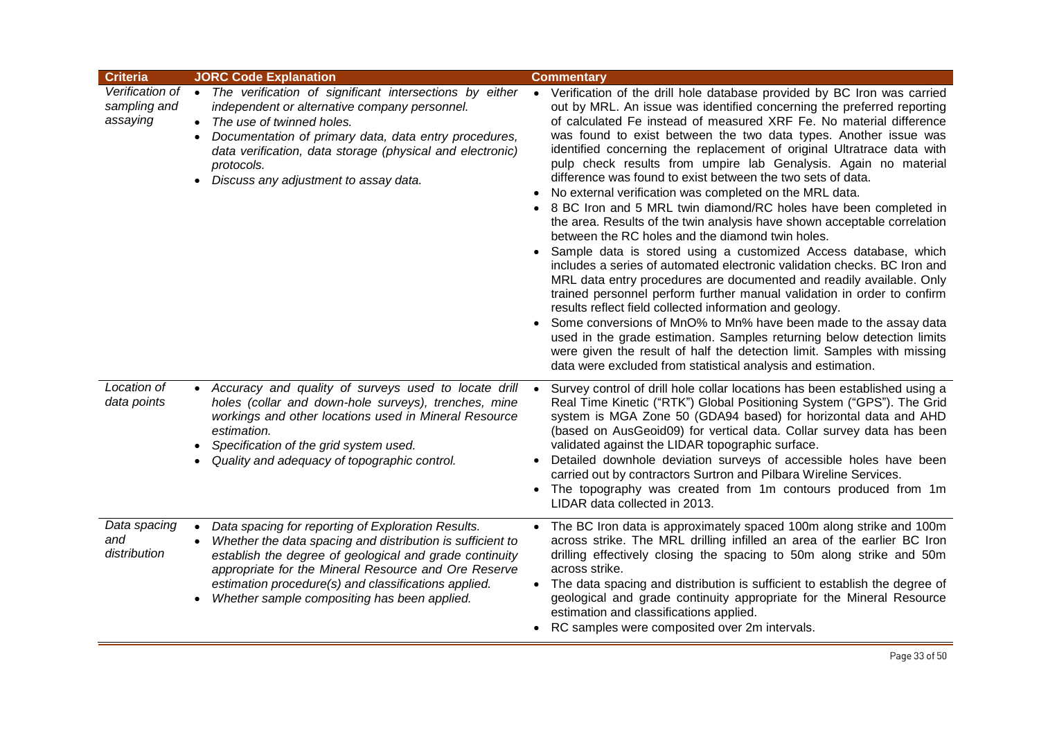| <b>Criteria</b>                             | <b>JORC Code Explanation</b>                                                                                                                                                                                                                                                                                                                                                       | <b>Commentary</b>                                                                                                                                                                                                                                                                                                                                                                                                                                                                                                                                                                                                                                                                                                                                                                                                                                                                                                                                                                                                                                                                                                                                                                                                                                                                                                                                                                                                                               |
|---------------------------------------------|------------------------------------------------------------------------------------------------------------------------------------------------------------------------------------------------------------------------------------------------------------------------------------------------------------------------------------------------------------------------------------|-------------------------------------------------------------------------------------------------------------------------------------------------------------------------------------------------------------------------------------------------------------------------------------------------------------------------------------------------------------------------------------------------------------------------------------------------------------------------------------------------------------------------------------------------------------------------------------------------------------------------------------------------------------------------------------------------------------------------------------------------------------------------------------------------------------------------------------------------------------------------------------------------------------------------------------------------------------------------------------------------------------------------------------------------------------------------------------------------------------------------------------------------------------------------------------------------------------------------------------------------------------------------------------------------------------------------------------------------------------------------------------------------------------------------------------------------|
| Verification of<br>sampling and<br>assaying | • The verification of significant intersections by either<br>independent or alternative company personnel.<br>The use of twinned holes.<br>$\bullet$<br>Documentation of primary data, data entry procedures,<br>$\bullet$<br>data verification, data storage (physical and electronic)<br>protocols.<br>Discuss any adjustment to assay data.<br>$\bullet$                        | • Verification of the drill hole database provided by BC Iron was carried<br>out by MRL. An issue was identified concerning the preferred reporting<br>of calculated Fe instead of measured XRF Fe. No material difference<br>was found to exist between the two data types. Another issue was<br>identified concerning the replacement of original Ultratrace data with<br>pulp check results from umpire lab Genalysis. Again no material<br>difference was found to exist between the two sets of data.<br>• No external verification was completed on the MRL data.<br>8 BC Iron and 5 MRL twin diamond/RC holes have been completed in<br>the area. Results of the twin analysis have shown acceptable correlation<br>between the RC holes and the diamond twin holes.<br>Sample data is stored using a customized Access database, which<br>$\bullet$<br>includes a series of automated electronic validation checks. BC Iron and<br>MRL data entry procedures are documented and readily available. Only<br>trained personnel perform further manual validation in order to confirm<br>results reflect field collected information and geology.<br>Some conversions of MnO% to Mn% have been made to the assay data<br>used in the grade estimation. Samples returning below detection limits<br>were given the result of half the detection limit. Samples with missing<br>data were excluded from statistical analysis and estimation. |
| Location of<br>data points                  | • Accuracy and quality of surveys used to locate drill<br>holes (collar and down-hole surveys), trenches, mine<br>workings and other locations used in Mineral Resource<br>estimation.<br>Specification of the grid system used.<br>$\bullet$<br>Quality and adequacy of topographic control.                                                                                      | Survey control of drill hole collar locations has been established using a<br>Real Time Kinetic ("RTK") Global Positioning System ("GPS"). The Grid<br>system is MGA Zone 50 (GDA94 based) for horizontal data and AHD<br>(based on AusGeoid09) for vertical data. Collar survey data has been<br>validated against the LIDAR topographic surface.<br>Detailed downhole deviation surveys of accessible holes have been<br>carried out by contractors Surtron and Pilbara Wireline Services.<br>The topography was created from 1m contours produced from 1m<br>$\bullet$<br>LIDAR data collected in 2013.                                                                                                                                                                                                                                                                                                                                                                                                                                                                                                                                                                                                                                                                                                                                                                                                                                      |
| Data spacing<br>and<br>distribution         | Data spacing for reporting of Exploration Results.<br>$\bullet$<br>Whether the data spacing and distribution is sufficient to<br>$\bullet$<br>establish the degree of geological and grade continuity<br>appropriate for the Mineral Resource and Ore Reserve<br>estimation procedure(s) and classifications applied.<br>Whether sample compositing has been applied.<br>$\bullet$ | The BC Iron data is approximately spaced 100m along strike and 100m<br>$\bullet$<br>across strike. The MRL drilling infilled an area of the earlier BC Iron<br>drilling effectively closing the spacing to 50m along strike and 50m<br>across strike.<br>The data spacing and distribution is sufficient to establish the degree of<br>$\bullet$<br>geological and grade continuity appropriate for the Mineral Resource<br>estimation and classifications applied.<br>• RC samples were composited over 2m intervals.                                                                                                                                                                                                                                                                                                                                                                                                                                                                                                                                                                                                                                                                                                                                                                                                                                                                                                                          |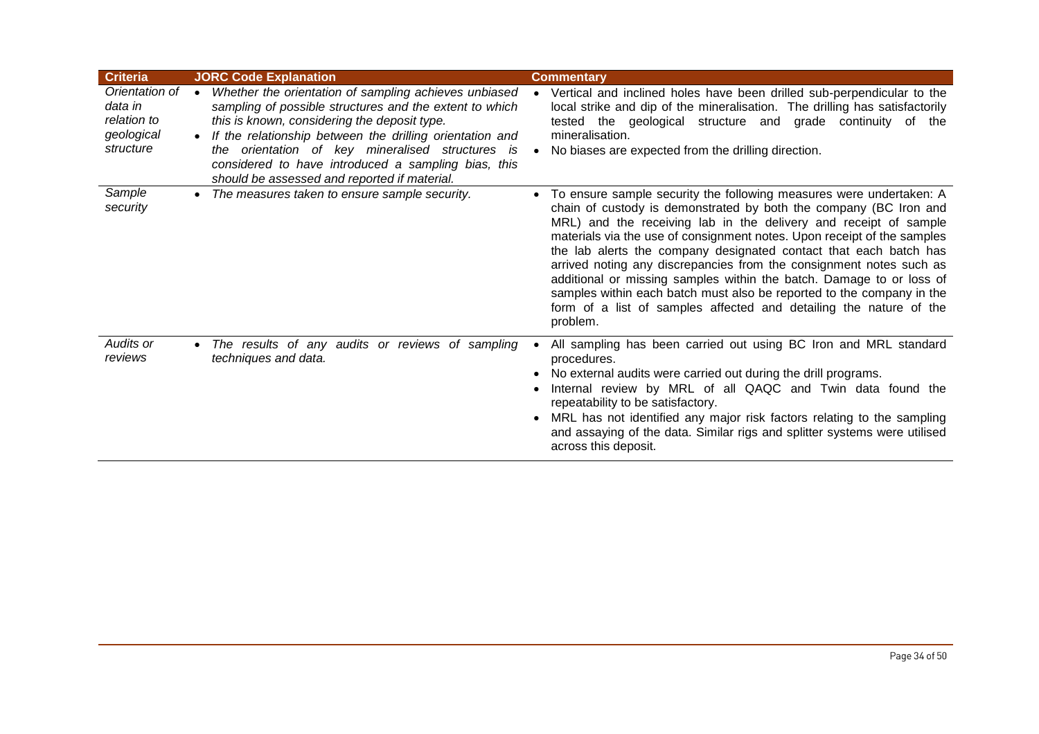| <b>Criteria</b>                                                     | <b>JORC Code Explanation</b>                                                                                                                                                                                                                                                                                                                                                                                      | <b>Commentary</b>                                                                                                                                                                                                                                                                                                                                                                                                                                                                                                                                                                                                                                                      |
|---------------------------------------------------------------------|-------------------------------------------------------------------------------------------------------------------------------------------------------------------------------------------------------------------------------------------------------------------------------------------------------------------------------------------------------------------------------------------------------------------|------------------------------------------------------------------------------------------------------------------------------------------------------------------------------------------------------------------------------------------------------------------------------------------------------------------------------------------------------------------------------------------------------------------------------------------------------------------------------------------------------------------------------------------------------------------------------------------------------------------------------------------------------------------------|
| Orientation of<br>data in<br>relation to<br>geological<br>structure | Whether the orientation of sampling achieves unbiased<br>$\bullet$<br>sampling of possible structures and the extent to which<br>this is known, considering the deposit type.<br>If the relationship between the drilling orientation and<br>$\bullet$<br>the orientation of key mineralised structures is<br>considered to have introduced a sampling bias, this<br>should be assessed and reported if material. | Vertical and inclined holes have been drilled sub-perpendicular to the<br>local strike and dip of the mineralisation. The drilling has satisfactorily<br>tested the geological structure and grade continuity of the<br>mineralisation.<br>No biases are expected from the drilling direction.                                                                                                                                                                                                                                                                                                                                                                         |
| Sample<br>security                                                  | The measures taken to ensure sample security.<br>$\bullet$                                                                                                                                                                                                                                                                                                                                                        | To ensure sample security the following measures were undertaken: A<br>chain of custody is demonstrated by both the company (BC Iron and<br>MRL) and the receiving lab in the delivery and receipt of sample<br>materials via the use of consignment notes. Upon receipt of the samples<br>the lab alerts the company designated contact that each batch has<br>arrived noting any discrepancies from the consignment notes such as<br>additional or missing samples within the batch. Damage to or loss of<br>samples within each batch must also be reported to the company in the<br>form of a list of samples affected and detailing the nature of the<br>problem. |
| Audits or<br>reviews                                                | The results of any audits or reviews of sampling<br>$\bullet$<br>techniques and data.                                                                                                                                                                                                                                                                                                                             | All sampling has been carried out using BC Iron and MRL standard<br>procedures.<br>No external audits were carried out during the drill programs.<br>Internal review by MRL of all QAQC and Twin data found the<br>repeatability to be satisfactory.<br>MRL has not identified any major risk factors relating to the sampling<br>and assaying of the data. Similar rigs and splitter systems were utilised<br>across this deposit.                                                                                                                                                                                                                                    |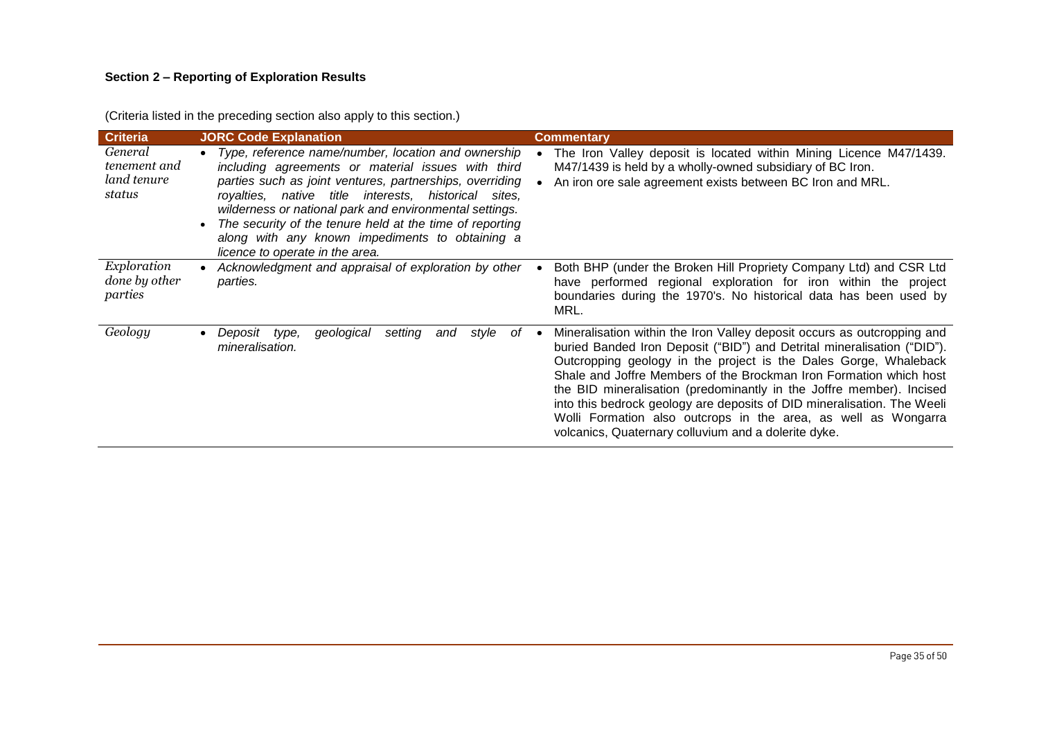# **Section 2 – Reporting of Exploration Results**

| <b>Criteria</b>                                  | <b>JORC Code Explanation</b>                                                                                                                                                                                                                                                                                                                                                                                                                               | <b>Commentary</b>                                                                                                                                                                                                                                                                                                                                                                                                                                                                                                                                                         |
|--------------------------------------------------|------------------------------------------------------------------------------------------------------------------------------------------------------------------------------------------------------------------------------------------------------------------------------------------------------------------------------------------------------------------------------------------------------------------------------------------------------------|---------------------------------------------------------------------------------------------------------------------------------------------------------------------------------------------------------------------------------------------------------------------------------------------------------------------------------------------------------------------------------------------------------------------------------------------------------------------------------------------------------------------------------------------------------------------------|
| General<br>tenement and<br>land tenure<br>status | Type, reference name/number, location and ownership<br>$\bullet$<br>including agreements or material issues with third<br>parties such as joint ventures, partnerships, overriding<br>royalties, native title interests, historical<br>sites.<br>wilderness or national park and environmental settings.<br>The security of the tenure held at the time of reporting<br>along with any known impediments to obtaining a<br>licence to operate in the area. | The Iron Valley deposit is located within Mining Licence M47/1439.<br>M47/1439 is held by a wholly-owned subsidiary of BC Iron.<br>An iron ore sale agreement exists between BC Iron and MRL.                                                                                                                                                                                                                                                                                                                                                                             |
| Exploration<br>done by other<br>parties          | Acknowledgment and appraisal of exploration by other<br>parties.                                                                                                                                                                                                                                                                                                                                                                                           | Both BHP (under the Broken Hill Propriety Company Ltd) and CSR Ltd<br>have performed regional exploration for iron within the project<br>boundaries during the 1970's. No historical data has been used by<br>MRL.                                                                                                                                                                                                                                                                                                                                                        |
| Geology                                          | Deposit type,<br>geological<br>setting<br>style<br>and<br>оf<br>mineralisation.                                                                                                                                                                                                                                                                                                                                                                            | Mineralisation within the Iron Valley deposit occurs as outcropping and<br>buried Banded Iron Deposit ("BID") and Detrital mineralisation ("DID").<br>Outcropping geology in the project is the Dales Gorge, Whaleback<br>Shale and Joffre Members of the Brockman Iron Formation which host<br>the BID mineralisation (predominantly in the Joffre member). Incised<br>into this bedrock geology are deposits of DID mineralisation. The Weeli<br>Wolli Formation also outcrops in the area, as well as Wongarra<br>volcanics, Quaternary colluvium and a dolerite dyke. |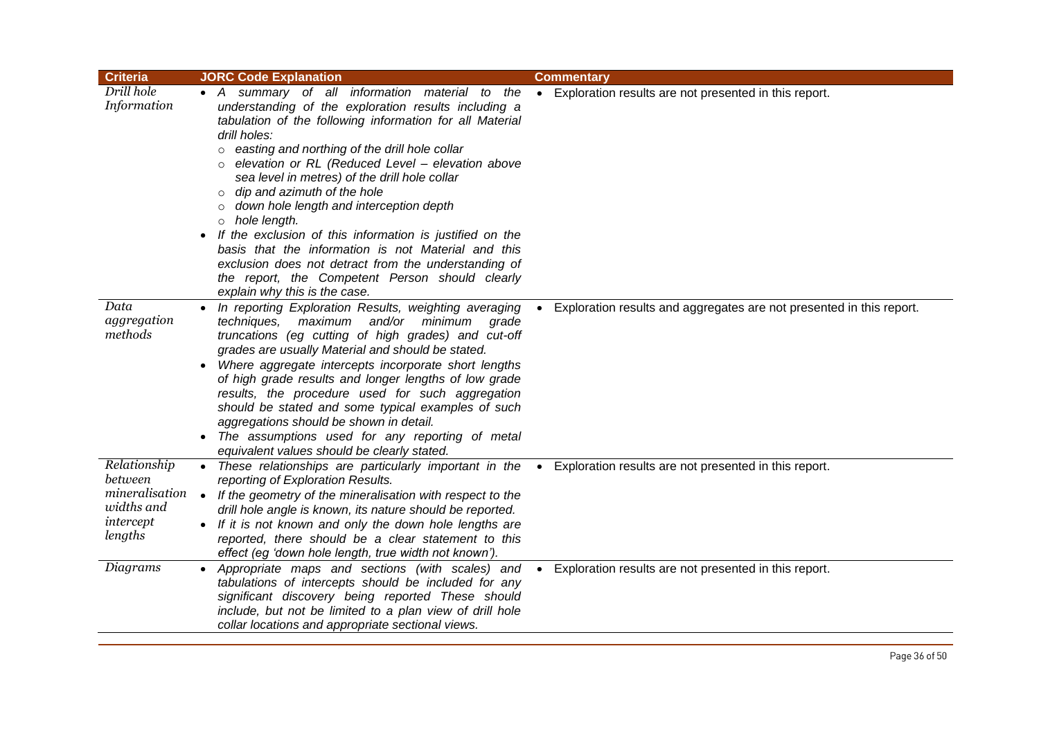| <b>Criteria</b>                                                                 | <b>JORC Code Explanation</b>                                                                                                                                                                                                                                                                                                                                                                                                                                                                                                                                                                                                                                                                                                                    | <b>Commentary</b>                                                    |
|---------------------------------------------------------------------------------|-------------------------------------------------------------------------------------------------------------------------------------------------------------------------------------------------------------------------------------------------------------------------------------------------------------------------------------------------------------------------------------------------------------------------------------------------------------------------------------------------------------------------------------------------------------------------------------------------------------------------------------------------------------------------------------------------------------------------------------------------|----------------------------------------------------------------------|
| Drill hole<br>Information                                                       | • A summary of all information material to the<br>understanding of the exploration results including a<br>tabulation of the following information for all Material<br>drill holes:<br>easting and northing of the drill hole collar<br>$\circ$<br>elevation or RL (Reduced Level - elevation above<br>sea level in metres) of the drill hole collar<br>dip and azimuth of the hole<br>$\circ$<br>down hole length and interception depth<br>$\circ$<br>hole length.<br>If the exclusion of this information is justified on the<br>$\bullet$<br>basis that the information is not Material and this<br>exclusion does not detract from the understanding of<br>the report, the Competent Person should clearly<br>explain why this is the case. | Exploration results are not presented in this report.                |
| Data<br>aggregation<br>methods                                                  | In reporting Exploration Results, weighting averaging<br>techniques,<br>maximum and/or minimum<br>grade<br>truncations (eg cutting of high grades) and cut-off<br>grades are usually Material and should be stated.<br>Where aggregate intercepts incorporate short lengths<br>$\bullet$<br>of high grade results and longer lengths of low grade<br>results, the procedure used for such aggregation<br>should be stated and some typical examples of such<br>aggregations should be shown in detail.<br>The assumptions used for any reporting of metal<br>equivalent values should be clearly stated.                                                                                                                                        | Exploration results and aggregates are not presented in this report. |
| Relationship<br>between<br>mineralisation<br>widths and<br>intercept<br>lengths | • These relationships are particularly important in the •<br>reporting of Exploration Results.<br>If the geometry of the mineralisation with respect to the<br>$\bullet$<br>drill hole angle is known, its nature should be reported.<br>• If it is not known and only the down hole lengths are<br>reported, there should be a clear statement to this<br>effect (eg 'down hole length, true width not known').                                                                                                                                                                                                                                                                                                                                | Exploration results are not presented in this report.                |
| Diagrams                                                                        | Appropriate maps and sections (with scales) and<br>tabulations of intercepts should be included for any<br>significant discovery being reported These should<br>include, but not be limited to a plan view of drill hole<br>collar locations and appropriate sectional views.                                                                                                                                                                                                                                                                                                                                                                                                                                                                   | Exploration results are not presented in this report.                |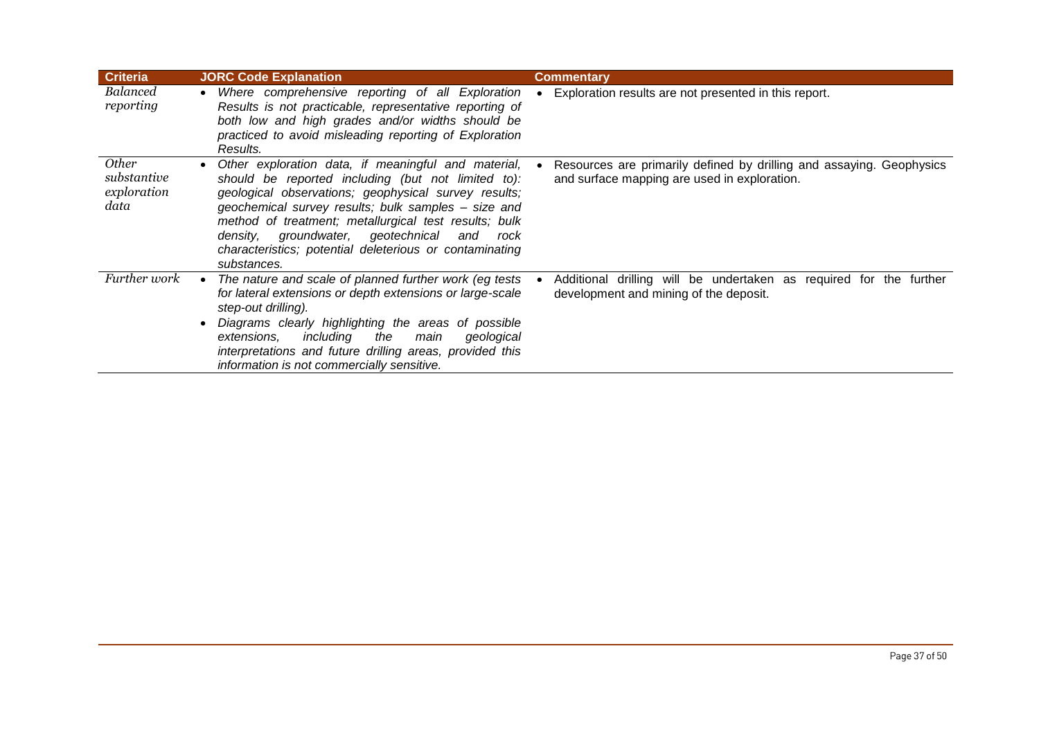| <b>Criteria</b>                                    | <b>JORC Code Explanation</b>                                                                                                                                                                                                                                                                                                                                                                                        | <b>Commentary</b>                                                                                                    |
|----------------------------------------------------|---------------------------------------------------------------------------------------------------------------------------------------------------------------------------------------------------------------------------------------------------------------------------------------------------------------------------------------------------------------------------------------------------------------------|----------------------------------------------------------------------------------------------------------------------|
| Balanced<br>reporting                              | Where comprehensive reporting of all Exploration<br>Results is not practicable, representative reporting of<br>both low and high grades and/or widths should be<br>practiced to avoid misleading reporting of Exploration<br>Results.                                                                                                                                                                               | Exploration results are not presented in this report.                                                                |
| <i>Other</i><br>substantive<br>exploration<br>data | Other exploration data, if meaningful and material,<br>should be reported including (but not limited to):<br>geological observations; geophysical survey results;<br>geochemical survey results; bulk samples - size and<br>method of treatment; metallurgical test results; bulk<br>groundwater, geotechnical<br>density,<br>and<br>rock<br>characteristics; potential deleterious or contaminating<br>substances. | Resources are primarily defined by drilling and assaying. Geophysics<br>and surface mapping are used in exploration. |
| Further work                                       | The nature and scale of planned further work (eg tests<br>for lateral extensions or depth extensions or large-scale<br>step-out drilling).<br>Diagrams clearly highlighting the areas of possible<br>including<br>the<br>main<br>geological<br>extensions.<br>interpretations and future drilling areas, provided this<br>information is not commercially sensitive.                                                | Additional drilling will be undertaken as required for the further<br>development and mining of the deposit.         |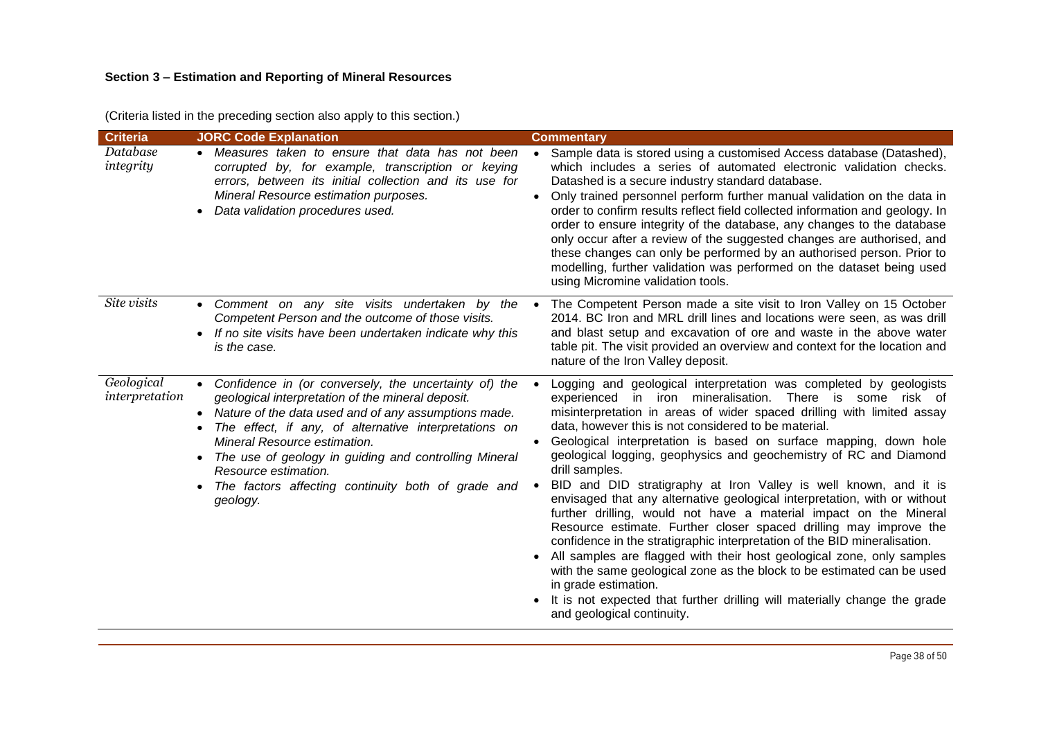# **Section 3 – Estimation and Reporting of Mineral Resources**

(Criteria listed in the preceding section also apply to this section.)

| <b>Criteria</b>              | <b>JORC Code Explanation</b>                                                                                                                                                                                                                                                                                                                                                                                                                          | <b>Commentary</b>                                                                                                                                                                                                                                                                                                                                                                                                                                                                                                                                                                                                                                                                                                                                                                                                                                                                                                                                                                                                                                                                                                                |
|------------------------------|-------------------------------------------------------------------------------------------------------------------------------------------------------------------------------------------------------------------------------------------------------------------------------------------------------------------------------------------------------------------------------------------------------------------------------------------------------|----------------------------------------------------------------------------------------------------------------------------------------------------------------------------------------------------------------------------------------------------------------------------------------------------------------------------------------------------------------------------------------------------------------------------------------------------------------------------------------------------------------------------------------------------------------------------------------------------------------------------------------------------------------------------------------------------------------------------------------------------------------------------------------------------------------------------------------------------------------------------------------------------------------------------------------------------------------------------------------------------------------------------------------------------------------------------------------------------------------------------------|
| Database<br>integrity        | • Measures taken to ensure that data has not been<br>corrupted by, for example, transcription or keying<br>errors, between its initial collection and its use for<br>Mineral Resource estimation purposes.<br>Data validation procedures used.                                                                                                                                                                                                        | Sample data is stored using a customised Access database (Datashed),<br>$\bullet$<br>which includes a series of automated electronic validation checks.<br>Datashed is a secure industry standard database.<br>Only trained personnel perform further manual validation on the data in<br>$\bullet$<br>order to confirm results reflect field collected information and geology. In<br>order to ensure integrity of the database, any changes to the database<br>only occur after a review of the suggested changes are authorised, and<br>these changes can only be performed by an authorised person. Prior to<br>modelling, further validation was performed on the dataset being used<br>using Micromine validation tools.                                                                                                                                                                                                                                                                                                                                                                                                   |
| Site visits                  | Comment on any site visits undertaken by the<br>$\bullet$<br>Competent Person and the outcome of those visits.<br>• If no site visits have been undertaken indicate why this<br>is the case.                                                                                                                                                                                                                                                          | The Competent Person made a site visit to Iron Valley on 15 October<br>2014. BC Iron and MRL drill lines and locations were seen, as was drill<br>and blast setup and excavation of ore and waste in the above water<br>table pit. The visit provided an overview and context for the location and<br>nature of the Iron Valley deposit.                                                                                                                                                                                                                                                                                                                                                                                                                                                                                                                                                                                                                                                                                                                                                                                         |
| Geological<br>interpretation | Confidence in (or conversely, the uncertainty of) the<br>$\bullet$<br>geological interpretation of the mineral deposit.<br>Nature of the data used and of any assumptions made.<br>$\bullet$<br>The effect, if any, of alternative interpretations on<br>Mineral Resource estimation.<br>The use of geology in guiding and controlling Mineral<br>$\bullet$<br>Resource estimation.<br>The factors affecting continuity both of grade and<br>geology. | Logging and geological interpretation was completed by geologists<br>$\bullet$<br>experienced in iron mineralisation. There is some risk of<br>misinterpretation in areas of wider spaced drilling with limited assay<br>data, however this is not considered to be material.<br>Geological interpretation is based on surface mapping, down hole<br>geological logging, geophysics and geochemistry of RC and Diamond<br>drill samples.<br>BID and DID stratigraphy at Iron Valley is well known, and it is<br>$\bullet$<br>envisaged that any alternative geological interpretation, with or without<br>further drilling, would not have a material impact on the Mineral<br>Resource estimate. Further closer spaced drilling may improve the<br>confidence in the stratigraphic interpretation of the BID mineralisation.<br>All samples are flagged with their host geological zone, only samples<br>$\bullet$<br>with the same geological zone as the block to be estimated can be used<br>in grade estimation.<br>It is not expected that further drilling will materially change the grade<br>and geological continuity. |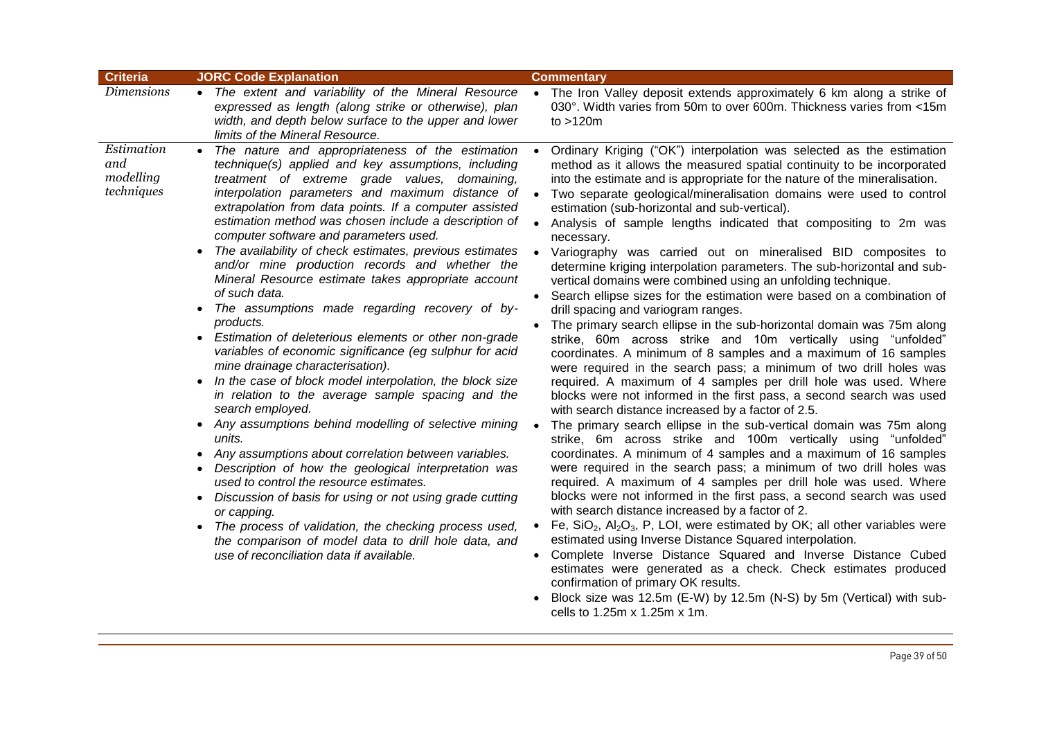| <b>Criteria</b>                              | <b>JORC Code Explanation</b>                                                                                                                                                                                                                                                                                                                                                                                                                                                                                                                                                                                                                                                                                                                                                                                                                                                                                                                                                                                                                                                                                                                                                                                                                                                                                                                                                                                                             | <b>Commentary</b>                                                                                                                                                                                                                                                                                                                                                                                                                                                                                                                                                                                                                                                                                                                                                                                                                                                                                                                                                                                                                                                                                                                                                                                                                                                                                                                                                                                                                                                                                                                                                                                                                                                                                                                                                                                                                                                                                                                                                                                                                                                                                                                                                                                          |
|----------------------------------------------|------------------------------------------------------------------------------------------------------------------------------------------------------------------------------------------------------------------------------------------------------------------------------------------------------------------------------------------------------------------------------------------------------------------------------------------------------------------------------------------------------------------------------------------------------------------------------------------------------------------------------------------------------------------------------------------------------------------------------------------------------------------------------------------------------------------------------------------------------------------------------------------------------------------------------------------------------------------------------------------------------------------------------------------------------------------------------------------------------------------------------------------------------------------------------------------------------------------------------------------------------------------------------------------------------------------------------------------------------------------------------------------------------------------------------------------|------------------------------------------------------------------------------------------------------------------------------------------------------------------------------------------------------------------------------------------------------------------------------------------------------------------------------------------------------------------------------------------------------------------------------------------------------------------------------------------------------------------------------------------------------------------------------------------------------------------------------------------------------------------------------------------------------------------------------------------------------------------------------------------------------------------------------------------------------------------------------------------------------------------------------------------------------------------------------------------------------------------------------------------------------------------------------------------------------------------------------------------------------------------------------------------------------------------------------------------------------------------------------------------------------------------------------------------------------------------------------------------------------------------------------------------------------------------------------------------------------------------------------------------------------------------------------------------------------------------------------------------------------------------------------------------------------------------------------------------------------------------------------------------------------------------------------------------------------------------------------------------------------------------------------------------------------------------------------------------------------------------------------------------------------------------------------------------------------------------------------------------------------------------------------------------------------------|
| <b>Dimensions</b>                            | • The extent and variability of the Mineral Resource<br>expressed as length (along strike or otherwise), plan<br>width, and depth below surface to the upper and lower<br>limits of the Mineral Resource.                                                                                                                                                                                                                                                                                                                                                                                                                                                                                                                                                                                                                                                                                                                                                                                                                                                                                                                                                                                                                                                                                                                                                                                                                                | • The Iron Valley deposit extends approximately 6 km along a strike of<br>030°. Width varies from 50m to over 600m. Thickness varies from <15m<br>to $>120m$                                                                                                                                                                                                                                                                                                                                                                                                                                                                                                                                                                                                                                                                                                                                                                                                                                                                                                                                                                                                                                                                                                                                                                                                                                                                                                                                                                                                                                                                                                                                                                                                                                                                                                                                                                                                                                                                                                                                                                                                                                               |
| Estimation<br>and<br>modelling<br>techniques | The nature and appropriateness of the estimation<br>technique(s) applied and key assumptions, including<br>treatment of extreme grade values, domaining,<br>interpolation parameters and maximum distance of<br>extrapolation from data points. If a computer assisted<br>estimation method was chosen include a description of<br>computer software and parameters used.<br>The availability of check estimates, previous estimates<br>and/or mine production records and whether the<br>Mineral Resource estimate takes appropriate account<br>of such data.<br>The assumptions made regarding recovery of by-<br>products.<br>Estimation of deleterious elements or other non-grade<br>variables of economic significance (eg sulphur for acid<br>mine drainage characterisation).<br>In the case of block model interpolation, the block size<br>$\bullet$<br>in relation to the average sample spacing and the<br>search employed.<br>• Any assumptions behind modelling of selective mining<br>units.<br>Any assumptions about correlation between variables.<br>$\bullet$<br>Description of how the geological interpretation was<br>used to control the resource estimates.<br>Discussion of basis for using or not using grade cutting<br>or capping.<br>The process of validation, the checking process used,<br>$\bullet$<br>the comparison of model data to drill hole data, and<br>use of reconciliation data if available. | Ordinary Kriging ("OK") interpolation was selected as the estimation<br>method as it allows the measured spatial continuity to be incorporated<br>into the estimate and is appropriate for the nature of the mineralisation.<br>Two separate geological/mineralisation domains were used to control<br>$\bullet$<br>estimation (sub-horizontal and sub-vertical).<br>Analysis of sample lengths indicated that compositing to 2m was<br>necessary.<br>Variography was carried out on mineralised BID composites to<br>determine kriging interpolation parameters. The sub-horizontal and sub-<br>vertical domains were combined using an unfolding technique.<br>Search ellipse sizes for the estimation were based on a combination of<br>drill spacing and variogram ranges.<br>• The primary search ellipse in the sub-horizontal domain was 75m along<br>strike, 60m across strike and 10m vertically using "unfolded"<br>coordinates. A minimum of 8 samples and a maximum of 16 samples<br>were required in the search pass; a minimum of two drill holes was<br>required. A maximum of 4 samples per drill hole was used. Where<br>blocks were not informed in the first pass, a second search was used<br>with search distance increased by a factor of 2.5.<br>The primary search ellipse in the sub-vertical domain was 75m along<br>strike, 6m across strike and 100m vertically using "unfolded"<br>coordinates. A minimum of 4 samples and a maximum of 16 samples<br>were required in the search pass; a minimum of two drill holes was<br>required. A maximum of 4 samples per drill hole was used. Where<br>blocks were not informed in the first pass, a second search was used<br>with search distance increased by a factor of 2.<br>Fe, $SiO2$ , $Al2O3$ , P, LOI, were estimated by OK; all other variables were<br>$\bullet$<br>estimated using Inverse Distance Squared interpolation.<br>Complete Inverse Distance Squared and Inverse Distance Cubed<br>$\bullet$<br>estimates were generated as a check. Check estimates produced<br>confirmation of primary OK results.<br>Block size was 12.5m (E-W) by 12.5m (N-S) by 5m (Vertical) with sub-<br>cells to 1.25m x 1.25m x 1m. |
|                                              |                                                                                                                                                                                                                                                                                                                                                                                                                                                                                                                                                                                                                                                                                                                                                                                                                                                                                                                                                                                                                                                                                                                                                                                                                                                                                                                                                                                                                                          |                                                                                                                                                                                                                                                                                                                                                                                                                                                                                                                                                                                                                                                                                                                                                                                                                                                                                                                                                                                                                                                                                                                                                                                                                                                                                                                                                                                                                                                                                                                                                                                                                                                                                                                                                                                                                                                                                                                                                                                                                                                                                                                                                                                                            |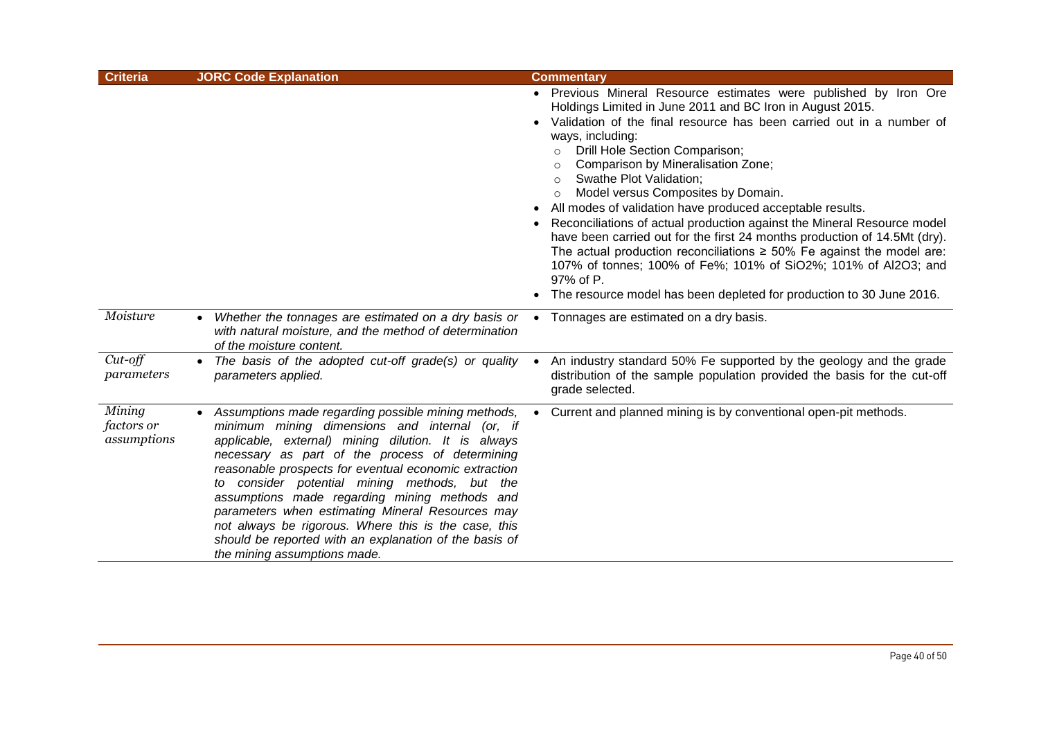| <b>Criteria</b>                     | <b>JORC Code Explanation</b>                                                                                                                                                                                                                                                                                                                                                                                                                                                                                                                                                       | <b>Commentary</b>                                                                                                                                                                                                                                                                                                                                                                                                                                                                                                                                                                                                                                                                                                                                                                                                                                             |
|-------------------------------------|------------------------------------------------------------------------------------------------------------------------------------------------------------------------------------------------------------------------------------------------------------------------------------------------------------------------------------------------------------------------------------------------------------------------------------------------------------------------------------------------------------------------------------------------------------------------------------|---------------------------------------------------------------------------------------------------------------------------------------------------------------------------------------------------------------------------------------------------------------------------------------------------------------------------------------------------------------------------------------------------------------------------------------------------------------------------------------------------------------------------------------------------------------------------------------------------------------------------------------------------------------------------------------------------------------------------------------------------------------------------------------------------------------------------------------------------------------|
|                                     |                                                                                                                                                                                                                                                                                                                                                                                                                                                                                                                                                                                    | • Previous Mineral Resource estimates were published by Iron Ore<br>Holdings Limited in June 2011 and BC Iron in August 2015.<br>Validation of the final resource has been carried out in a number of<br>ways, including:<br>Drill Hole Section Comparison;<br>$\circ$<br>Comparison by Mineralisation Zone;<br>Swathe Plot Validation;<br>$\circ$<br>Model versus Composites by Domain.<br>$\circ$<br>All modes of validation have produced acceptable results.<br>Reconciliations of actual production against the Mineral Resource model<br>have been carried out for the first 24 months production of 14.5Mt (dry).<br>The actual production reconciliations $\geq$ 50% Fe against the model are:<br>107% of tonnes; 100% of Fe%; 101% of SiO2%; 101% of Al2O3; and<br>97% of P.<br>The resource model has been depleted for production to 30 June 2016. |
| Moisture                            | Whether the tonnages are estimated on a dry basis or<br>with natural moisture, and the method of determination<br>of the moisture content.                                                                                                                                                                                                                                                                                                                                                                                                                                         | Tonnages are estimated on a dry basis.                                                                                                                                                                                                                                                                                                                                                                                                                                                                                                                                                                                                                                                                                                                                                                                                                        |
| $Cut$ -off<br>parameters            | The basis of the adopted cut-off grade(s) or quality<br>parameters applied.                                                                                                                                                                                                                                                                                                                                                                                                                                                                                                        | An industry standard 50% Fe supported by the geology and the grade<br>distribution of the sample population provided the basis for the cut-off<br>grade selected.                                                                                                                                                                                                                                                                                                                                                                                                                                                                                                                                                                                                                                                                                             |
| Mining<br>factors or<br>assumptions | • Assumptions made regarding possible mining methods,<br>minimum mining dimensions and internal (or, if<br>applicable, external) mining dilution. It is always<br>necessary as part of the process of determining<br>reasonable prospects for eventual economic extraction<br>to consider potential mining methods, but the<br>assumptions made regarding mining methods and<br>parameters when estimating Mineral Resources may<br>not always be rigorous. Where this is the case, this<br>should be reported with an explanation of the basis of<br>the mining assumptions made. | Current and planned mining is by conventional open-pit methods.<br>$\bullet$                                                                                                                                                                                                                                                                                                                                                                                                                                                                                                                                                                                                                                                                                                                                                                                  |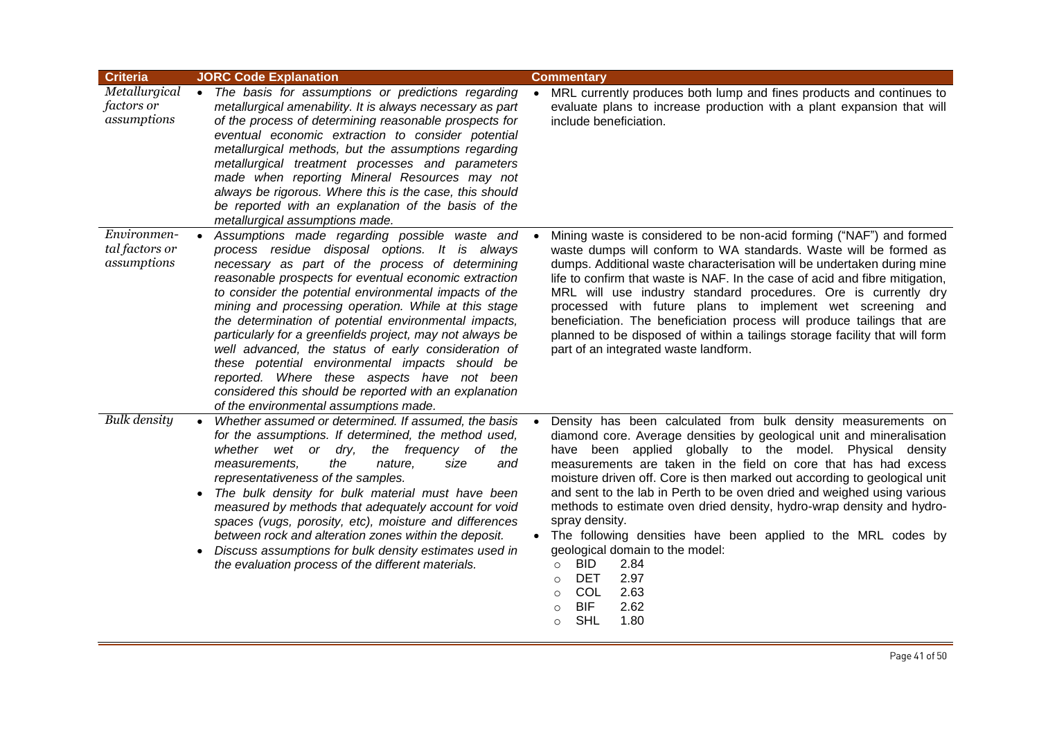| <b>Criteria</b>                                   | <b>JORC Code Explanation</b>                                                                                                                                                                                                                                                                                                                                                                                                                                                                                                                                                                                                                                                                                     | <b>Commentary</b>                                                                                                                                                                                                                                                                                                                                                                                                                                                                                                                                                                                                                                                                                                                                                                             |
|---------------------------------------------------|------------------------------------------------------------------------------------------------------------------------------------------------------------------------------------------------------------------------------------------------------------------------------------------------------------------------------------------------------------------------------------------------------------------------------------------------------------------------------------------------------------------------------------------------------------------------------------------------------------------------------------------------------------------------------------------------------------------|-----------------------------------------------------------------------------------------------------------------------------------------------------------------------------------------------------------------------------------------------------------------------------------------------------------------------------------------------------------------------------------------------------------------------------------------------------------------------------------------------------------------------------------------------------------------------------------------------------------------------------------------------------------------------------------------------------------------------------------------------------------------------------------------------|
| Metallurgical<br><i>factors or</i><br>assumptions | • The basis for assumptions or predictions regarding<br>metallurgical amenability. It is always necessary as part<br>of the process of determining reasonable prospects for<br>eventual economic extraction to consider potential<br>metallurgical methods, but the assumptions regarding<br>metallurgical treatment processes and parameters<br>made when reporting Mineral Resources may not<br>always be rigorous. Where this is the case, this should<br>be reported with an explanation of the basis of the<br>metallurgical assumptions made.                                                                                                                                                              | MRL currently produces both lump and fines products and continues to<br>evaluate plans to increase production with a plant expansion that will<br>include beneficiation.                                                                                                                                                                                                                                                                                                                                                                                                                                                                                                                                                                                                                      |
| Environmen-<br>tal factors or<br>assumptions      | Assumptions made regarding possible waste and<br>process residue disposal options. It is always<br>necessary as part of the process of determining<br>reasonable prospects for eventual economic extraction<br>to consider the potential environmental impacts of the<br>mining and processing operation. While at this stage<br>the determination of potential environmental impacts,<br>particularly for a greenfields project, may not always be<br>well advanced, the status of early consideration of<br>these potential environmental impacts should be<br>reported. Where these aspects have not been<br>considered this should be reported with an explanation<br>of the environmental assumptions made. | Mining waste is considered to be non-acid forming ("NAF") and formed<br>waste dumps will conform to WA standards. Waste will be formed as<br>dumps. Additional waste characterisation will be undertaken during mine<br>life to confirm that waste is NAF. In the case of acid and fibre mitigation,<br>MRL will use industry standard procedures. Ore is currently dry<br>processed with future plans to implement wet screening and<br>beneficiation. The beneficiation process will produce tailings that are<br>planned to be disposed of within a tailings storage facility that will form<br>part of an integrated waste landform.                                                                                                                                                      |
| <b>Bulk</b> density                               | Whether assumed or determined. If assumed, the basis<br>for the assumptions. If determined, the method used,<br>whether wet or dry, the frequency of<br>the<br>measurements,<br>the<br>nature,<br>size<br>and<br>representativeness of the samples.<br>The bulk density for bulk material must have been<br>$\bullet$<br>measured by methods that adequately account for void<br>spaces (vugs, porosity, etc), moisture and differences<br>between rock and alteration zones within the deposit.<br>Discuss assumptions for bulk density estimates used in<br>$\bullet$<br>the evaluation process of the different materials.                                                                                    | Density has been calculated from bulk density measurements on<br>diamond core. Average densities by geological unit and mineralisation<br>have been applied globally to the model. Physical density<br>measurements are taken in the field on core that has had excess<br>moisture driven off. Core is then marked out according to geological unit<br>and sent to the lab in Perth to be oven dried and weighed using various<br>methods to estimate oven dried density, hydro-wrap density and hydro-<br>spray density.<br>• The following densities have been applied to the MRL codes by<br>geological domain to the model:<br><b>BID</b><br>2.84<br>$\circ$<br><b>DET</b><br>2.97<br>$\circ$<br>COL<br>2.63<br>$\circ$<br><b>BIF</b><br>2.62<br>$\circ$<br><b>SHL</b><br>1.80<br>$\circ$ |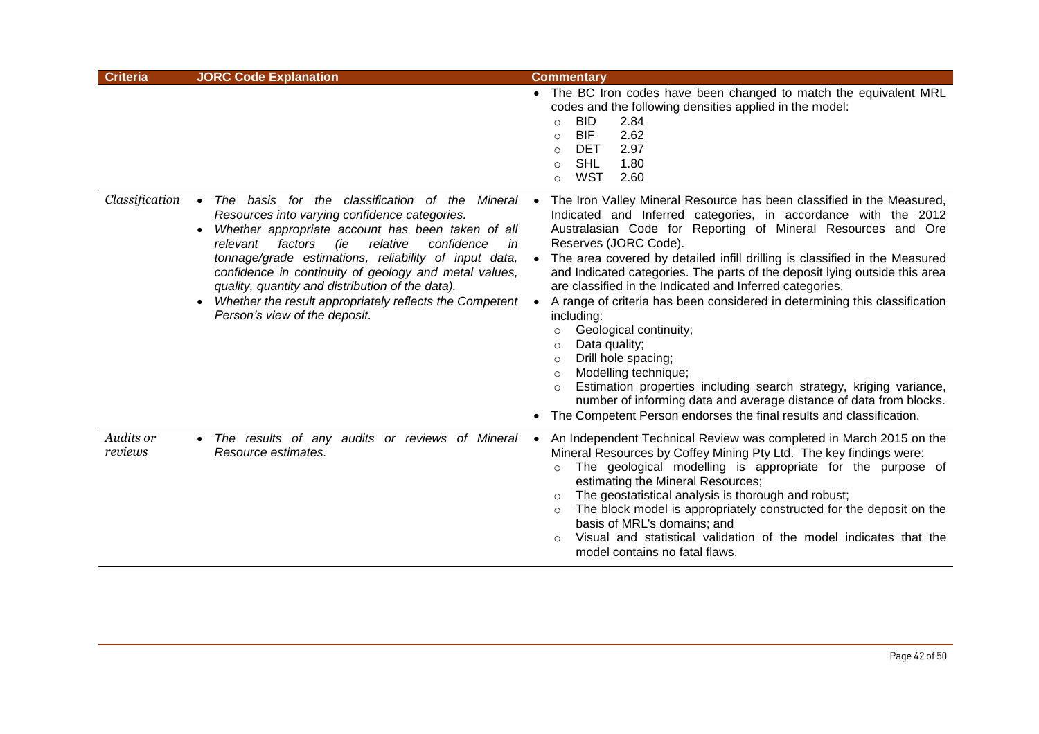| <b>Criteria</b>      | <b>JORC Code Explanation</b>                                                                                                                                                                                                                                                                                                                                                                                                                                                                            | <b>Commentary</b>                                                                                                                                                                                                                                                                                                                                                                                                                                                                                                                                                                                                                                                                                                                                                                                                                                                                                                                                  |
|----------------------|---------------------------------------------------------------------------------------------------------------------------------------------------------------------------------------------------------------------------------------------------------------------------------------------------------------------------------------------------------------------------------------------------------------------------------------------------------------------------------------------------------|----------------------------------------------------------------------------------------------------------------------------------------------------------------------------------------------------------------------------------------------------------------------------------------------------------------------------------------------------------------------------------------------------------------------------------------------------------------------------------------------------------------------------------------------------------------------------------------------------------------------------------------------------------------------------------------------------------------------------------------------------------------------------------------------------------------------------------------------------------------------------------------------------------------------------------------------------|
|                      |                                                                                                                                                                                                                                                                                                                                                                                                                                                                                                         | • The BC Iron codes have been changed to match the equivalent MRL<br>codes and the following densities applied in the model:<br><b>BID</b><br>2.84<br>$\circ$<br><b>BIF</b><br>2.62<br>$\circ$<br>2.97<br><b>DET</b><br>$\circ$<br><b>SHL</b><br>1.80<br>$\circ$<br><b>WST</b><br>2.60<br>$\circ$                                                                                                                                                                                                                                                                                                                                                                                                                                                                                                                                                                                                                                                  |
| Classification       | The basis for the classification of the Mineral<br>$\bullet$<br>Resources into varying confidence categories.<br>Whether appropriate account has been taken of all<br>٠<br>relative<br>factors<br>(ie<br>confidence<br>relevant<br>in<br>tonnage/grade estimations, reliability of input data,<br>confidence in continuity of geology and metal values,<br>quality, quantity and distribution of the data).<br>Whether the result appropriately reflects the Competent<br>Person's view of the deposit. | The Iron Valley Mineral Resource has been classified in the Measured,<br>$\bullet$<br>Indicated and Inferred categories, in accordance with the 2012<br>Australasian Code for Reporting of Mineral Resources and Ore<br>Reserves (JORC Code).<br>The area covered by detailed infill drilling is classified in the Measured<br>and Indicated categories. The parts of the deposit lying outside this area<br>are classified in the Indicated and Inferred categories.<br>A range of criteria has been considered in determining this classification<br>$\bullet$<br>including:<br>Geological continuity;<br>$\circ$<br>Data quality;<br>$\circ$<br>Drill hole spacing;<br>$\circ$<br>Modelling technique;<br>$\circ$<br>Estimation properties including search strategy, kriging variance,<br>$\circ$<br>number of informing data and average distance of data from blocks.<br>The Competent Person endorses the final results and classification. |
| Audits or<br>reviews | • The results of any audits or reviews of Mineral<br>Resource estimates.                                                                                                                                                                                                                                                                                                                                                                                                                                | An Independent Technical Review was completed in March 2015 on the<br>$\bullet$<br>Mineral Resources by Coffey Mining Pty Ltd. The key findings were:<br>The geological modelling is appropriate for the purpose of<br>$\circ$<br>estimating the Mineral Resources;<br>The geostatistical analysis is thorough and robust;<br>$\circ$<br>The block model is appropriately constructed for the deposit on the<br>$\circ$<br>basis of MRL's domains; and<br>Visual and statistical validation of the model indicates that the<br>$\circ$<br>model contains no fatal flaws.                                                                                                                                                                                                                                                                                                                                                                           |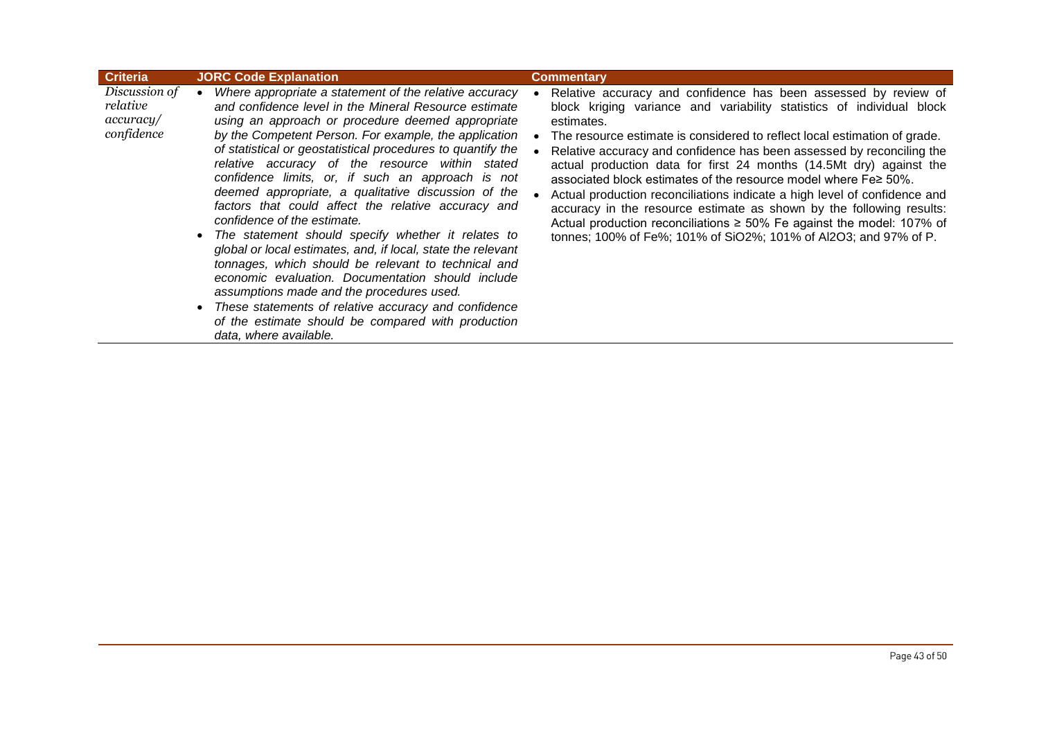| <b>Criteria</b>                                      | <b>JORC Code Explanation</b>                                                                                                                                                                                                                                                                                                                                                                                                                                                                                                                                                                                                                                                                                                                                                                                                                                                                                                                                                          | <b>Commentary</b>                                                                                                                                                                                                                                                                                                                                                                                                                                                                                                                                                                                                                                                                                                                                              |
|------------------------------------------------------|---------------------------------------------------------------------------------------------------------------------------------------------------------------------------------------------------------------------------------------------------------------------------------------------------------------------------------------------------------------------------------------------------------------------------------------------------------------------------------------------------------------------------------------------------------------------------------------------------------------------------------------------------------------------------------------------------------------------------------------------------------------------------------------------------------------------------------------------------------------------------------------------------------------------------------------------------------------------------------------|----------------------------------------------------------------------------------------------------------------------------------------------------------------------------------------------------------------------------------------------------------------------------------------------------------------------------------------------------------------------------------------------------------------------------------------------------------------------------------------------------------------------------------------------------------------------------------------------------------------------------------------------------------------------------------------------------------------------------------------------------------------|
| Discussion of<br>relative<br>accuracy/<br>confidence | Where appropriate a statement of the relative accuracy<br>and confidence level in the Mineral Resource estimate<br>using an approach or procedure deemed appropriate<br>by the Competent Person. For example, the application<br>of statistical or geostatistical procedures to quantify the<br>relative accuracy of the resource within stated<br>confidence limits, or, if such an approach is not<br>deemed appropriate, a qualitative discussion of the<br>factors that could affect the relative accuracy and<br>confidence of the estimate.<br>The statement should specify whether it relates to<br>global or local estimates, and, if local, state the relevant<br>tonnages, which should be relevant to technical and<br>economic evaluation. Documentation should include<br>assumptions made and the procedures used.<br>These statements of relative accuracy and confidence<br>$\bullet$<br>of the estimate should be compared with production<br>data, where available. | Relative accuracy and confidence has been assessed by review of<br>block kriging variance and variability statistics of individual block<br>estimates.<br>The resource estimate is considered to reflect local estimation of grade.<br>Relative accuracy and confidence has been assessed by reconciling the<br>actual production data for first 24 months (14.5Mt dry) against the<br>associated block estimates of the resource model where Fe≥ 50%.<br>Actual production reconciliations indicate a high level of confidence and<br>accuracy in the resource estimate as shown by the following results:<br>Actual production reconciliations $\geq 50\%$ Fe against the model: 107% of<br>tonnes; 100% of Fe%; 101% of SiO2%; 101% of Al2O3; and 97% of P. |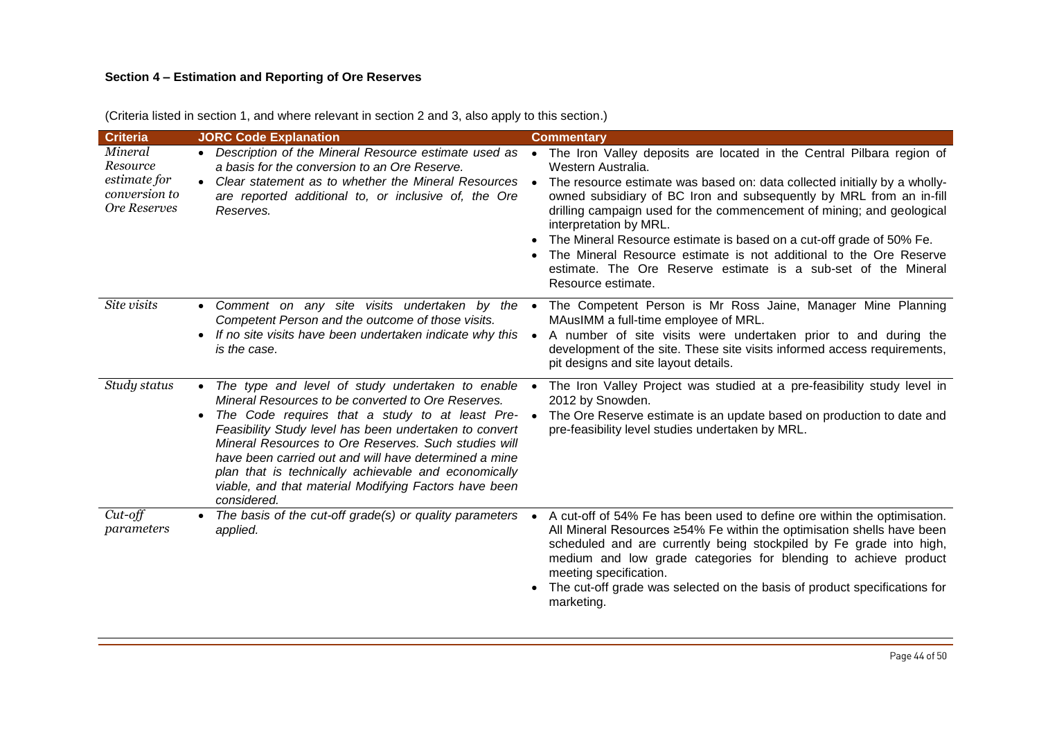# **Section 4 – Estimation and Reporting of Ore Reserves**

| <b>Criteria</b>                                                             | <b>JORC Code Explanation</b>                                                                                                                                                                                                                                                                                                                                                                                                                                             | <b>Commentary</b>                                                                                                                                                                                                                                                                                                                                                                                                                                                                                                                                                                        |
|-----------------------------------------------------------------------------|--------------------------------------------------------------------------------------------------------------------------------------------------------------------------------------------------------------------------------------------------------------------------------------------------------------------------------------------------------------------------------------------------------------------------------------------------------------------------|------------------------------------------------------------------------------------------------------------------------------------------------------------------------------------------------------------------------------------------------------------------------------------------------------------------------------------------------------------------------------------------------------------------------------------------------------------------------------------------------------------------------------------------------------------------------------------------|
| Mineral<br>Resource<br>estimate for<br>conversion to<br><b>Ore Reserves</b> | • Description of the Mineral Resource estimate used as •<br>a basis for the conversion to an Ore Reserve.<br>Clear statement as to whether the Mineral Resources •<br>are reported additional to, or inclusive of, the Ore<br>Reserves.                                                                                                                                                                                                                                  | The Iron Valley deposits are located in the Central Pilbara region of<br>Western Australia.<br>The resource estimate was based on: data collected initially by a wholly-<br>owned subsidiary of BC Iron and subsequently by MRL from an in-fill<br>drilling campaign used for the commencement of mining; and geological<br>interpretation by MRL.<br>The Mineral Resource estimate is based on a cut-off grade of 50% Fe.<br>The Mineral Resource estimate is not additional to the Ore Reserve<br>estimate. The Ore Reserve estimate is a sub-set of the Mineral<br>Resource estimate. |
| Site visits                                                                 | • Comment on any site visits undertaken by the •<br>Competent Person and the outcome of those visits.<br>If no site visits have been undertaken indicate why this<br>is the case.                                                                                                                                                                                                                                                                                        | The Competent Person is Mr Ross Jaine, Manager Mine Planning<br>MAusIMM a full-time employee of MRL.<br>A number of site visits were undertaken prior to and during the<br>development of the site. These site visits informed access requirements,<br>pit designs and site layout details.                                                                                                                                                                                                                                                                                              |
| Study status                                                                | • The type and level of study undertaken to enable •<br>Mineral Resources to be converted to Ore Reserves.<br>The Code requires that a study to at least Pre-<br>Feasibility Study level has been undertaken to convert<br>Mineral Resources to Ore Reserves. Such studies will<br>have been carried out and will have determined a mine<br>plan that is technically achievable and economically<br>viable, and that material Modifying Factors have been<br>considered. | The Iron Valley Project was studied at a pre-feasibility study level in<br>2012 by Snowden.<br>The Ore Reserve estimate is an update based on production to date and<br>$\bullet$<br>pre-feasibility level studies undertaken by MRL.                                                                                                                                                                                                                                                                                                                                                    |
| Cut-off<br>parameters                                                       | • The basis of the cut-off grade(s) or quality parameters •<br>applied.                                                                                                                                                                                                                                                                                                                                                                                                  | A cut-off of 54% Fe has been used to define ore within the optimisation.<br>All Mineral Resources ≥54% Fe within the optimisation shells have been<br>scheduled and are currently being stockpiled by Fe grade into high,<br>medium and low grade categories for blending to achieve product<br>meeting specification.<br>The cut-off grade was selected on the basis of product specifications for<br>marketing.                                                                                                                                                                        |

(Criteria listed in section 1, and where relevant in section 2 and 3, also apply to this section.)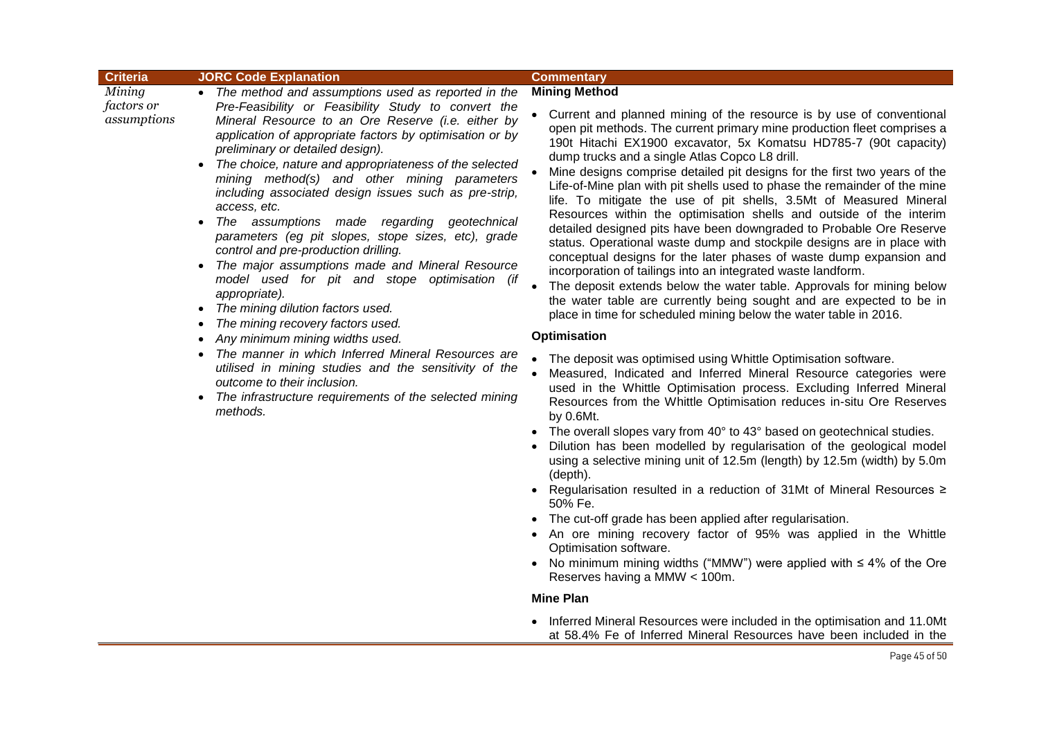|                                                        | <b>JORC Code Explanation</b>                                                                                                                                                                                                                                                                                                                                                                                                                                                                                                                                                                                                                                                                                                                                                                                                                                                                                                                                                                                                                                                                               |                                                                                                                                                                                                                                                                                                                                                                                                                                                                                                                                                                                                                                                                                                                                                                                                                                                                                                                                                                                                                                                                                                                                                                                                                                                                                                                                                                                                                                                                                                                                                                                                                                                                                                                                                                                                                                                                    |
|--------------------------------------------------------|------------------------------------------------------------------------------------------------------------------------------------------------------------------------------------------------------------------------------------------------------------------------------------------------------------------------------------------------------------------------------------------------------------------------------------------------------------------------------------------------------------------------------------------------------------------------------------------------------------------------------------------------------------------------------------------------------------------------------------------------------------------------------------------------------------------------------------------------------------------------------------------------------------------------------------------------------------------------------------------------------------------------------------------------------------------------------------------------------------|--------------------------------------------------------------------------------------------------------------------------------------------------------------------------------------------------------------------------------------------------------------------------------------------------------------------------------------------------------------------------------------------------------------------------------------------------------------------------------------------------------------------------------------------------------------------------------------------------------------------------------------------------------------------------------------------------------------------------------------------------------------------------------------------------------------------------------------------------------------------------------------------------------------------------------------------------------------------------------------------------------------------------------------------------------------------------------------------------------------------------------------------------------------------------------------------------------------------------------------------------------------------------------------------------------------------------------------------------------------------------------------------------------------------------------------------------------------------------------------------------------------------------------------------------------------------------------------------------------------------------------------------------------------------------------------------------------------------------------------------------------------------------------------------------------------------------------------------------------------------|
| <b>Criteria</b><br>Mining<br>factors or<br>assumptions | The method and assumptions used as reported in the<br>Pre-Feasibility or Feasibility Study to convert the<br>Mineral Resource to an Ore Reserve (i.e. either by<br>application of appropriate factors by optimisation or by<br>preliminary or detailed design).<br>The choice, nature and appropriateness of the selected<br>mining method(s) and other mining parameters<br>including associated design issues such as pre-strip,<br>access, etc.<br>The assumptions made regarding geotechnical<br>$\bullet$<br>parameters (eg pit slopes, stope sizes, etc), grade<br>control and pre-production drilling.<br>The major assumptions made and Mineral Resource<br>$\bullet$<br>model used for pit and stope optimisation (if<br>appropriate).<br>The mining dilution factors used.<br>$\bullet$<br>The mining recovery factors used.<br>Any minimum mining widths used.<br>The manner in which Inferred Mineral Resources are<br>utilised in mining studies and the sensitivity of the<br>outcome to their inclusion.<br>The infrastructure requirements of the selected mining<br>$\bullet$<br>methods. | <b>Commentary</b><br><b>Mining Method</b><br>Current and planned mining of the resource is by use of conventional<br>open pit methods. The current primary mine production fleet comprises a<br>190t Hitachi EX1900 excavator, 5x Komatsu HD785-7 (90t capacity)<br>dump trucks and a single Atlas Copco L8 drill.<br>Mine designs comprise detailed pit designs for the first two years of the<br>Life-of-Mine plan with pit shells used to phase the remainder of the mine<br>life. To mitigate the use of pit shells, 3.5Mt of Measured Mineral<br>Resources within the optimisation shells and outside of the interim<br>detailed designed pits have been downgraded to Probable Ore Reserve<br>status. Operational waste dump and stockpile designs are in place with<br>conceptual designs for the later phases of waste dump expansion and<br>incorporation of tailings into an integrated waste landform.<br>The deposit extends below the water table. Approvals for mining below<br>the water table are currently being sought and are expected to be in<br>place in time for scheduled mining below the water table in 2016.<br>Optimisation<br>The deposit was optimised using Whittle Optimisation software.<br>Measured, Indicated and Inferred Mineral Resource categories were<br>used in the Whittle Optimisation process. Excluding Inferred Mineral<br>Resources from the Whittle Optimisation reduces in-situ Ore Reserves<br>by 0.6Mt.<br>The overall slopes vary from 40° to 43° based on geotechnical studies.<br>$\bullet$<br>Dilution has been modelled by regularisation of the geological model<br>using a selective mining unit of 12.5m (length) by 12.5m (width) by 5.0m<br>(depth).<br>Regularisation resulted in a reduction of 31Mt of Mineral Resources ≥<br>50% Fe.<br>The cut-off grade has been applied after regularisation. |
|                                                        |                                                                                                                                                                                                                                                                                                                                                                                                                                                                                                                                                                                                                                                                                                                                                                                                                                                                                                                                                                                                                                                                                                            | An ore mining recovery factor of 95% was applied in the Whittle<br>Optimisation software.<br>No minimum mining widths ("MMW") were applied with $\leq 4\%$ of the Ore<br>Reserves having a MMW < 100m.                                                                                                                                                                                                                                                                                                                                                                                                                                                                                                                                                                                                                                                                                                                                                                                                                                                                                                                                                                                                                                                                                                                                                                                                                                                                                                                                                                                                                                                                                                                                                                                                                                                             |

### **Mine Plan**

• Inferred Mineral Resources were included in the optimisation and 11.0Mt at 58.4% Fe of Inferred Mineral Resources have been included in the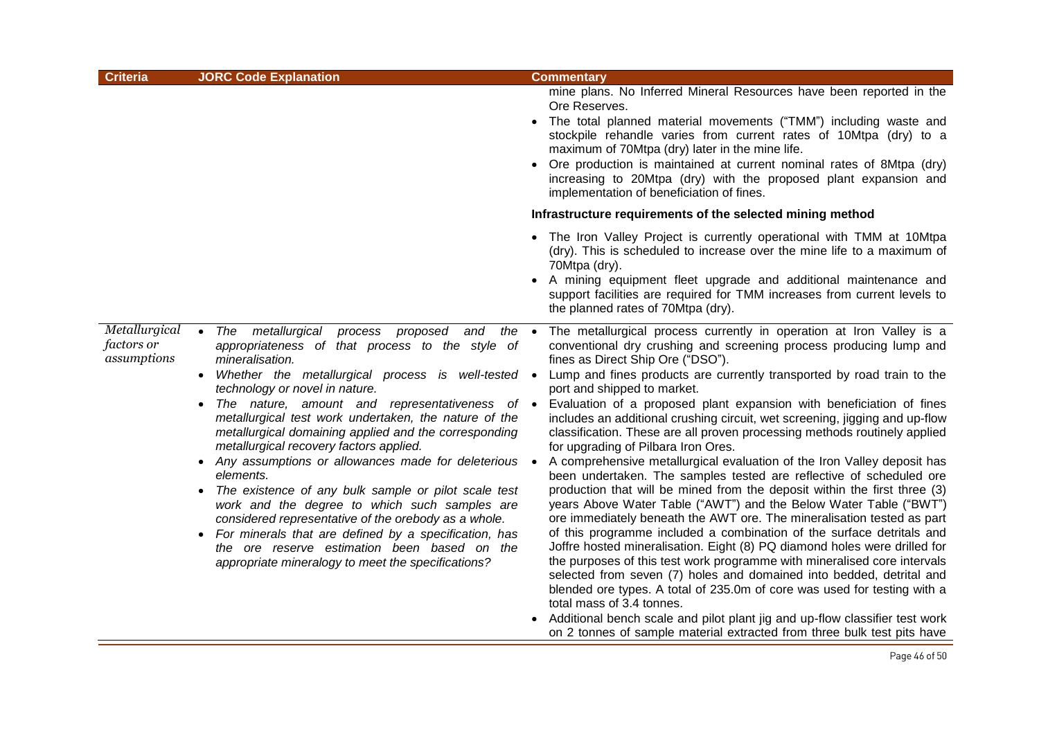| <b>Criteria</b>                                   | <b>JORC Code Explanation</b>                                                                                                                                                                                                                                                                                                                                                                                                                                                                                                                                                                                                                                                                                                                                                                                                                                                    | <b>Commentary</b>                                                                                                                                                                                                                                                                                                                                                                                                                                                                                                                                                                                                                                                                                                                                                                                                                                                                                                                                                                                                                                                                                                                                                                                                                                                                                                                                                                                                                                                                                                                |
|---------------------------------------------------|---------------------------------------------------------------------------------------------------------------------------------------------------------------------------------------------------------------------------------------------------------------------------------------------------------------------------------------------------------------------------------------------------------------------------------------------------------------------------------------------------------------------------------------------------------------------------------------------------------------------------------------------------------------------------------------------------------------------------------------------------------------------------------------------------------------------------------------------------------------------------------|----------------------------------------------------------------------------------------------------------------------------------------------------------------------------------------------------------------------------------------------------------------------------------------------------------------------------------------------------------------------------------------------------------------------------------------------------------------------------------------------------------------------------------------------------------------------------------------------------------------------------------------------------------------------------------------------------------------------------------------------------------------------------------------------------------------------------------------------------------------------------------------------------------------------------------------------------------------------------------------------------------------------------------------------------------------------------------------------------------------------------------------------------------------------------------------------------------------------------------------------------------------------------------------------------------------------------------------------------------------------------------------------------------------------------------------------------------------------------------------------------------------------------------|
|                                                   |                                                                                                                                                                                                                                                                                                                                                                                                                                                                                                                                                                                                                                                                                                                                                                                                                                                                                 | mine plans. No Inferred Mineral Resources have been reported in the<br>Ore Reserves.<br>• The total planned material movements ("TMM") including waste and<br>stockpile rehandle varies from current rates of 10Mtpa (dry) to a<br>maximum of 70Mtpa (dry) later in the mine life.<br>Ore production is maintained at current nominal rates of 8Mtpa (dry)<br>increasing to 20Mtpa (dry) with the proposed plant expansion and<br>implementation of beneficiation of fines.                                                                                                                                                                                                                                                                                                                                                                                                                                                                                                                                                                                                                                                                                                                                                                                                                                                                                                                                                                                                                                                      |
|                                                   |                                                                                                                                                                                                                                                                                                                                                                                                                                                                                                                                                                                                                                                                                                                                                                                                                                                                                 | Infrastructure requirements of the selected mining method                                                                                                                                                                                                                                                                                                                                                                                                                                                                                                                                                                                                                                                                                                                                                                                                                                                                                                                                                                                                                                                                                                                                                                                                                                                                                                                                                                                                                                                                        |
|                                                   |                                                                                                                                                                                                                                                                                                                                                                                                                                                                                                                                                                                                                                                                                                                                                                                                                                                                                 | • The Iron Valley Project is currently operational with TMM at 10Mtpa<br>(dry). This is scheduled to increase over the mine life to a maximum of<br>70Mtpa (dry).<br>• A mining equipment fleet upgrade and additional maintenance and<br>support facilities are required for TMM increases from current levels to<br>the planned rates of 70Mtpa (dry).                                                                                                                                                                                                                                                                                                                                                                                                                                                                                                                                                                                                                                                                                                                                                                                                                                                                                                                                                                                                                                                                                                                                                                         |
| Metallurgical<br><i>factors or</i><br>assumptions | The metallurgical<br>process<br>proposed and<br>the $\bullet$<br>$\bullet$<br>appropriateness of that process to the style of<br>mineralisation.<br>• Whether the metallurgical process is well-tested •<br>technology or novel in nature.<br>The nature, amount and representativeness of •<br>$\bullet$<br>metallurgical test work undertaken, the nature of the<br>metallurgical domaining applied and the corresponding<br>metallurgical recovery factors applied.<br>• Any assumptions or allowances made for deleterious •<br>elements.<br>The existence of any bulk sample or pilot scale test<br>work and the degree to which such samples are<br>considered representative of the orebody as a whole.<br>• For minerals that are defined by a specification, has<br>the ore reserve estimation been based on the<br>appropriate mineralogy to meet the specifications? | The metallurgical process currently in operation at Iron Valley is a<br>conventional dry crushing and screening process producing lump and<br>fines as Direct Ship Ore ("DSO").<br>Lump and fines products are currently transported by road train to the<br>port and shipped to market.<br>Evaluation of a proposed plant expansion with beneficiation of fines<br>includes an additional crushing circuit, wet screening, jigging and up-flow<br>classification. These are all proven processing methods routinely applied<br>for upgrading of Pilbara Iron Ores.<br>A comprehensive metallurgical evaluation of the Iron Valley deposit has<br>been undertaken. The samples tested are reflective of scheduled ore<br>production that will be mined from the deposit within the first three (3)<br>years Above Water Table ("AWT") and the Below Water Table ("BWT")<br>ore immediately beneath the AWT ore. The mineralisation tested as part<br>of this programme included a combination of the surface detritals and<br>Joffre hosted mineralisation. Eight (8) PQ diamond holes were drilled for<br>the purposes of this test work programme with mineralised core intervals<br>selected from seven (7) holes and domained into bedded, detrital and<br>blended ore types. A total of 235.0m of core was used for testing with a<br>total mass of 3.4 tonnes.<br>• Additional bench scale and pilot plant jig and up-flow classifier test work<br>on 2 tonnes of sample material extracted from three bulk test pits have |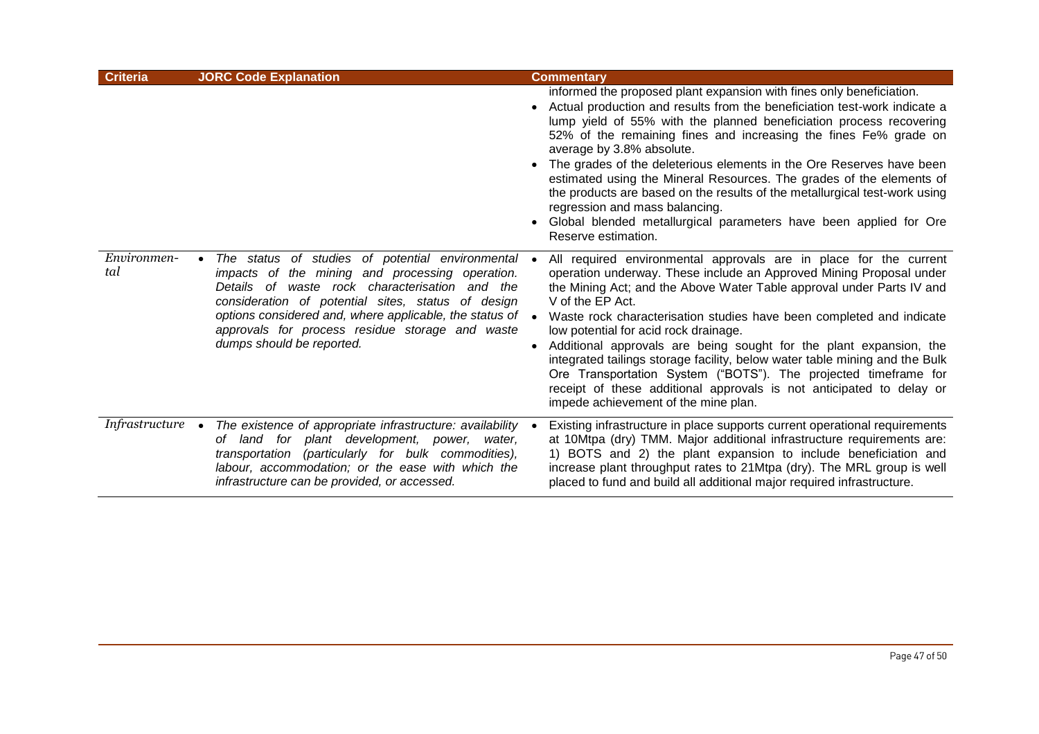| <b>Criteria</b>          | <b>JORC Code Explanation</b>                                                                                                                                                                                                                                                                                                                           | <b>Commentary</b>                                                                                                                                                                                                                                                                                                                                                                                                                                                                                                                                                                                                                                                                              |
|--------------------------|--------------------------------------------------------------------------------------------------------------------------------------------------------------------------------------------------------------------------------------------------------------------------------------------------------------------------------------------------------|------------------------------------------------------------------------------------------------------------------------------------------------------------------------------------------------------------------------------------------------------------------------------------------------------------------------------------------------------------------------------------------------------------------------------------------------------------------------------------------------------------------------------------------------------------------------------------------------------------------------------------------------------------------------------------------------|
|                          |                                                                                                                                                                                                                                                                                                                                                        | informed the proposed plant expansion with fines only beneficiation.<br>Actual production and results from the beneficiation test-work indicate a<br>lump yield of 55% with the planned beneficiation process recovering<br>52% of the remaining fines and increasing the fines Fe% grade on<br>average by 3.8% absolute.<br>The grades of the deleterious elements in the Ore Reserves have been<br>estimated using the Mineral Resources. The grades of the elements of<br>the products are based on the results of the metallurgical test-work using<br>regression and mass balancing.<br>Global blended metallurgical parameters have been applied for Ore<br>Reserve estimation.          |
| Environmen-<br>tal       | The status of studies of potential environmental<br>impacts of the mining and processing operation.<br>Details of waste rock characterisation and the<br>consideration of potential sites, status of design<br>options considered and, where applicable, the status of<br>approvals for process residue storage and waste<br>dumps should be reported. | All required environmental approvals are in place for the current<br>operation underway. These include an Approved Mining Proposal under<br>the Mining Act; and the Above Water Table approval under Parts IV and<br>V of the EP Act.<br>Waste rock characterisation studies have been completed and indicate<br>low potential for acid rock drainage.<br>Additional approvals are being sought for the plant expansion, the<br>integrated tailings storage facility, below water table mining and the Bulk<br>Ore Transportation System ("BOTS"). The projected timeframe for<br>receipt of these additional approvals is not anticipated to delay or<br>impede achievement of the mine plan. |
| Infrastructure $\bullet$ | The existence of appropriate infrastructure: availability<br>of land for plant development, power, water,<br>transportation (particularly for bulk commodities),<br>labour, accommodation; or the ease with which the<br>infrastructure can be provided, or accessed.                                                                                  | Existing infrastructure in place supports current operational requirements<br>at 10Mtpa (dry) TMM. Major additional infrastructure requirements are:<br>1) BOTS and 2) the plant expansion to include beneficiation and<br>increase plant throughput rates to 21Mtpa (dry). The MRL group is well<br>placed to fund and build all additional major required infrastructure.                                                                                                                                                                                                                                                                                                                    |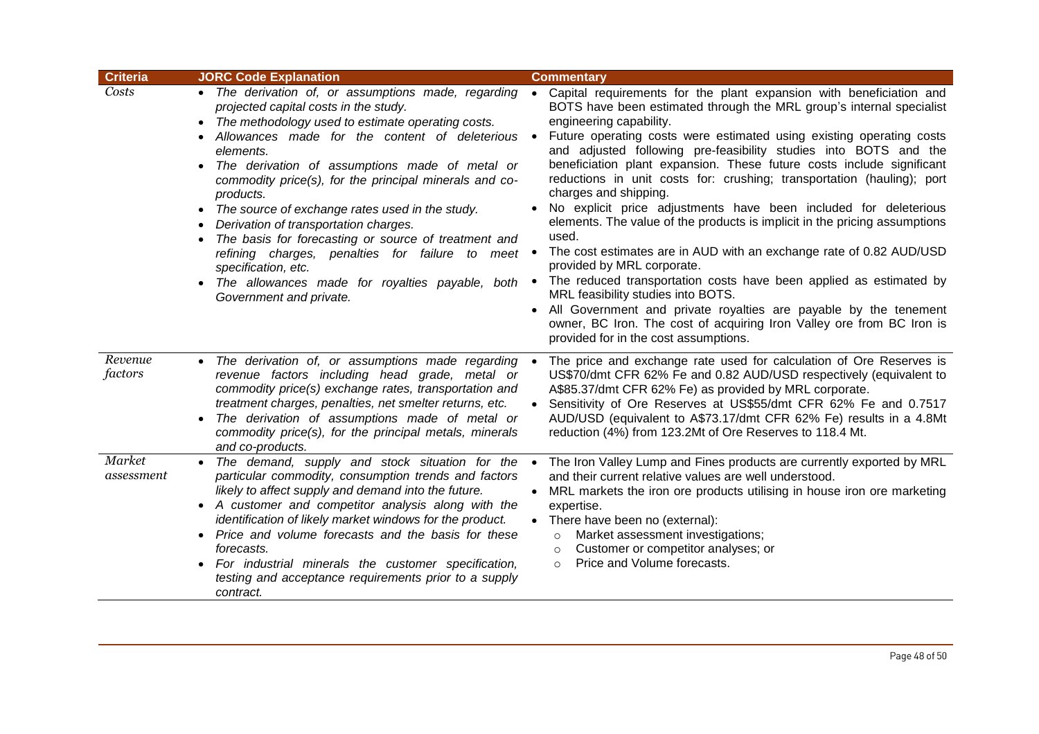| <b>Criteria</b>      | <b>JORC Code Explanation</b>                                                                                                                                                                                                                                                                                                                                                                                                                                                                                                                                                                                                                                                      | <b>Commentary</b>                                                                                                                                                                                                                                                                                                                                                                                                                                                                                                                                                                                                                                                                                                                                                                                                                                                                                                                                                                                                                                                                                         |
|----------------------|-----------------------------------------------------------------------------------------------------------------------------------------------------------------------------------------------------------------------------------------------------------------------------------------------------------------------------------------------------------------------------------------------------------------------------------------------------------------------------------------------------------------------------------------------------------------------------------------------------------------------------------------------------------------------------------|-----------------------------------------------------------------------------------------------------------------------------------------------------------------------------------------------------------------------------------------------------------------------------------------------------------------------------------------------------------------------------------------------------------------------------------------------------------------------------------------------------------------------------------------------------------------------------------------------------------------------------------------------------------------------------------------------------------------------------------------------------------------------------------------------------------------------------------------------------------------------------------------------------------------------------------------------------------------------------------------------------------------------------------------------------------------------------------------------------------|
| Costs                | • The derivation of, or assumptions made, regarding<br>projected capital costs in the study.<br>The methodology used to estimate operating costs.<br>$\bullet$<br>Allowances made for the content of deleterious<br>elements.<br>The derivation of assumptions made of metal or<br>$\bullet$<br>commodity price(s), for the principal minerals and co-<br>products.<br>• The source of exchange rates used in the study.<br>Derivation of transportation charges.<br>The basis for forecasting or source of treatment and<br>refining charges, penalties for failure to meet<br>specification, etc.<br>The allowances made for royalties payable, both<br>Government and private. | • Capital requirements for the plant expansion with beneficiation and<br>BOTS have been estimated through the MRL group's internal specialist<br>engineering capability.<br>Future operating costs were estimated using existing operating costs<br>$\bullet$<br>and adjusted following pre-feasibility studies into BOTS and the<br>beneficiation plant expansion. These future costs include significant<br>reductions in unit costs for: crushing; transportation (hauling); port<br>charges and shipping.<br>No explicit price adjustments have been included for deleterious<br>elements. The value of the products is implicit in the pricing assumptions<br>used.<br>The cost estimates are in AUD with an exchange rate of 0.82 AUD/USD<br>$\bullet$<br>provided by MRL corporate.<br>The reduced transportation costs have been applied as estimated by<br>$\bullet$<br>MRL feasibility studies into BOTS.<br>All Government and private royalties are payable by the tenement<br>owner, BC Iron. The cost of acquiring Iron Valley ore from BC Iron is<br>provided for in the cost assumptions. |
| Revenue<br>factors   | • The derivation of, or assumptions made regarding<br>revenue factors including head grade, metal or<br>commodity price(s) exchange rates, transportation and<br>treatment charges, penalties, net smelter returns, etc.<br>The derivation of assumptions made of metal or<br>commodity price(s), for the principal metals, minerals<br>and co-products.                                                                                                                                                                                                                                                                                                                          | The price and exchange rate used for calculation of Ore Reserves is<br>$\bullet$<br>US\$70/dmt CFR 62% Fe and 0.82 AUD/USD respectively (equivalent to<br>A\$85.37/dmt CFR 62% Fe) as provided by MRL corporate.<br>Sensitivity of Ore Reserves at US\$55/dmt CFR 62% Fe and 0.7517<br>AUD/USD (equivalent to A\$73.17/dmt CFR 62% Fe) results in a 4.8Mt<br>reduction (4%) from 123.2Mt of Ore Reserves to 118.4 Mt.                                                                                                                                                                                                                                                                                                                                                                                                                                                                                                                                                                                                                                                                                     |
| Market<br>assessment | The demand, supply and stock situation for the<br>$\bullet$<br>particular commodity, consumption trends and factors<br>likely to affect supply and demand into the future.<br>• A customer and competitor analysis along with the<br>identification of likely market windows for the product.<br>• Price and volume forecasts and the basis for these<br>forecasts.<br>• For industrial minerals the customer specification,<br>testing and acceptance requirements prior to a supply<br>contract.                                                                                                                                                                                | The Iron Valley Lump and Fines products are currently exported by MRL<br>$\bullet$<br>and their current relative values are well understood.<br>MRL markets the iron ore products utilising in house iron ore marketing<br>$\bullet$<br>expertise.<br>• There have been no (external):<br>Market assessment investigations;<br>$\circ$<br>Customer or competitor analyses; or<br>$\circ$<br>Price and Volume forecasts.<br>$\circ$                                                                                                                                                                                                                                                                                                                                                                                                                                                                                                                                                                                                                                                                        |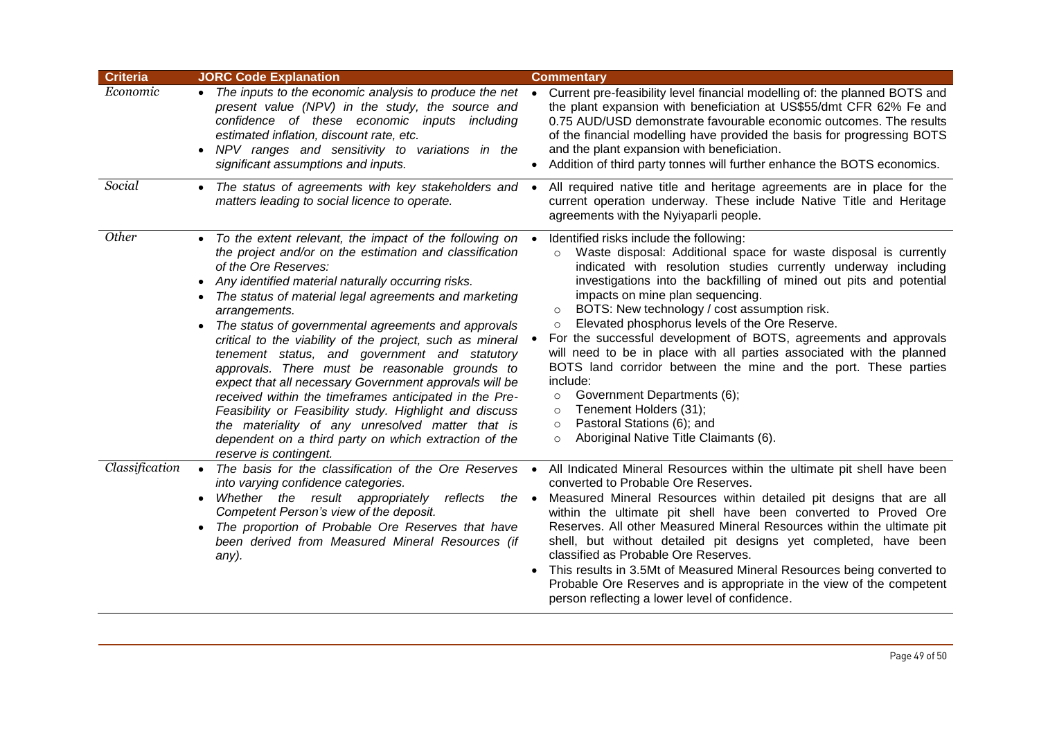| <b>Criteria</b> | <b>JORC Code Explanation</b>                                                                                                                                                                                                                                                                                                                                                                                                                                                                                                                                                                                                                                                                                                                                                                                               | <b>Commentary</b>                                                                                                                                                                                                                                                                                                                                                                                                                                                                                                                                                                                                                                                                                                                                                                                                                    |
|-----------------|----------------------------------------------------------------------------------------------------------------------------------------------------------------------------------------------------------------------------------------------------------------------------------------------------------------------------------------------------------------------------------------------------------------------------------------------------------------------------------------------------------------------------------------------------------------------------------------------------------------------------------------------------------------------------------------------------------------------------------------------------------------------------------------------------------------------------|--------------------------------------------------------------------------------------------------------------------------------------------------------------------------------------------------------------------------------------------------------------------------------------------------------------------------------------------------------------------------------------------------------------------------------------------------------------------------------------------------------------------------------------------------------------------------------------------------------------------------------------------------------------------------------------------------------------------------------------------------------------------------------------------------------------------------------------|
| Economic        | • The inputs to the economic analysis to produce the net<br>present value (NPV) in the study, the source and<br>confidence of these economic inputs including<br>estimated inflation, discount rate, etc.<br>NPV ranges and sensitivity to variations in the<br>significant assumptions and inputs.                                                                                                                                                                                                                                                                                                                                                                                                                                                                                                                        | Current pre-feasibility level financial modelling of: the planned BOTS and<br>$\bullet$<br>the plant expansion with beneficiation at US\$55/dmt CFR 62% Fe and<br>0.75 AUD/USD demonstrate favourable economic outcomes. The results<br>of the financial modelling have provided the basis for progressing BOTS<br>and the plant expansion with beneficiation.<br>Addition of third party tonnes will further enhance the BOTS economics.                                                                                                                                                                                                                                                                                                                                                                                            |
| Social          | • The status of agreements with key stakeholders and •<br>matters leading to social licence to operate.                                                                                                                                                                                                                                                                                                                                                                                                                                                                                                                                                                                                                                                                                                                    | All required native title and heritage agreements are in place for the<br>current operation underway. These include Native Title and Heritage<br>agreements with the Nyiyaparli people.                                                                                                                                                                                                                                                                                                                                                                                                                                                                                                                                                                                                                                              |
| Other           | • To the extent relevant, the impact of the following on •<br>the project and/or on the estimation and classification<br>of the Ore Reserves:<br>Any identified material naturally occurring risks.<br>The status of material legal agreements and marketing<br>arrangements.<br>The status of governmental agreements and approvals<br>critical to the viability of the project, such as mineral<br>tenement status, and government and statutory<br>approvals. There must be reasonable grounds to<br>expect that all necessary Government approvals will be<br>received within the timeframes anticipated in the Pre-<br>Feasibility or Feasibility study. Highlight and discuss<br>the materiality of any unresolved matter that is<br>dependent on a third party on which extraction of the<br>reserve is contingent. | Identified risks include the following:<br>Waste disposal: Additional space for waste disposal is currently<br>$\circ$<br>indicated with resolution studies currently underway including<br>investigations into the backfilling of mined out pits and potential<br>impacts on mine plan sequencing.<br>BOTS: New technology / cost assumption risk.<br>$\circ$<br>Elevated phosphorus levels of the Ore Reserve.<br>$\circ$<br>For the successful development of BOTS, agreements and approvals<br>will need to be in place with all parties associated with the planned<br>BOTS land corridor between the mine and the port. These parties<br>include:<br>Government Departments (6);<br>$\circ$<br>Tenement Holders (31);<br>$\circ$<br>Pastoral Stations (6); and<br>$\circ$<br>Aboriginal Native Title Claimants (6).<br>$\circ$ |
| Classification  | The basis for the classification of the Ore Reserves .<br>into varying confidence categories.<br>Whether the result appropriately<br>reflects<br>the •<br>Competent Person's view of the deposit.<br>• The proportion of Probable Ore Reserves that have<br>been derived from Measured Mineral Resources (if<br>any).                                                                                                                                                                                                                                                                                                                                                                                                                                                                                                      | All Indicated Mineral Resources within the ultimate pit shell have been<br>converted to Probable Ore Reserves.<br>Measured Mineral Resources within detailed pit designs that are all<br>within the ultimate pit shell have been converted to Proved Ore<br>Reserves. All other Measured Mineral Resources within the ultimate pit<br>shell, but without detailed pit designs yet completed, have been<br>classified as Probable Ore Reserves.<br>This results in 3.5Mt of Measured Mineral Resources being converted to<br>Probable Ore Reserves and is appropriate in the view of the competent<br>person reflecting a lower level of confidence.                                                                                                                                                                                  |